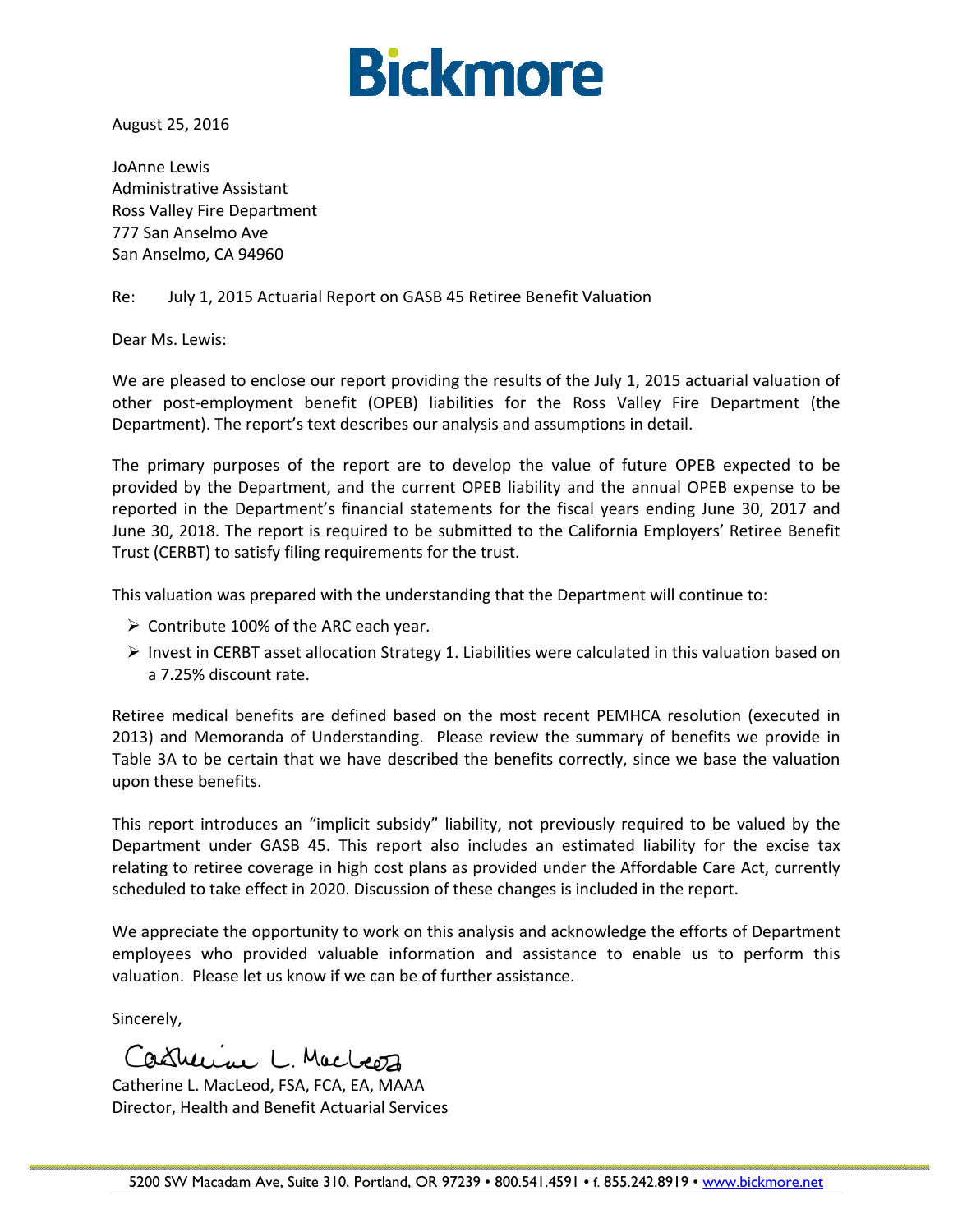

August 25, 2016

JoAnne Lewis Administrative Assistant Ross Valley Fire Department 777 San Anselmo Ave San Anselmo, CA 94960

#### Re: July 1, 2015 Actuarial Report on GASB 45 Retiree Benefit Valuation

Dear Ms. Lewis:

We are pleased to enclose our report providing the results of the July 1, 2015 actuarial valuation of other post‐employment benefit (OPEB) liabilities for the Ross Valley Fire Department (the Department). The report's text describes our analysis and assumptions in detail.

The primary purposes of the report are to develop the value of future OPEB expected to be provided by the Department, and the current OPEB liability and the annual OPEB expense to be reported in the Department's financial statements for the fiscal years ending June 30, 2017 and June 30, 2018. The report is required to be submitted to the California Employers' Retiree Benefit Trust (CERBT) to satisfy filing requirements for the trust.

This valuation was prepared with the understanding that the Department will continue to:

- $\triangleright$  Contribute 100% of the ARC each year.
- $\triangleright$  Invest in CERBT asset allocation Strategy 1. Liabilities were calculated in this valuation based on a 7.25% discount rate.

Retiree medical benefits are defined based on the most recent PEMHCA resolution (executed in 2013) and Memoranda of Understanding. Please review the summary of benefits we provide in Table 3A to be certain that we have described the benefits correctly, since we base the valuation upon these benefits.

This report introduces an "implicit subsidy" liability, not previously required to be valued by the Department under GASB 45. This report also includes an estimated liability for the excise tax relating to retiree coverage in high cost plans as provided under the Affordable Care Act, currently scheduled to take effect in 2020. Discussion of these changes is included in the report.

We appreciate the opportunity to work on this analysis and acknowledge the efforts of Department employees who provided valuable information and assistance to enable us to perform this valuation. Please let us know if we can be of further assistance.

Sincerely,

Casturine L. Macleoz

Catherine L. MacLeod, FSA, FCA, EA, MAAA Director, Health and Benefit Actuarial Services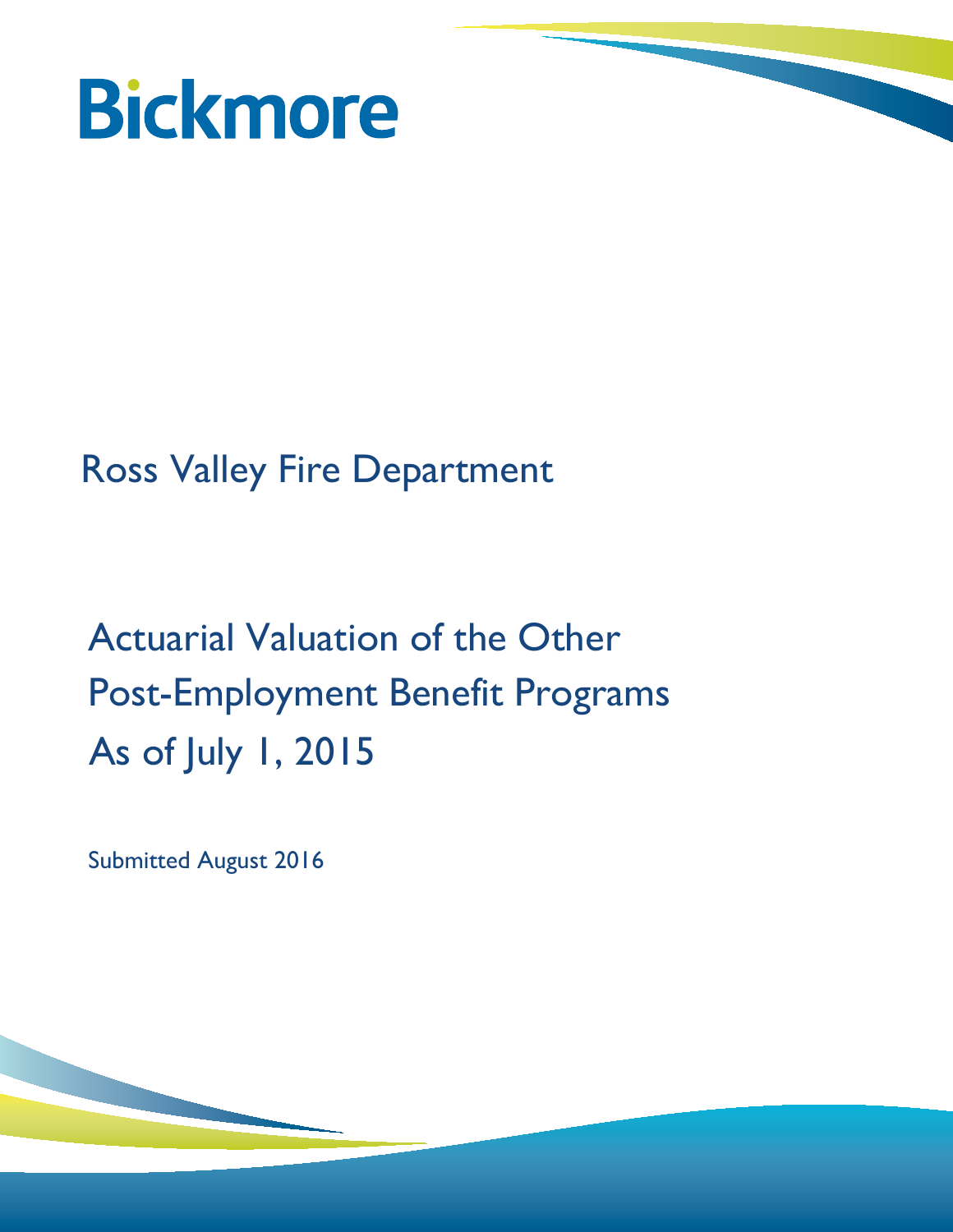

# Ross Valley Fire Department

# Actuarial Valuation of the Other Post-Employment Benefit Programs As of July 1, 2015

Submitted August 2016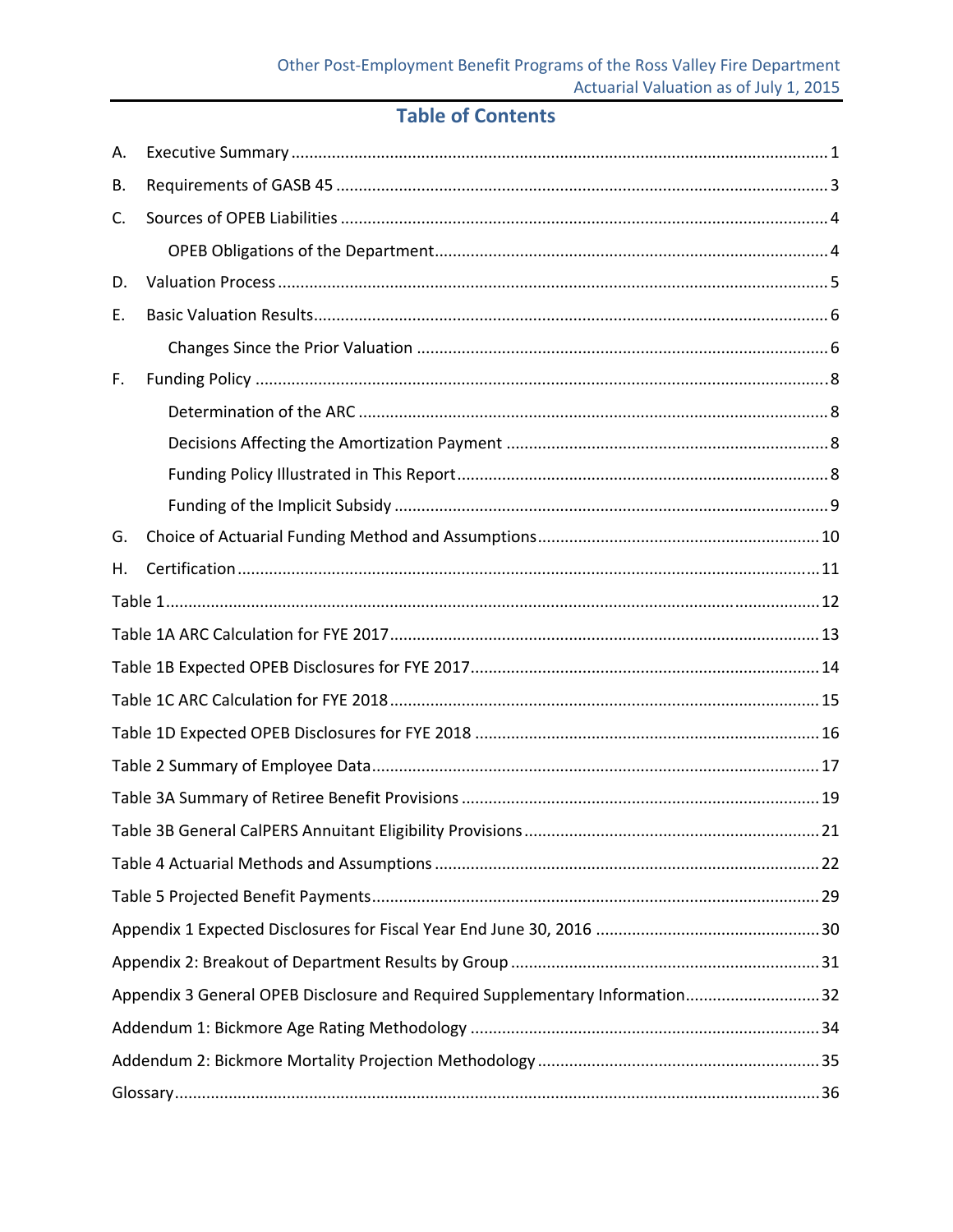# **Table of Contents**

| Α. |                                                                             |
|----|-----------------------------------------------------------------------------|
| В. |                                                                             |
| C. |                                                                             |
|    |                                                                             |
| D. |                                                                             |
| Е. |                                                                             |
|    |                                                                             |
| F. |                                                                             |
|    |                                                                             |
|    |                                                                             |
|    |                                                                             |
|    |                                                                             |
| G. |                                                                             |
| Η. |                                                                             |
|    |                                                                             |
|    |                                                                             |
|    |                                                                             |
|    |                                                                             |
|    |                                                                             |
|    |                                                                             |
|    |                                                                             |
|    |                                                                             |
|    |                                                                             |
|    |                                                                             |
|    |                                                                             |
|    |                                                                             |
|    | Appendix 3 General OPEB Disclosure and Required Supplementary Information32 |
|    |                                                                             |
|    |                                                                             |
|    |                                                                             |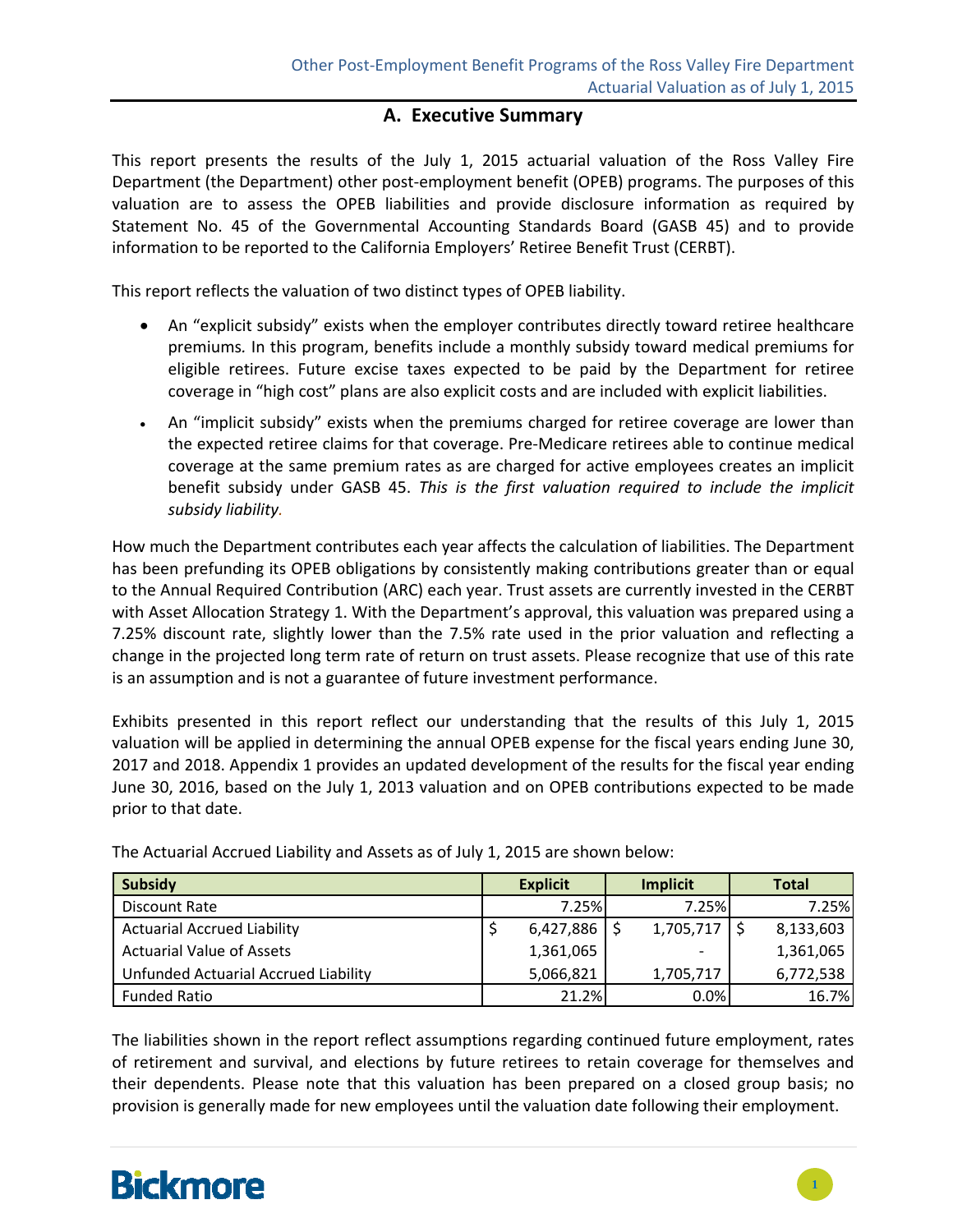### **A. Executive Summary**

This report presents the results of the July 1, 2015 actuarial valuation of the Ross Valley Fire Department (the Department) other post‐employment benefit (OPEB) programs. The purposes of this valuation are to assess the OPEB liabilities and provide disclosure information as required by Statement No. 45 of the Governmental Accounting Standards Board (GASB 45) and to provide information to be reported to the California Employers' Retiree Benefit Trust (CERBT).

This report reflects the valuation of two distinct types of OPEB liability.

- An "explicit subsidy" exists when the employer contributes directly toward retiree healthcare premiums*.* In this program, benefits include a monthly subsidy toward medical premiums for eligible retirees. Future excise taxes expected to be paid by the Department for retiree coverage in "high cost" plans are also explicit costs and are included with explicit liabilities.
- An "implicit subsidy" exists when the premiums charged for retiree coverage are lower than the expected retiree claims for that coverage. Pre‐Medicare retirees able to continue medical coverage at the same premium rates as are charged for active employees creates an implicit benefit subsidy under GASB 45. *This is the first valuation required to include the implicit subsidy liability.*

How much the Department contributes each year affects the calculation of liabilities. The Department has been prefunding its OPEB obligations by consistently making contributions greater than or equal to the Annual Required Contribution (ARC) each year. Trust assets are currently invested in the CERBT with Asset Allocation Strategy 1. With the Department's approval, this valuation was prepared using a 7.25% discount rate, slightly lower than the 7.5% rate used in the prior valuation and reflecting a change in the projected long term rate of return on trust assets. Please recognize that use of this rate is an assumption and is not a guarantee of future investment performance.

Exhibits presented in this report reflect our understanding that the results of this July 1, 2015 valuation will be applied in determining the annual OPEB expense for the fiscal years ending June 30, 2017 and 2018. Appendix 1 provides an updated development of the results for the fiscal year ending June 30, 2016, based on the July 1, 2013 valuation and on OPEB contributions expected to be made prior to that date.

| <b>Subsidy</b>                       | <b>Explicit</b> |                | <b>Implicit</b> |           |  | <b>Total</b> |  |
|--------------------------------------|-----------------|----------------|-----------------|-----------|--|--------------|--|
| Discount Rate                        |                 | 7.25%          |                 | 7.25%     |  | 7.25%        |  |
| <b>Actuarial Accrued Liability</b>   |                 | $6,427,886$ \$ |                 | 1,705,717 |  | 8,133,603    |  |
| <b>Actuarial Value of Assets</b>     |                 | 1,361,065      |                 |           |  | 1,361,065    |  |
| Unfunded Actuarial Accrued Liability |                 | 5,066,821      |                 | 1,705,717 |  | 6,772,538    |  |
| <b>Funded Ratio</b>                  |                 | 21.2%          |                 | 0.0%      |  | 16.7%        |  |

The Actuarial Accrued Liability and Assets as of July 1, 2015 are shown below:

The liabilities shown in the report reflect assumptions regarding continued future employment, rates of retirement and survival, and elections by future retirees to retain coverage for themselves and their dependents. Please note that this valuation has been prepared on a closed group basis; no provision is generally made for new employees until the valuation date following their employment.

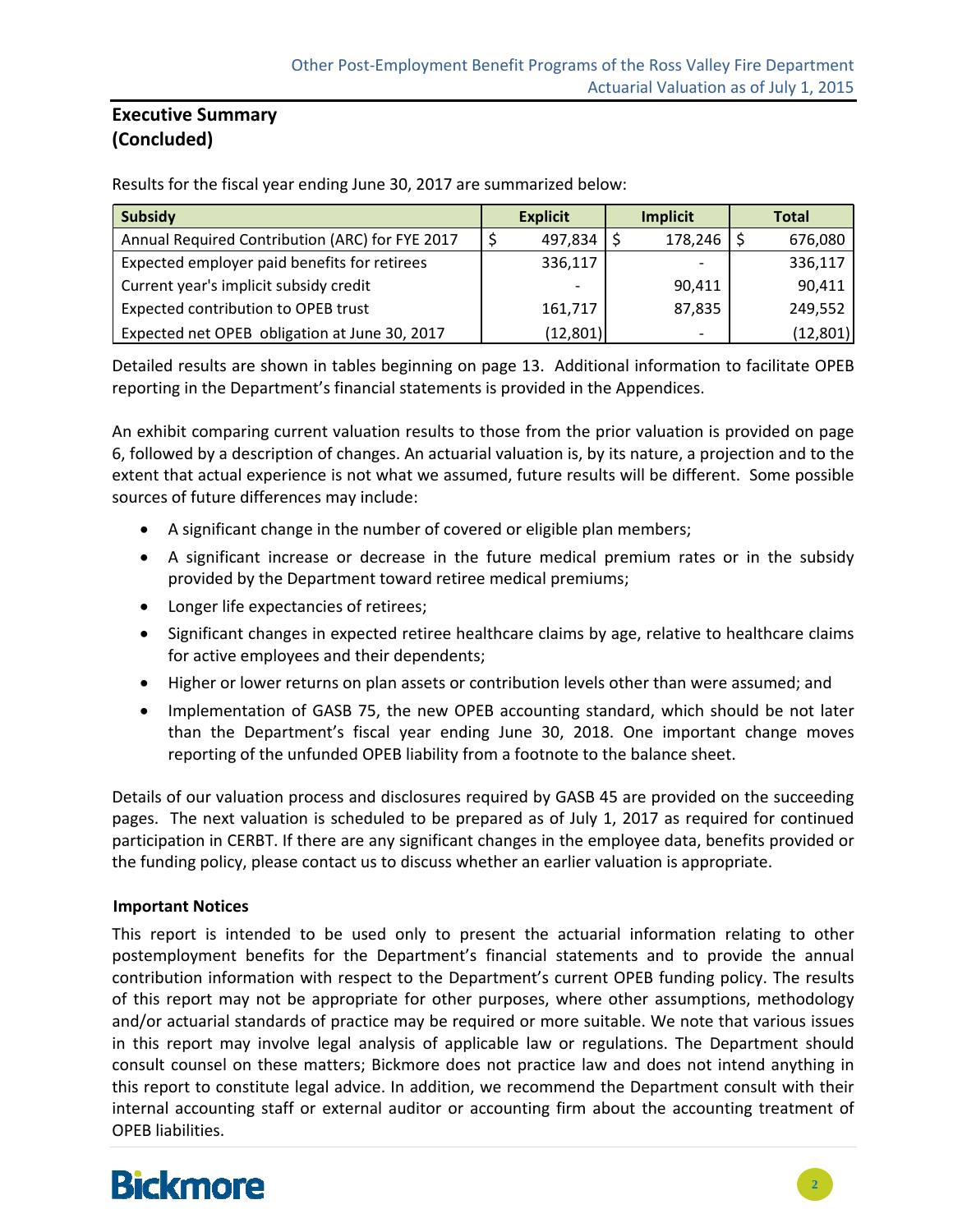### **Executive Summary (Concluded)**

Results for the fiscal year ending June 30, 2017 are summarized below:

| <b>Subsidy</b>                                  | <b>Explicit</b> |  | <b>Implicit</b> |  | <b>Total</b> |  |
|-------------------------------------------------|-----------------|--|-----------------|--|--------------|--|
| Annual Required Contribution (ARC) for FYE 2017 | 497,834         |  | 178,246         |  | 676,080      |  |
| Expected employer paid benefits for retirees    | 336,117         |  |                 |  | 336,117      |  |
| Current year's implicit subsidy credit          |                 |  | 90,411          |  | 90,411       |  |
| Expected contribution to OPEB trust             | 161,717         |  | 87,835          |  | 249,552      |  |
| Expected net OPEB obligation at June 30, 2017   | (12,801)        |  | -               |  | (12, 801)    |  |

Detailed results are shown in tables beginning on page 13. Additional information to facilitate OPEB reporting in the Department's financial statements is provided in the Appendices.

An exhibit comparing current valuation results to those from the prior valuation is provided on page 6, followed by a description of changes. An actuarial valuation is, by its nature, a projection and to the extent that actual experience is not what we assumed, future results will be different. Some possible sources of future differences may include:

- A significant change in the number of covered or eligible plan members;
- A significant increase or decrease in the future medical premium rates or in the subsidy provided by the Department toward retiree medical premiums;
- Longer life expectancies of retirees;
- Significant changes in expected retiree healthcare claims by age, relative to healthcare claims for active employees and their dependents;
- Higher or lower returns on plan assets or contribution levels other than were assumed; and
- Implementation of GASB 75, the new OPEB accounting standard, which should be not later than the Department's fiscal year ending June 30, 2018. One important change moves reporting of the unfunded OPEB liability from a footnote to the balance sheet.

Details of our valuation process and disclosures required by GASB 45 are provided on the succeeding pages. The next valuation is scheduled to be prepared as of July 1, 2017 as required for continued participation in CERBT. If there are any significant changes in the employee data, benefits provided or the funding policy, please contact us to discuss whether an earlier valuation is appropriate.

#### **Important Notices**

This report is intended to be used only to present the actuarial information relating to other postemployment benefits for the Department's financial statements and to provide the annual contribution information with respect to the Department's current OPEB funding policy. The results of this report may not be appropriate for other purposes, where other assumptions, methodology and/or actuarial standards of practice may be required or more suitable. We note that various issues in this report may involve legal analysis of applicable law or regulations. The Department should consult counsel on these matters; Bickmore does not practice law and does not intend anything in this report to constitute legal advice. In addition, we recommend the Department consult with their internal accounting staff or external auditor or accounting firm about the accounting treatment of OPEB liabilities.

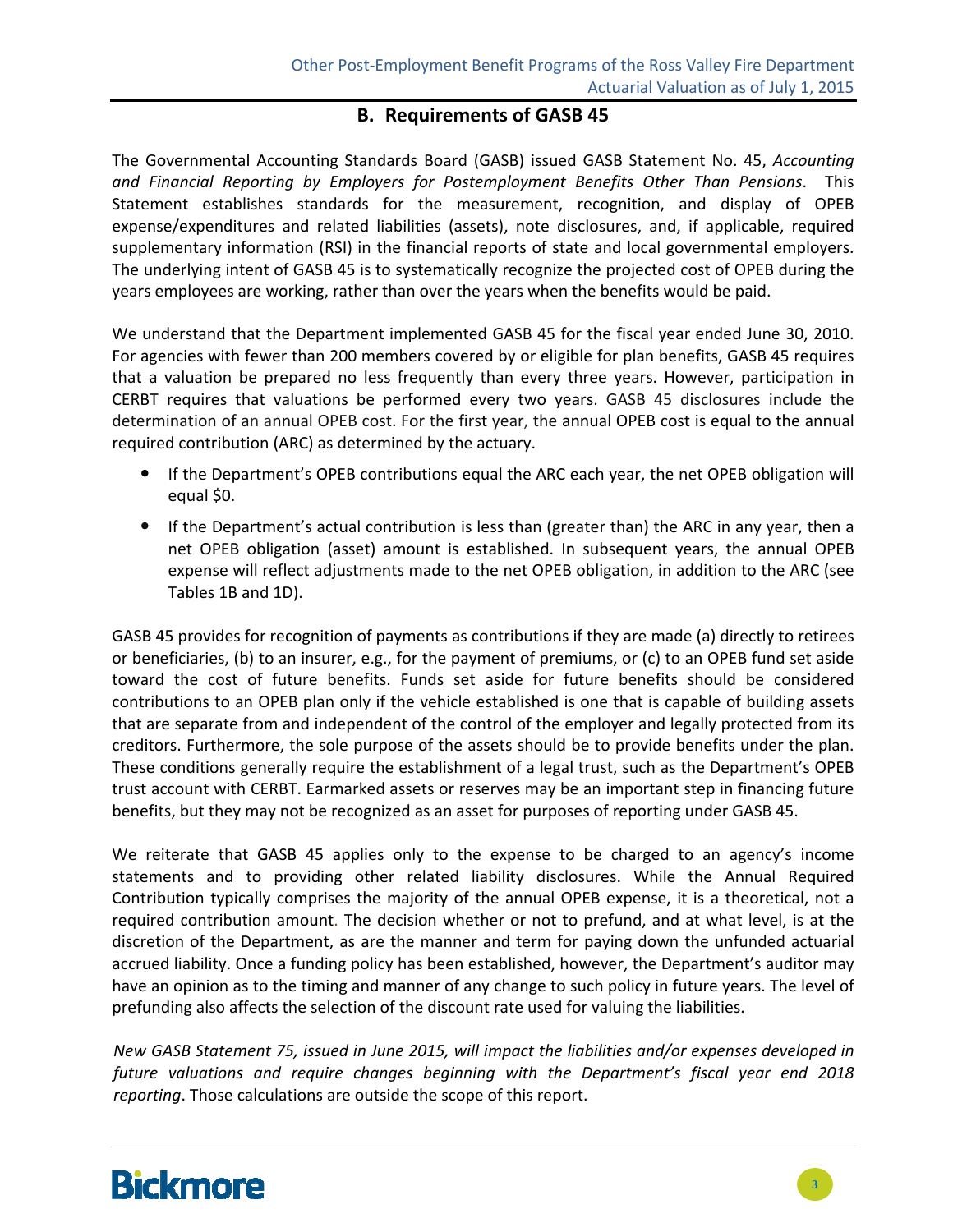### **B. Requirements of GASB 45**

The Governmental Accounting Standards Board (GASB) issued GASB Statement No. 45, *Accounting and Financial Reporting by Employers for Postemployment Benefits Other Than Pensions*. This Statement establishes standards for the measurement, recognition, and display of OPEB expense/expenditures and related liabilities (assets), note disclosures, and, if applicable, required supplementary information (RSI) in the financial reports of state and local governmental employers. The underlying intent of GASB 45 is to systematically recognize the projected cost of OPEB during the years employees are working, rather than over the years when the benefits would be paid.

We understand that the Department implemented GASB 45 for the fiscal year ended June 30, 2010. For agencies with fewer than 200 members covered by or eligible for plan benefits, GASB 45 requires that a valuation be prepared no less frequently than every three years. However, participation in CERBT requires that valuations be performed every two years. GASB 45 disclosures include the determination of an annual OPEB cost. For the first year, the annual OPEB cost is equal to the annual required contribution (ARC) as determined by the actuary.

- If the Department's OPEB contributions equal the ARC each year, the net OPEB obligation will equal \$0.
- If the Department's actual contribution is less than (greater than) the ARC in any year, then a net OPEB obligation (asset) amount is established. In subsequent years, the annual OPEB expense will reflect adjustments made to the net OPEB obligation, in addition to the ARC (see Tables 1B and 1D).

GASB 45 provides for recognition of payments as contributions if they are made (a) directly to retirees or beneficiaries, (b) to an insurer, e.g., for the payment of premiums, or (c) to an OPEB fund set aside toward the cost of future benefits. Funds set aside for future benefits should be considered contributions to an OPEB plan only if the vehicle established is one that is capable of building assets that are separate from and independent of the control of the employer and legally protected from its creditors. Furthermore, the sole purpose of the assets should be to provide benefits under the plan. These conditions generally require the establishment of a legal trust, such as the Department's OPEB trust account with CERBT. Earmarked assets or reserves may be an important step in financing future benefits, but they may not be recognized as an asset for purposes of reporting under GASB 45.

We reiterate that GASB 45 applies only to the expense to be charged to an agency's income statements and to providing other related liability disclosures. While the Annual Required Contribution typically comprises the majority of the annual OPEB expense, it is a theoretical, not a required contribution amount. The decision whether or not to prefund, and at what level, is at the discretion of the Department, as are the manner and term for paying down the unfunded actuarial accrued liability. Once a funding policy has been established, however, the Department's auditor may have an opinion as to the timing and manner of any change to such policy in future years. The level of prefunding also affects the selection of the discount rate used for valuing the liabilities.

*New GASB Statement 75, issued in June 2015, will impact the liabilities and/or expenses developed in future valuations and require changes beginning with the Department's fiscal year end 2018 reporting*. Those calculations are outside the scope of this report.

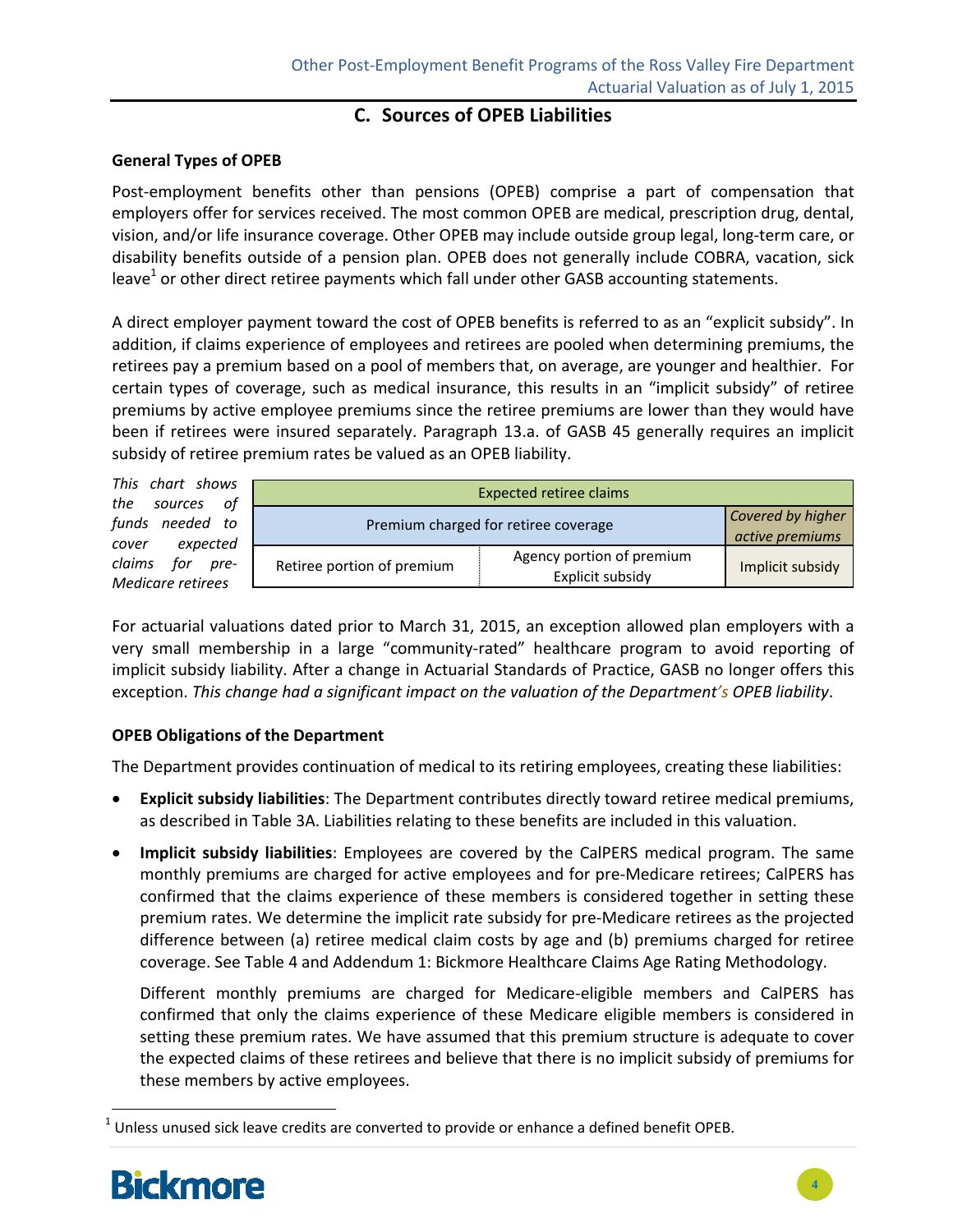### **C. Sources of OPEB Liabilities**

#### **General Types of OPEB**

Post-employment benefits other than pensions (OPEB) comprise a part of compensation that employers offer for services received. The most common OPEB are medical, prescription drug, dental, vision, and/or life insurance coverage. Other OPEB may include outside group legal, long‐term care, or disability benefits outside of a pension plan. OPEB does not generally include COBRA, vacation, sick leave<sup>1</sup> or other direct retiree payments which fall under other GASB accounting statements.

A direct employer payment toward the cost of OPEB benefits is referred to as an "explicit subsidy". In addition, if claims experience of employees and retirees are pooled when determining premiums, the retirees pay a premium based on a pool of members that, on average, are younger and healthier. For certain types of coverage, such as medical insurance, this results in an "implicit subsidy" of retiree premiums by active employee premiums since the retiree premiums are lower than they would have been if retirees were insured separately. Paragraph 13.a. of GASB 45 generally requires an implicit subsidy of retiree premium rates be valued as an OPEB liability.

| This chart shows                        | <b>Expected retiree claims</b>       |                                               |                  |  |  |  |  |  |
|-----------------------------------------|--------------------------------------|-----------------------------------------------|------------------|--|--|--|--|--|
| the sources<br>of                       |                                      |                                               |                  |  |  |  |  |  |
| funds needed to                         | Premium charged for retiree coverage | Covered by higher                             |                  |  |  |  |  |  |
|                                         |                                      | active premiums                               |                  |  |  |  |  |  |
| expected<br>cover                       |                                      |                                               |                  |  |  |  |  |  |
| claims<br>for pre-<br>Medicare retirees | Retiree portion of premium           | Agency portion of premium<br>Explicit subsidy | Implicit subsidy |  |  |  |  |  |
|                                         |                                      |                                               |                  |  |  |  |  |  |

For actuarial valuations dated prior to March 31, 2015, an exception allowed plan employers with a very small membership in a large "community-rated" healthcare program to avoid reporting of implicit subsidy liability. After a change in Actuarial Standards of Practice, GASB no longer offers this exception. *This change had a significant impact on the valuation of the Department's OPEB liability*.

#### **OPEB Obligations of the Department**

The Department provides continuation of medical to its retiring employees, creating these liabilities:

- **Explicit subsidy liabilities**: The Department contributes directly toward retiree medical premiums, as described in Table 3A. Liabilities relating to these benefits are included in this valuation.
- **Implicit subsidy liabilities**: Employees are covered by the CalPERS medical program. The same monthly premiums are charged for active employees and for pre‐Medicare retirees; CalPERS has confirmed that the claims experience of these members is considered together in setting these premium rates. We determine the implicit rate subsidy for pre-Medicare retirees as the projected difference between (a) retiree medical claim costs by age and (b) premiums charged for retiree coverage. See Table 4 and Addendum 1: Bickmore Healthcare Claims Age Rating Methodology.

Different monthly premiums are charged for Medicare-eligible members and CalPERS has confirmed that only the claims experience of these Medicare eligible members is considered in setting these premium rates. We have assumed that this premium structure is adequate to cover the expected claims of these retirees and believe that there is no implicit subsidy of premiums for these members by active employees.

 $<sup>1</sup>$  Unless unused sick leave credits are converted to provide or enhance a defined benefit OPEB.</sup>



l

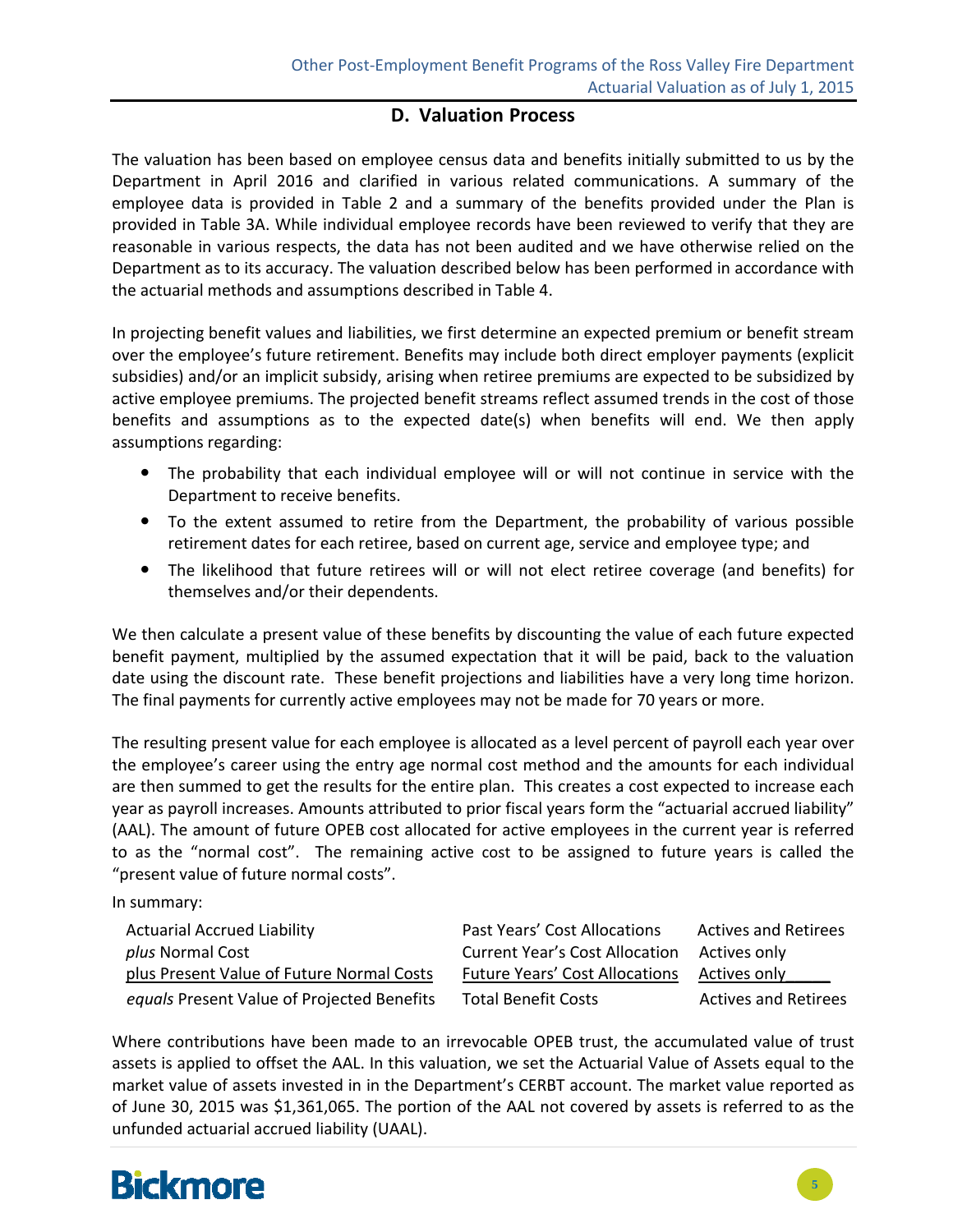### **D. Valuation Process**

The valuation has been based on employee census data and benefits initially submitted to us by the Department in April 2016 and clarified in various related communications. A summary of the employee data is provided in Table 2 and a summary of the benefits provided under the Plan is provided in Table 3A. While individual employee records have been reviewed to verify that they are reasonable in various respects, the data has not been audited and we have otherwise relied on the Department as to its accuracy. The valuation described below has been performed in accordance with the actuarial methods and assumptions described in Table 4.

In projecting benefit values and liabilities, we first determine an expected premium or benefit stream over the employee's future retirement. Benefits may include both direct employer payments (explicit subsidies) and/or an implicit subsidy, arising when retiree premiums are expected to be subsidized by active employee premiums. The projected benefit streams reflect assumed trends in the cost of those benefits and assumptions as to the expected date(s) when benefits will end. We then apply assumptions regarding:

- The probability that each individual employee will or will not continue in service with the Department to receive benefits.
- To the extent assumed to retire from the Department, the probability of various possible retirement dates for each retiree, based on current age, service and employee type; and
- The likelihood that future retirees will or will not elect retiree coverage (and benefits) for themselves and/or their dependents.

We then calculate a present value of these benefits by discounting the value of each future expected benefit payment, multiplied by the assumed expectation that it will be paid, back to the valuation date using the discount rate. These benefit projections and liabilities have a very long time horizon. The final payments for currently active employees may not be made for 70 years or more.

The resulting present value for each employee is allocated as a level percent of payroll each year over the employee's career using the entry age normal cost method and the amounts for each individual are then summed to get the results for the entire plan. This creates a cost expected to increase each year as payroll increases. Amounts attributed to prior fiscal years form the "actuarial accrued liability" (AAL). The amount of future OPEB cost allocated for active employees in the current year is referred to as the "normal cost". The remaining active cost to be assigned to future years is called the "present value of future normal costs".

In summary:

| Past Years' Cost Allocations          | <b>Actives and Retirees</b> |
|---------------------------------------|-----------------------------|
| <b>Current Year's Cost Allocation</b> | Actives only                |
| <b>Future Years' Cost Allocations</b> | Actives only                |
| <b>Total Benefit Costs</b>            | <b>Actives and Retirees</b> |
|                                       |                             |

Where contributions have been made to an irrevocable OPEB trust, the accumulated value of trust assets is applied to offset the AAL. In this valuation, we set the Actuarial Value of Assets equal to the market value of assets invested in in the Department's CERBT account. The market value reported as of June 30, 2015 was \$1,361,065. The portion of the AAL not covered by assets is referred to as the unfunded actuarial accrued liability (UAAL).

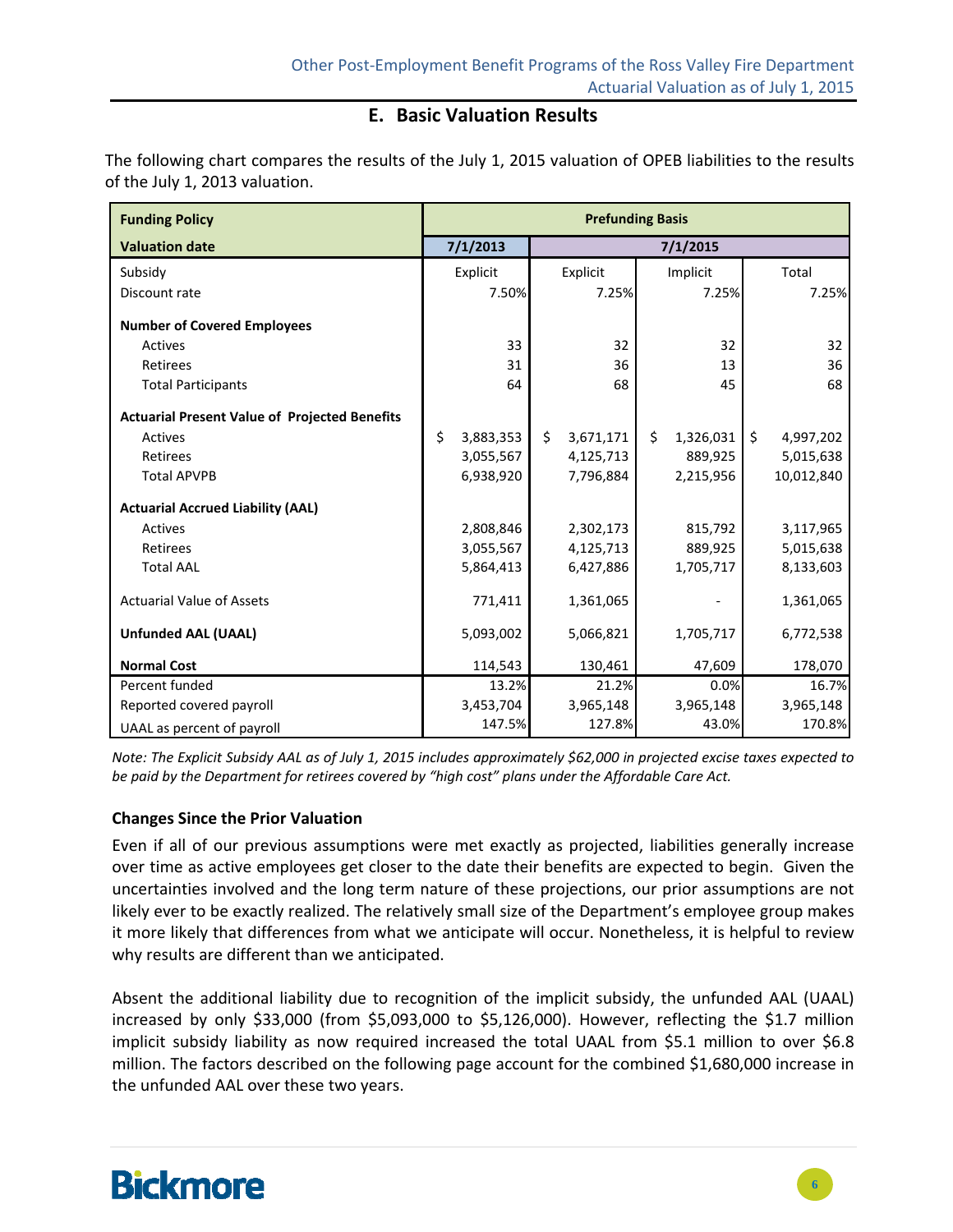### **E. Basic Valuation Results**

The following chart compares the results of the July 1, 2015 valuation of OPEB liabilities to the results of the July 1, 2013 valuation.

| <b>Funding Policy</b>                                | <b>Prefunding Basis</b> |                 |                 |                 |  |  |  |  |
|------------------------------------------------------|-------------------------|-----------------|-----------------|-----------------|--|--|--|--|
| <b>Valuation date</b>                                | 7/1/2013                |                 | 7/1/2015        |                 |  |  |  |  |
| Subsidy                                              | Explicit                | Explicit        | Implicit        | Total           |  |  |  |  |
| Discount rate                                        | 7.50%                   | 7.25%           | 7.25%           | 7.25%           |  |  |  |  |
| <b>Number of Covered Employees</b>                   |                         |                 |                 |                 |  |  |  |  |
| <b>Actives</b>                                       | 33                      | 32              | 32              | 32              |  |  |  |  |
| Retirees                                             | 31                      | 36              | 13              | 36              |  |  |  |  |
| <b>Total Participants</b>                            | 64                      | 68              | 45              | 68              |  |  |  |  |
| <b>Actuarial Present Value of Projected Benefits</b> |                         |                 |                 |                 |  |  |  |  |
| <b>Actives</b>                                       | \$<br>3,883,353         | \$<br>3,671,171 | Ś.<br>1,326,031 | Ś.<br>4,997,202 |  |  |  |  |
| Retirees                                             | 3,055,567               | 4,125,713       | 889,925         | 5,015,638       |  |  |  |  |
| <b>Total APVPB</b>                                   | 6,938,920               | 7,796,884       | 2,215,956       | 10,012,840      |  |  |  |  |
| <b>Actuarial Accrued Liability (AAL)</b>             |                         |                 |                 |                 |  |  |  |  |
| <b>Actives</b>                                       | 2,808,846               | 2,302,173       | 815,792         | 3,117,965       |  |  |  |  |
| Retirees                                             | 3,055,567               | 4,125,713       | 889,925         | 5,015,638       |  |  |  |  |
| <b>Total AAL</b>                                     | 5,864,413               | 6,427,886       | 1,705,717       | 8,133,603       |  |  |  |  |
| <b>Actuarial Value of Assets</b>                     | 771,411                 | 1,361,065       |                 | 1,361,065       |  |  |  |  |
| <b>Unfunded AAL (UAAL)</b>                           | 5,093,002               | 5,066,821       | 1,705,717       | 6,772,538       |  |  |  |  |
| <b>Normal Cost</b>                                   | 114,543                 | 130,461         | 47,609          | 178,070         |  |  |  |  |
| Percent funded                                       | 13.2%                   | 21.2%           | 0.0%            | 16.7%           |  |  |  |  |
| Reported covered payroll                             | 3,453,704               | 3,965,148       | 3,965,148       | 3,965,148       |  |  |  |  |
| UAAL as percent of payroll                           | 147.5%                  | 127.8%          | 43.0%           | 170.8%          |  |  |  |  |

Note: The Explicit Subsidy AAL as of July 1, 2015 includes approximately \$62,000 in projected excise taxes expected to be paid by the Department for retirees covered by "high cost" plans under the Affordable Care Act.

#### **Changes Since the Prior Valuation**

Even if all of our previous assumptions were met exactly as projected, liabilities generally increase over time as active employees get closer to the date their benefits are expected to begin. Given the uncertainties involved and the long term nature of these projections, our prior assumptions are not likely ever to be exactly realized. The relatively small size of the Department's employee group makes it more likely that differences from what we anticipate will occur. Nonetheless, it is helpful to review why results are different than we anticipated.

Absent the additional liability due to recognition of the implicit subsidy, the unfunded AAL (UAAL) increased by only \$33,000 (from \$5,093,000 to \$5,126,000). However, reflecting the \$1.7 million implicit subsidy liability as now required increased the total UAAL from \$5.1 million to over \$6.8 million. The factors described on the following page account for the combined \$1,680,000 increase in the unfunded AAL over these two years.

# **Bickmore**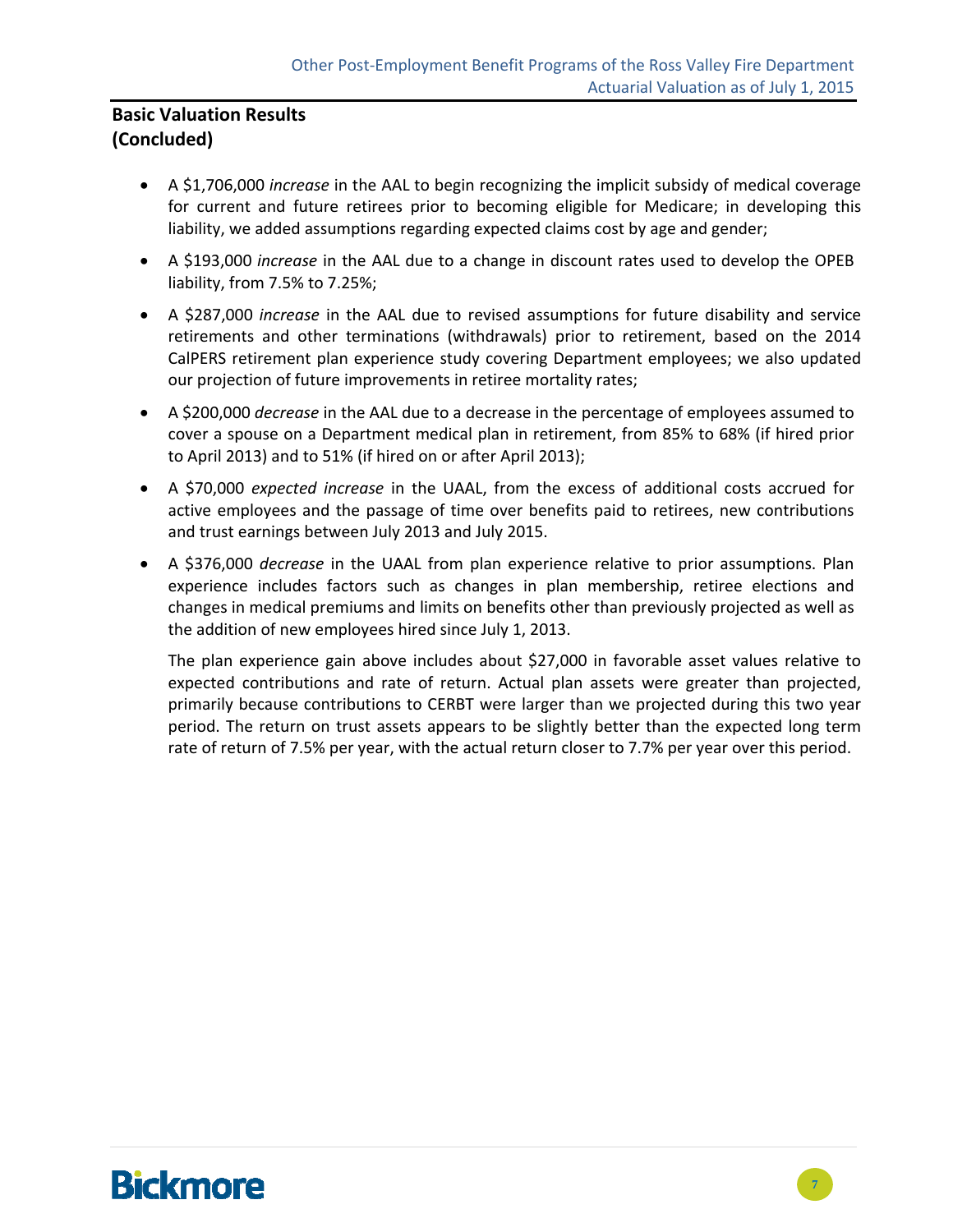### **Basic Valuation Results (Concluded)**

- A \$1,706,000 *increase* in the AAL to begin recognizing the implicit subsidy of medical coverage for current and future retirees prior to becoming eligible for Medicare; in developing this liability, we added assumptions regarding expected claims cost by age and gender;
- A \$193,000 *increase* in the AAL due to a change in discount rates used to develop the OPEB liability, from 7.5% to 7.25%;
- A \$287,000 *increase* in the AAL due to revised assumptions for future disability and service retirements and other terminations (withdrawals) prior to retirement, based on the 2014 CalPERS retirement plan experience study covering Department employees; we also updated our projection of future improvements in retiree mortality rates;
- A \$200,000 *decrease* in the AAL due to a decrease in the percentage of employees assumed to cover a spouse on a Department medical plan in retirement, from 85% to 68% (if hired prior to April 2013) and to 51% (if hired on or after April 2013);
- A \$70,000 *expected increase* in the UAAL, from the excess of additional costs accrued for active employees and the passage of time over benefits paid to retirees, new contributions and trust earnings between July 2013 and July 2015.
- A \$376,000 *decrease* in the UAAL from plan experience relative to prior assumptions. Plan experience includes factors such as changes in plan membership, retiree elections and changes in medical premiums and limits on benefits other than previously projected as well as the addition of new employees hired since July 1, 2013.

The plan experience gain above includes about \$27,000 in favorable asset values relative to expected contributions and rate of return. Actual plan assets were greater than projected, primarily because contributions to CERBT were larger than we projected during this two year period. The return on trust assets appears to be slightly better than the expected long term rate of return of 7.5% per year, with the actual return closer to 7.7% per year over this period.

# **Bickmore**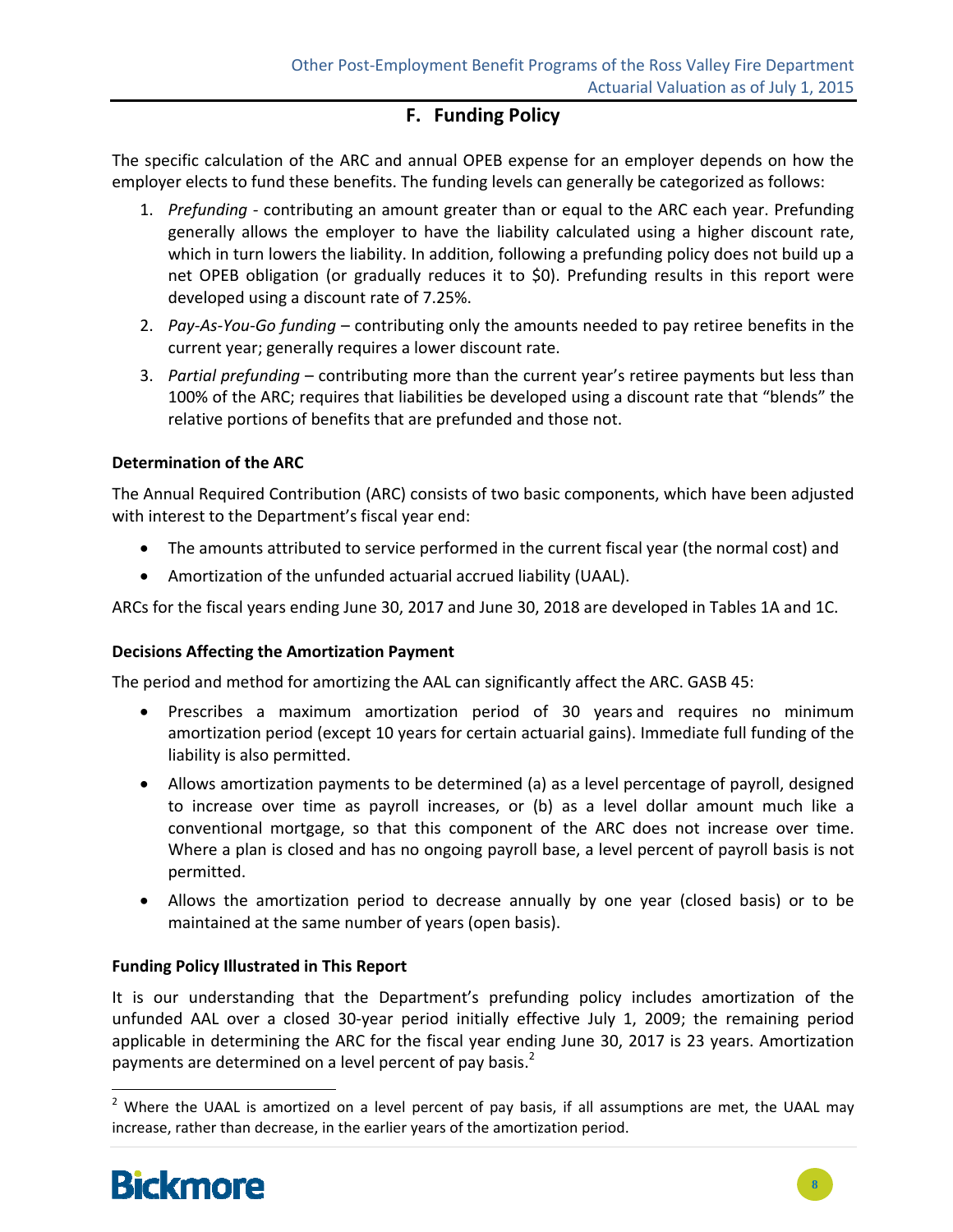### **F. Funding Policy**

The specific calculation of the ARC and annual OPEB expense for an employer depends on how the employer elects to fund these benefits. The funding levels can generally be categorized as follows:

- 1. *Prefunding ‐* contributing an amount greater than or equal to the ARC each year. Prefunding generally allows the employer to have the liability calculated using a higher discount rate, which in turn lowers the liability. In addition, following a prefunding policy does not build up a net OPEB obligation (or gradually reduces it to \$0). Prefunding results in this report were developed using a discount rate of 7.25%.
- 2. *Pay‐As‐You‐Go funding* contributing only the amounts needed to pay retiree benefits in the current year; generally requires a lower discount rate.
- 3. *Partial prefunding* contributing more than the current year's retiree payments but less than 100% of the ARC; requires that liabilities be developed using a discount rate that "blends" the relative portions of benefits that are prefunded and those not.

#### **Determination of the ARC**

The Annual Required Contribution (ARC) consists of two basic components, which have been adjusted with interest to the Department's fiscal year end:

- The amounts attributed to service performed in the current fiscal year (the normal cost) and
- Amortization of the unfunded actuarial accrued liability (UAAL).

ARCs for the fiscal years ending June 30, 2017 and June 30, 2018 are developed in Tables 1A and 1C.

#### **Decisions Affecting the Amortization Payment**

The period and method for amortizing the AAL can significantly affect the ARC. GASB 45:

- Prescribes a maximum amortization period of 30 years and requires no minimum amortization period (except 10 years for certain actuarial gains). Immediate full funding of the liability is also permitted.
- Allows amortization payments to be determined (a) as a level percentage of payroll, designed to increase over time as payroll increases, or (b) as a level dollar amount much like a conventional mortgage, so that this component of the ARC does not increase over time. Where a plan is closed and has no ongoing payroll base, a level percent of payroll basis is not permitted.
- Allows the amortization period to decrease annually by one year (closed basis) or to be maintained at the same number of years (open basis).

#### **Funding Policy Illustrated in This Report**

It is our understanding that the Department's prefunding policy includes amortization of the unfunded AAL over a closed 30‐year period initially effective July 1, 2009; the remaining period applicable in determining the ARC for the fiscal year ending June 30, 2017 is 23 years. Amortization payments are determined on a level percent of pay basis.<sup>2</sup>

 $2$  Where the UAAL is amortized on a level percent of pay basis, if all assumptions are met, the UAAL may increase, rather than decrease, in the earlier years of the amortization period.

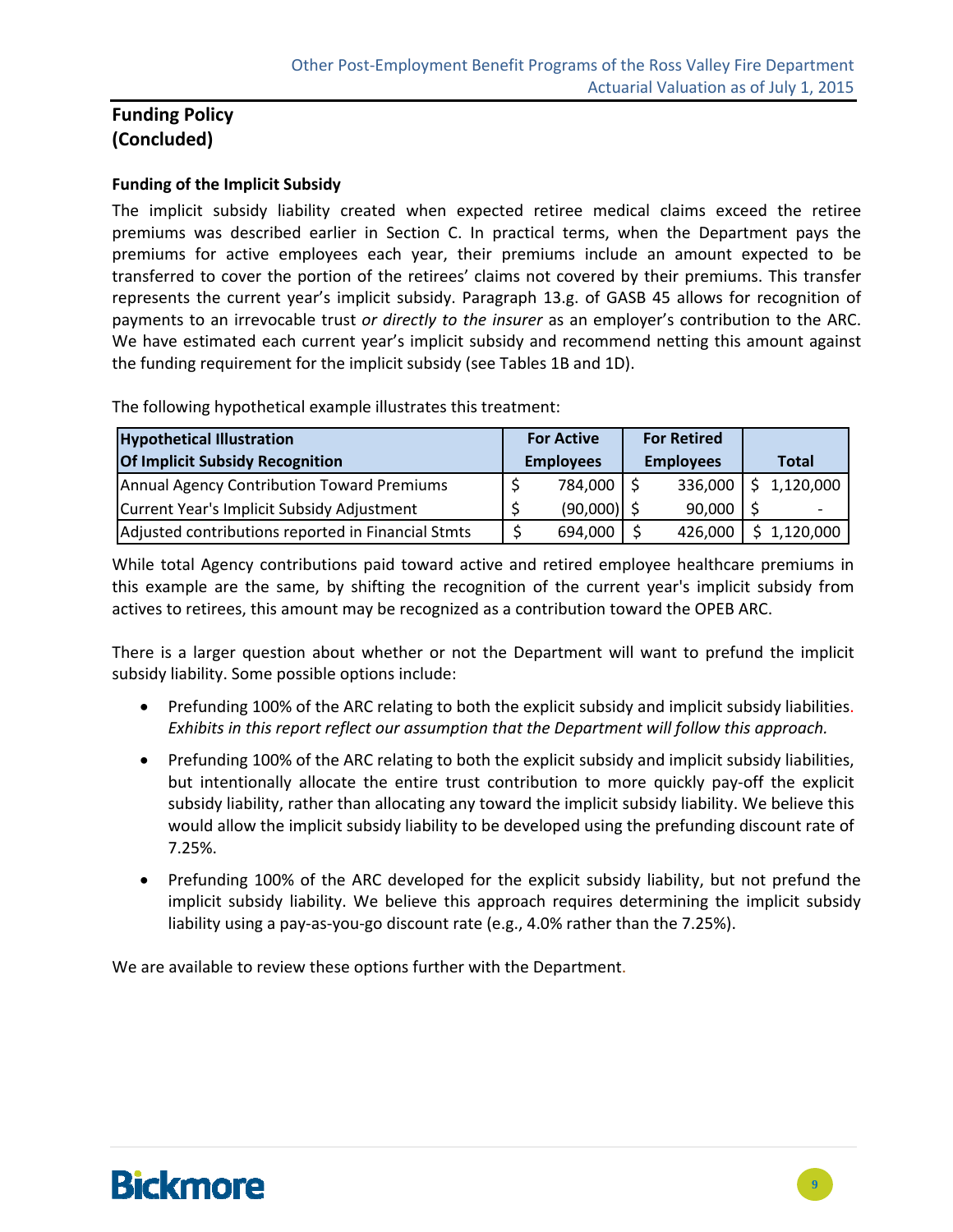### **Funding Policy (Concluded)**

#### **Funding of the Implicit Subsidy**

The implicit subsidy liability created when expected retiree medical claims exceed the retiree premiums was described earlier in Section C. In practical terms, when the Department pays the premiums for active employees each year, their premiums include an amount expected to be transferred to cover the portion of the retirees' claims not covered by their premiums. This transfer represents the current year's implicit subsidy. Paragraph 13.g. of GASB 45 allows for recognition of payments to an irrevocable trust *or directly to the insurer* as an employer's contribution to the ARC. We have estimated each current year's implicit subsidy and recommend netting this amount against the funding requirement for the implicit subsidy (see Tables 1B and 1D).

The following hypothetical example illustrates this treatment:

| <b>Hypothetical Illustration</b>                   |  | <b>For Active</b> |                  | <b>For Retired</b> |              |
|----------------------------------------------------|--|-------------------|------------------|--------------------|--------------|
| <b>Of Implicit Subsidy Recognition</b>             |  | <b>Employees</b>  | <b>Employees</b> |                    | <b>Total</b> |
| Annual Agency Contribution Toward Premiums         |  | 784,000 \$        |                  | 336,000            | 1,120,000    |
| Current Year's Implicit Subsidy Adjustment         |  | $(90,000)$ \$     |                  | 90,000             |              |
| Adjusted contributions reported in Financial Stmts |  | 694,000           |                  | 426,000            | \$1,120,000  |

While total Agency contributions paid toward active and retired employee healthcare premiums in this example are the same, by shifting the recognition of the current year's implicit subsidy from actives to retirees, this amount may be recognized as a contribution toward the OPEB ARC.

There is a larger question about whether or not the Department will want to prefund the implicit subsidy liability. Some possible options include:

- Prefunding 100% of the ARC relating to both the explicit subsidy and implicit subsidy liabilities. *Exhibits in this report reflect our assumption that the Department will follow this approach.*
- Prefunding 100% of the ARC relating to both the explicit subsidy and implicit subsidy liabilities, but intentionally allocate the entire trust contribution to more quickly pay‐off the explicit subsidy liability, rather than allocating any toward the implicit subsidy liability. We believe this would allow the implicit subsidy liability to be developed using the prefunding discount rate of 7.25%.
- Prefunding 100% of the ARC developed for the explicit subsidy liability, but not prefund the implicit subsidy liability. We believe this approach requires determining the implicit subsidy liability using a pay‐as‐you‐go discount rate (e.g., 4.0% rather than the 7.25%).

We are available to review these options further with the Department.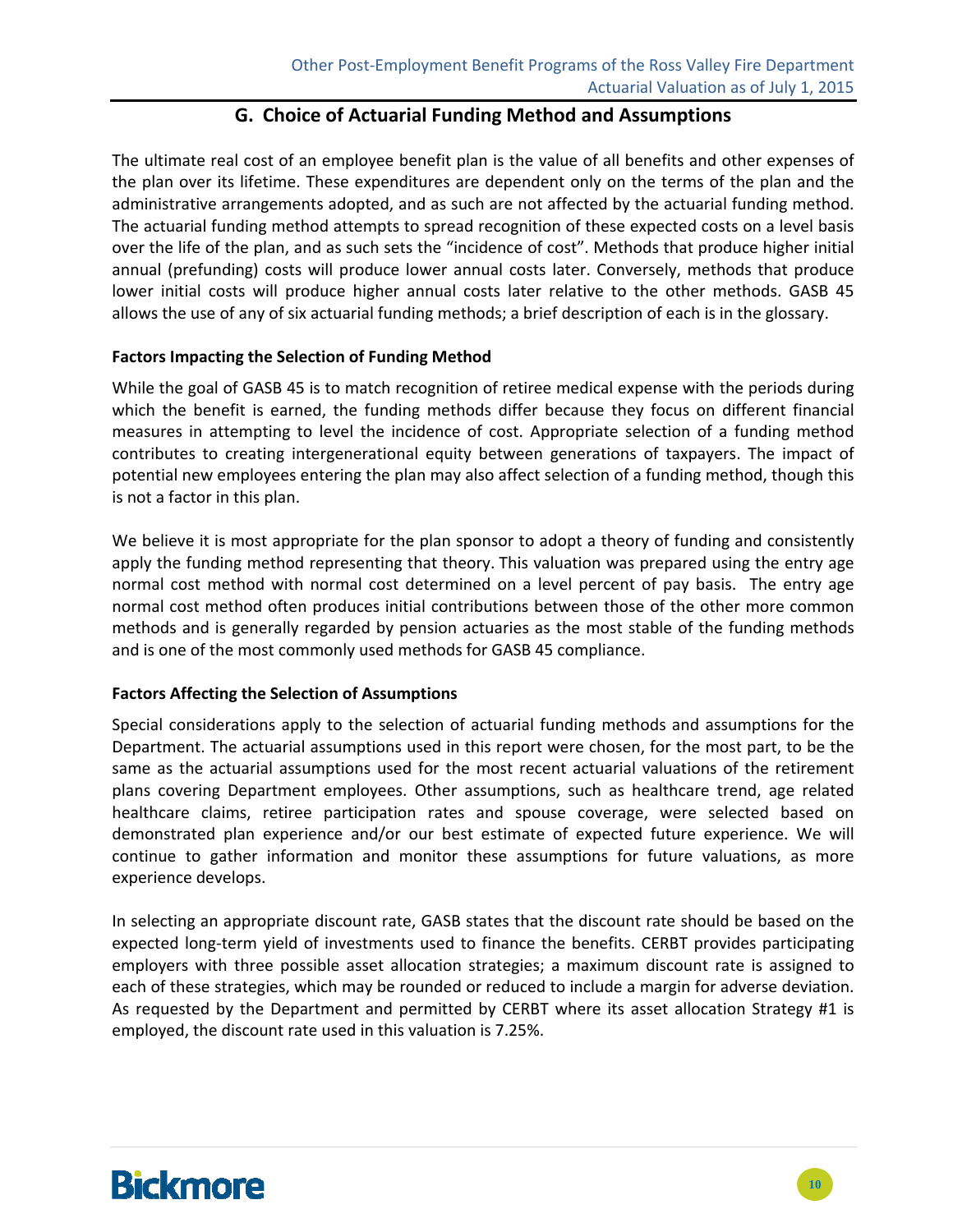#### **G. Choice of Actuarial Funding Method and Assumptions**

The ultimate real cost of an employee benefit plan is the value of all benefits and other expenses of the plan over its lifetime. These expenditures are dependent only on the terms of the plan and the administrative arrangements adopted, and as such are not affected by the actuarial funding method. The actuarial funding method attempts to spread recognition of these expected costs on a level basis over the life of the plan, and as such sets the "incidence of cost". Methods that produce higher initial annual (prefunding) costs will produce lower annual costs later. Conversely, methods that produce lower initial costs will produce higher annual costs later relative to the other methods. GASB 45 allows the use of any of six actuarial funding methods; a brief description of each is in the glossary.

#### **Factors Impacting the Selection of Funding Method**

While the goal of GASB 45 is to match recognition of retiree medical expense with the periods during which the benefit is earned, the funding methods differ because they focus on different financial measures in attempting to level the incidence of cost. Appropriate selection of a funding method contributes to creating intergenerational equity between generations of taxpayers. The impact of potential new employees entering the plan may also affect selection of a funding method, though this is not a factor in this plan.

We believe it is most appropriate for the plan sponsor to adopt a theory of funding and consistently apply the funding method representing that theory. This valuation was prepared using the entry age normal cost method with normal cost determined on a level percent of pay basis. The entry age normal cost method often produces initial contributions between those of the other more common methods and is generally regarded by pension actuaries as the most stable of the funding methods and is one of the most commonly used methods for GASB 45 compliance.

#### **Factors Affecting the Selection of Assumptions**

Special considerations apply to the selection of actuarial funding methods and assumptions for the Department. The actuarial assumptions used in this report were chosen, for the most part, to be the same as the actuarial assumptions used for the most recent actuarial valuations of the retirement plans covering Department employees. Other assumptions, such as healthcare trend, age related healthcare claims, retiree participation rates and spouse coverage, were selected based on demonstrated plan experience and/or our best estimate of expected future experience. We will continue to gather information and monitor these assumptions for future valuations, as more experience develops.

In selecting an appropriate discount rate, GASB states that the discount rate should be based on the expected long-term yield of investments used to finance the benefits. CERBT provides participating employers with three possible asset allocation strategies; a maximum discount rate is assigned to each of these strategies, which may be rounded or reduced to include a margin for adverse deviation. As requested by the Department and permitted by CERBT where its asset allocation Strategy #1 is employed, the discount rate used in this valuation is 7.25%.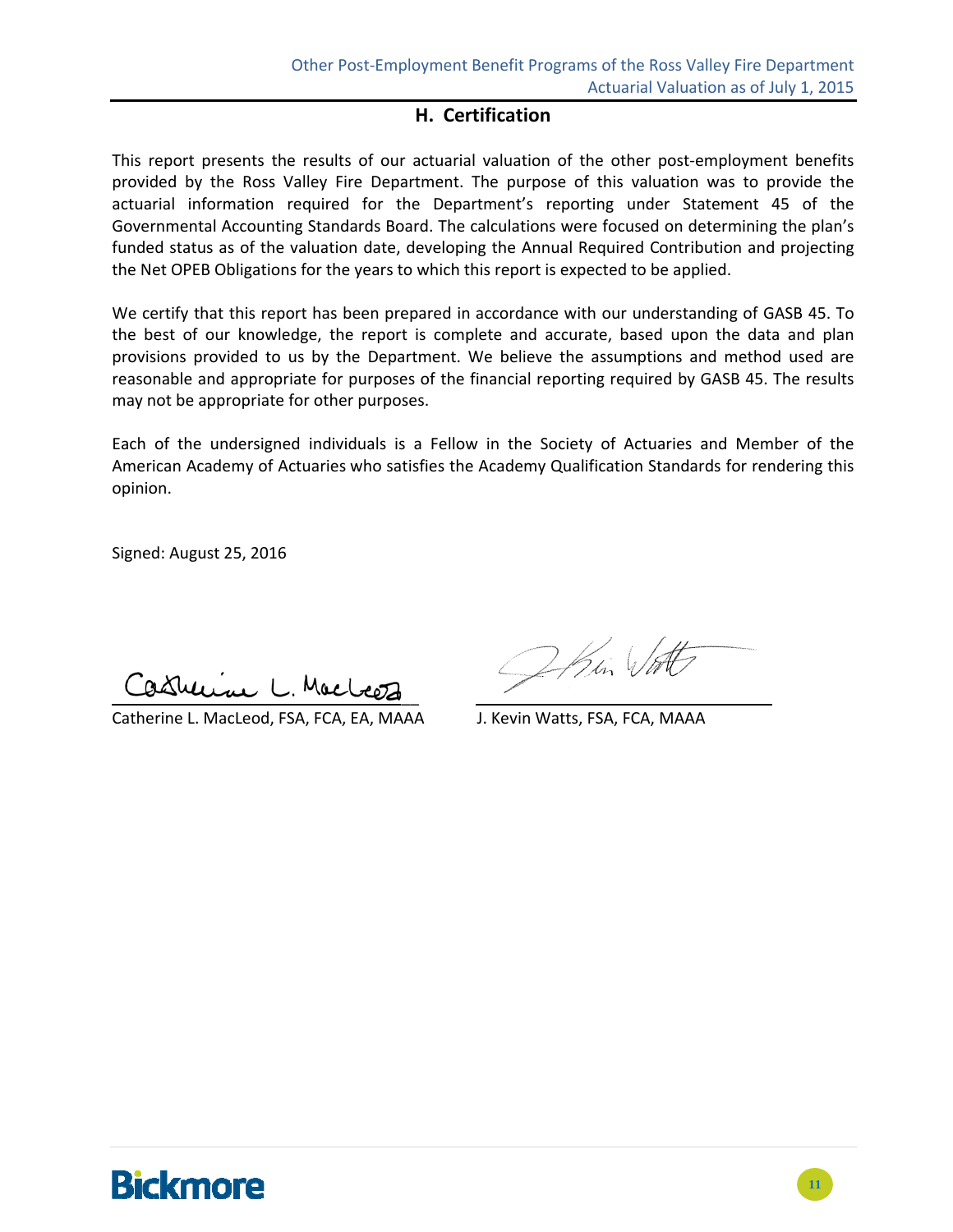### **H. Certification**

This report presents the results of our actuarial valuation of the other post-employment benefits provided by the Ross Valley Fire Department. The purpose of this valuation was to provide the actuarial information required for the Department's reporting under Statement 45 of the Governmental Accounting Standards Board. The calculations were focused on determining the plan's funded status as of the valuation date, developing the Annual Required Contribution and projecting the Net OPEB Obligations for the years to which this report is expected to be applied.

We certify that this report has been prepared in accordance with our understanding of GASB 45. To the best of our knowledge, the report is complete and accurate, based upon the data and plan provisions provided to us by the Department. We believe the assumptions and method used are reasonable and appropriate for purposes of the financial reporting required by GASB 45. The results may not be appropriate for other purposes.

Each of the undersigned individuals is a Fellow in the Society of Actuaries and Member of the American Academy of Actuaries who satisfies the Academy Qualification Standards for rendering this opinion.

Signed: August 25, 2016

ashering L. Macloon  $\overline{\phantom{a}}$ 

Catherine L. MacLeod, FSA, FCA, EA, MAAA J. Kevin Watts, FSA, FCA, MAAA

Ohin Vatt

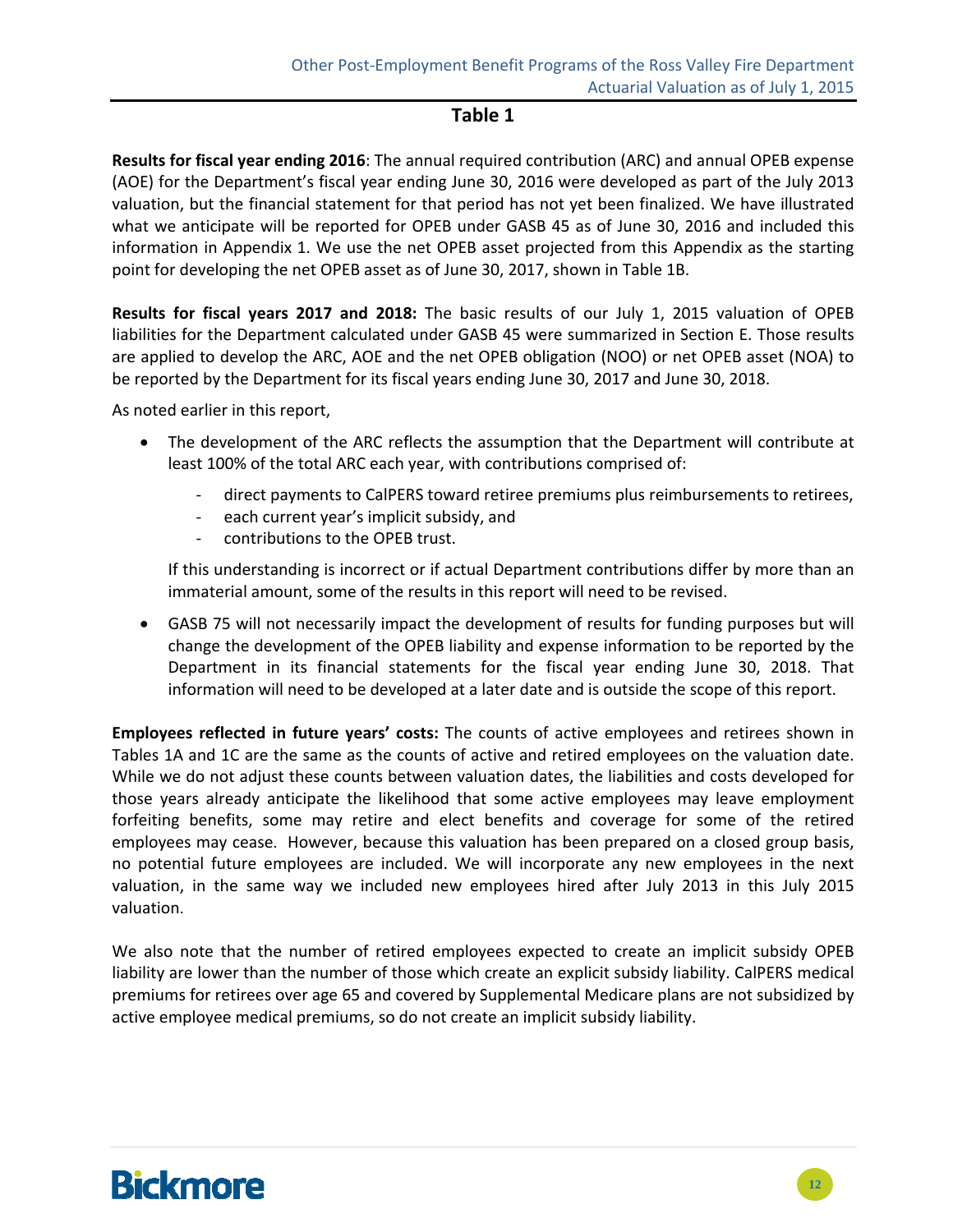#### **Table 1**

**Results for fiscal year ending 2016**: The annual required contribution (ARC) and annual OPEB expense (AOE) for the Department's fiscal year ending June 30, 2016 were developed as part of the July 2013 valuation, but the financial statement for that period has not yet been finalized. We have illustrated what we anticipate will be reported for OPEB under GASB 45 as of June 30, 2016 and included this information in Appendix 1. We use the net OPEB asset projected from this Appendix as the starting point for developing the net OPEB asset as of June 30, 2017, shown in Table 1B.

**Results for fiscal years 2017 and 2018:** The basic results of our July 1, 2015 valuation of OPEB liabilities for the Department calculated under GASB 45 were summarized in Section E. Those results are applied to develop the ARC, AOE and the net OPEB obligation (NOO) or net OPEB asset (NOA) to be reported by the Department for its fiscal years ending June 30, 2017 and June 30, 2018.

As noted earlier in this report,

- The development of the ARC reflects the assumption that the Department will contribute at least 100% of the total ARC each year, with contributions comprised of:
	- ‐ direct payments to CalPERS toward retiree premiums plus reimbursements to retirees,
	- ‐ each current year's implicit subsidy, and
	- ‐ contributions to the OPEB trust.

If this understanding is incorrect or if actual Department contributions differ by more than an immaterial amount, some of the results in this report will need to be revised.

 GASB 75 will not necessarily impact the development of results for funding purposes but will change the development of the OPEB liability and expense information to be reported by the Department in its financial statements for the fiscal year ending June 30, 2018. That information will need to be developed at a later date and is outside the scope of this report.

**Employees reflected in future years' costs:** The counts of active employees and retirees shown in Tables 1A and 1C are the same as the counts of active and retired employees on the valuation date. While we do not adjust these counts between valuation dates, the liabilities and costs developed for those years already anticipate the likelihood that some active employees may leave employment forfeiting benefits, some may retire and elect benefits and coverage for some of the retired employees may cease. However, because this valuation has been prepared on a closed group basis, no potential future employees are included. We will incorporate any new employees in the next valuation, in the same way we included new employees hired after July 2013 in this July 2015 valuation.

We also note that the number of retired employees expected to create an implicit subsidy OPEB liability are lower than the number of those which create an explicit subsidy liability. CalPERS medical premiums for retirees over age 65 and covered by Supplemental Medicare plans are not subsidized by active employee medical premiums, so do not create an implicit subsidy liability.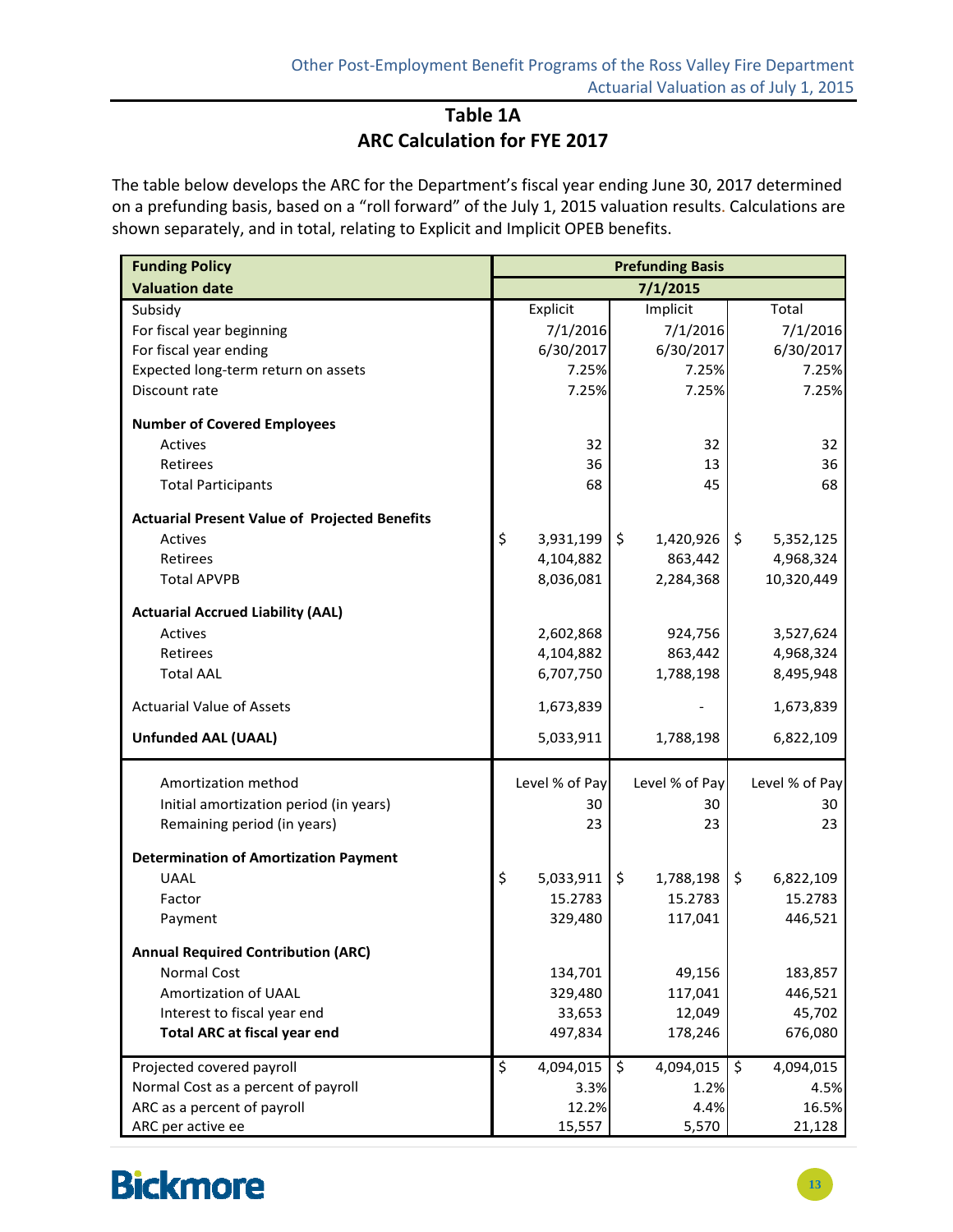### **Table 1A ARC Calculation for FYE 2017**

The table below develops the ARC for the Department's fiscal year ending June 30, 2017 determined on a prefunding basis, based on a "roll forward" of the July 1, 2015 valuation results. Calculations are shown separately, and in total, relating to Explicit and Implicit OPEB benefits.

| <b>Funding Policy</b>                                | <b>Prefunding Basis</b> |                |         |                |    |                |
|------------------------------------------------------|-------------------------|----------------|---------|----------------|----|----------------|
| <b>Valuation date</b>                                |                         |                |         | 7/1/2015       |    |                |
| Subsidy                                              |                         | Explicit       |         | Implicit       |    | Total          |
| For fiscal year beginning                            |                         | 7/1/2016       |         | 7/1/2016       |    | 7/1/2016       |
| For fiscal year ending                               |                         | 6/30/2017      |         | 6/30/2017      |    | 6/30/2017      |
| Expected long-term return on assets                  |                         | 7.25%          |         | 7.25%          |    | 7.25%          |
| Discount rate                                        |                         | 7.25%          |         | 7.25%          |    | 7.25%          |
| <b>Number of Covered Employees</b>                   |                         |                |         |                |    |                |
| <b>Actives</b>                                       |                         | 32             |         | 32             |    | 32             |
| Retirees                                             |                         | 36             |         | 13             |    | 36             |
| <b>Total Participants</b>                            |                         | 68             |         | 45             |    | 68             |
| <b>Actuarial Present Value of Projected Benefits</b> |                         |                |         |                |    |                |
| <b>Actives</b>                                       | \$                      | 3,931,199      | $\zeta$ | 1,420,926      | \$ | 5,352,125      |
| <b>Retirees</b>                                      |                         | 4,104,882      |         | 863,442        |    | 4,968,324      |
| <b>Total APVPB</b>                                   |                         | 8,036,081      |         | 2,284,368      |    | 10,320,449     |
| <b>Actuarial Accrued Liability (AAL)</b>             |                         |                |         |                |    |                |
| Actives                                              |                         | 2,602,868      |         | 924,756        |    | 3,527,624      |
| Retirees                                             |                         | 4,104,882      |         | 863,442        |    | 4,968,324      |
| <b>Total AAL</b>                                     |                         | 6,707,750      |         | 1,788,198      |    | 8,495,948      |
| <b>Actuarial Value of Assets</b>                     |                         | 1,673,839      |         |                |    | 1,673,839      |
| <b>Unfunded AAL (UAAL)</b>                           |                         | 5,033,911      |         | 1,788,198      |    | 6,822,109      |
| Amortization method                                  |                         | Level % of Pay |         | Level % of Pay |    | Level % of Pay |
| Initial amortization period (in years)               |                         | 30             |         | 30             |    | 30             |
| Remaining period (in years)                          |                         | 23             |         | 23             |    | 23             |
| <b>Determination of Amortization Payment</b>         |                         |                |         |                |    |                |
| <b>UAAL</b>                                          | \$                      | 5,033,911      | \$      | 1,788,198      | \$ | 6,822,109      |
| Factor                                               |                         | 15.2783        |         | 15.2783        |    | 15.2783        |
| Payment                                              |                         | 329,480        |         | 117,041        |    | 446,521        |
| <b>Annual Required Contribution (ARC)</b>            |                         |                |         |                |    |                |
| Normal Cost                                          |                         | 134,701        |         | 49,156         |    | 183,857        |
| Amortization of UAAL                                 |                         | 329,480        |         | 117,041        |    | 446,521        |
| Interest to fiscal year end                          |                         | 33,653         |         | 12,049         |    | 45,702         |
| <b>Total ARC at fiscal year end</b>                  |                         | 497,834        |         | 178,246        |    | 676,080        |
| Projected covered payroll                            | \$                      | 4,094,015      | \$      | 4,094,015      | \$ | 4,094,015      |
| Normal Cost as a percent of payroll                  |                         | 3.3%           |         | 1.2%           |    | 4.5%           |
| ARC as a percent of payroll                          |                         | 12.2%          |         | 4.4%           |    | 16.5%          |
| ARC per active ee                                    |                         | 15,557         |         | 5,570          |    | 21,128         |

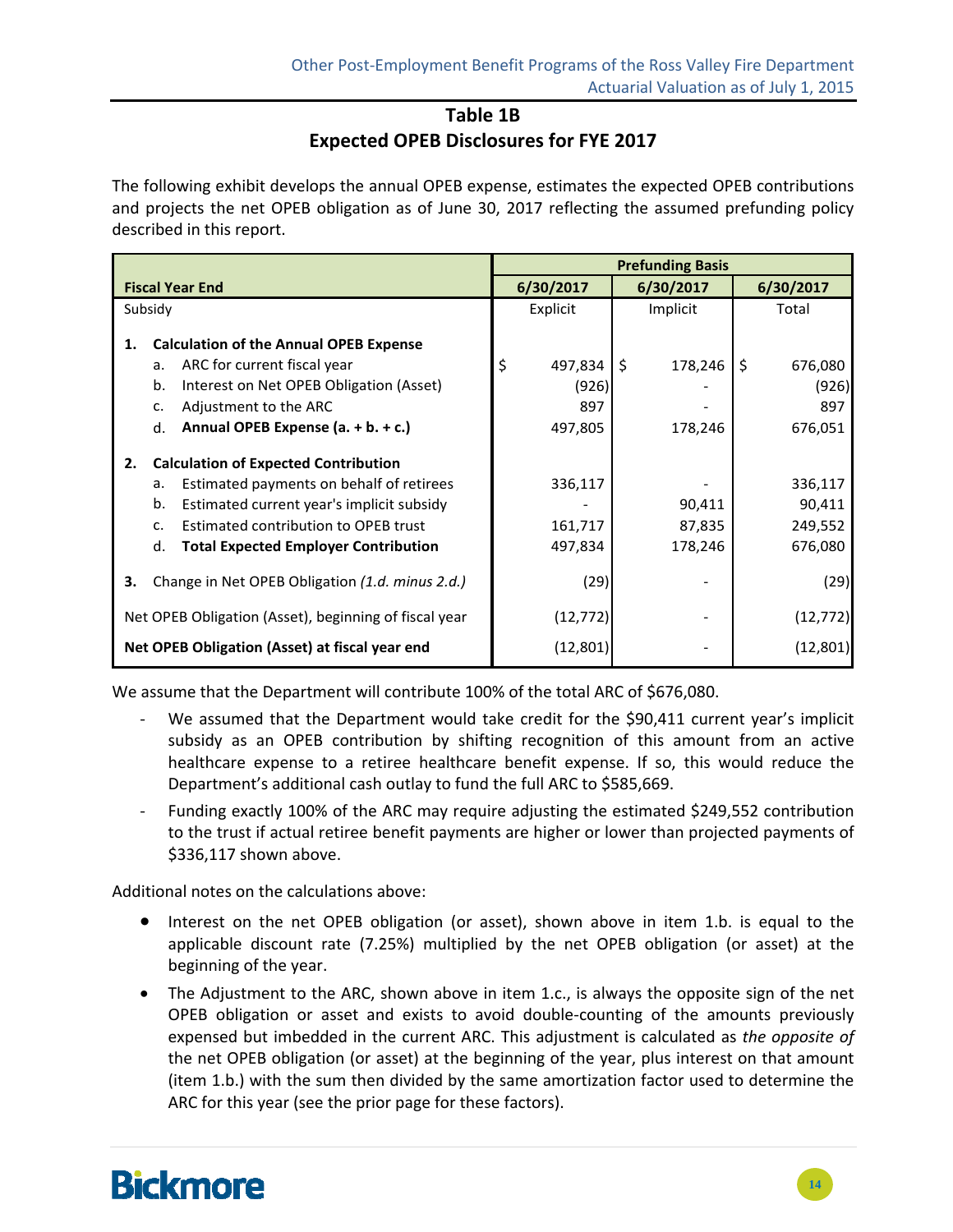### **Table 1B Expected OPEB Disclosures for FYE 2017**

The following exhibit develops the annual OPEB expense, estimates the expected OPEB contributions and projects the net OPEB obligation as of June 30, 2017 reflecting the assumed prefunding policy described in this report.

|                                                                                                                                                                                                                                                           | <b>Prefunding Basis</b>                  |                             |                                          |  |  |
|-----------------------------------------------------------------------------------------------------------------------------------------------------------------------------------------------------------------------------------------------------------|------------------------------------------|-----------------------------|------------------------------------------|--|--|
| <b>Fiscal Year End</b>                                                                                                                                                                                                                                    | 6/30/2017                                | 6/30/2017                   | 6/30/2017                                |  |  |
| Subsidy                                                                                                                                                                                                                                                   | Explicit                                 | Implicit                    | Total                                    |  |  |
| <b>Calculation of the Annual OPEB Expense</b><br>1.<br>ARC for current fiscal year<br>a.<br>Interest on Net OPEB Obligation (Asset)<br>b.<br>Adjustment to the ARC<br>c.<br>Annual OPEB Expense (a. + b. + c.)<br>d.                                      | \$<br>497,834<br>(926)<br>897<br>497,805 | \$<br>178,246<br>178,246    | \$<br>676,080<br>(926)<br>897<br>676,051 |  |  |
| <b>Calculation of Expected Contribution</b><br>2.<br>Estimated payments on behalf of retirees<br>a.<br>b.<br>Estimated current year's implicit subsidy<br>Estimated contribution to OPEB trust<br>c.<br><b>Total Expected Employer Contribution</b><br>d. | 336,117<br>161,717<br>497,834            | 90,411<br>87,835<br>178,246 | 336,117<br>90,411<br>249,552<br>676,080  |  |  |
| Change in Net OPEB Obligation (1.d. minus 2.d.)<br>з.                                                                                                                                                                                                     | (29)                                     |                             | (29)                                     |  |  |
| Net OPEB Obligation (Asset), beginning of fiscal year                                                                                                                                                                                                     | (12, 772)                                |                             | (12, 772)                                |  |  |
| Net OPEB Obligation (Asset) at fiscal year end                                                                                                                                                                                                            | (12, 801)                                |                             | (12, 801)                                |  |  |

We assume that the Department will contribute 100% of the total ARC of \$676,080.

- We assumed that the Department would take credit for the \$90,411 current year's implicit subsidy as an OPEB contribution by shifting recognition of this amount from an active healthcare expense to a retiree healthcare benefit expense. If so, this would reduce the Department's additional cash outlay to fund the full ARC to \$585,669.
- ‐ Funding exactly 100% of the ARC may require adjusting the estimated \$249,552 contribution to the trust if actual retiree benefit payments are higher or lower than projected payments of \$336,117 shown above.

Additional notes on the calculations above:

- Interest on the net OPEB obligation (or asset), shown above in item 1.b. is equal to the applicable discount rate (7.25%) multiplied by the net OPEB obligation (or asset) at the beginning of the year.
- The Adjustment to the ARC, shown above in item 1.c., is always the opposite sign of the net OPEB obligation or asset and exists to avoid double‐counting of the amounts previously expensed but imbedded in the current ARC. This adjustment is calculated as *the opposite of* the net OPEB obligation (or asset) at the beginning of the year, plus interest on that amount (item 1.b.) with the sum then divided by the same amortization factor used to determine the ARC for this year (see the prior page for these factors).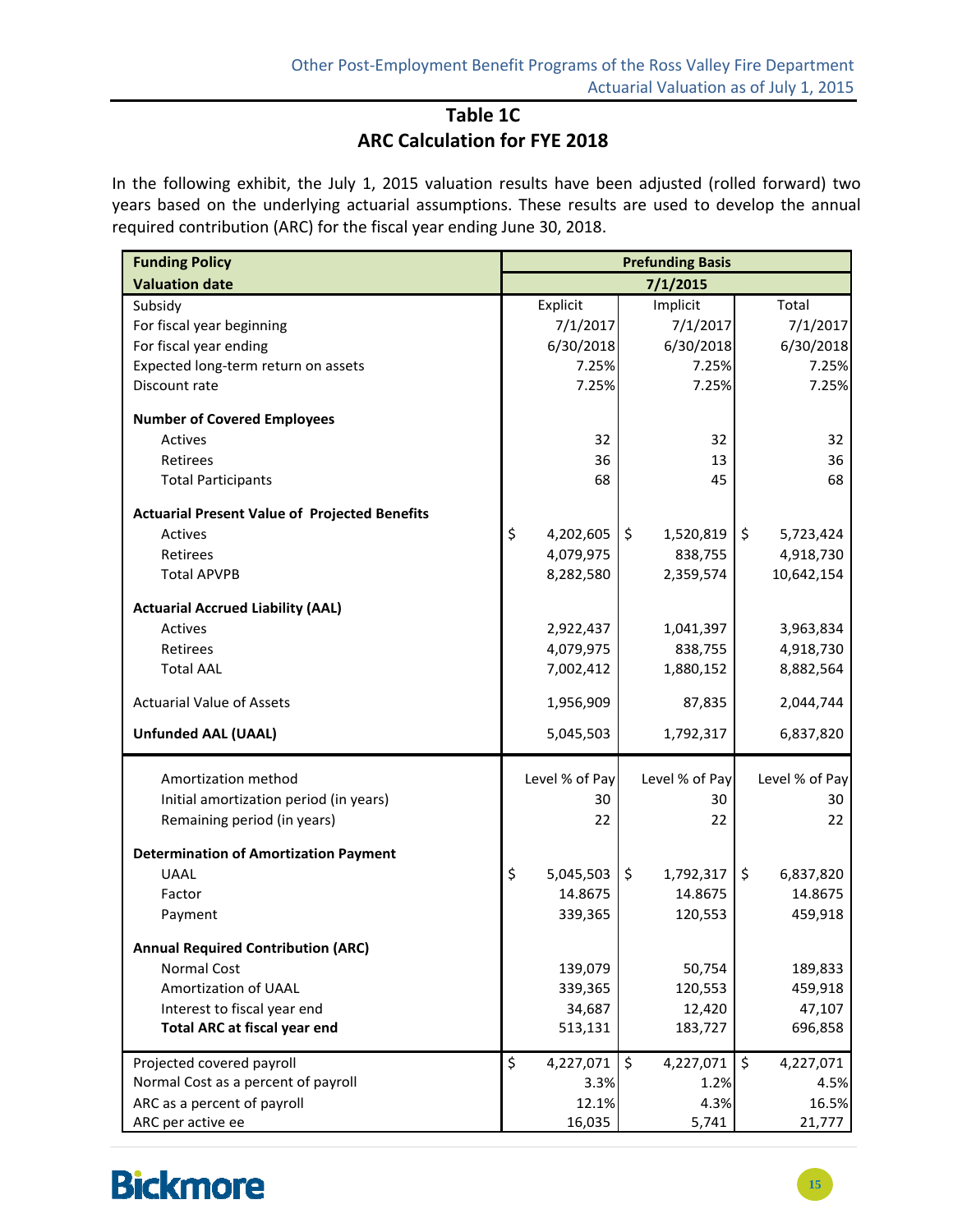### **Table 1C ARC Calculation for FYE 2018**

In the following exhibit, the July 1, 2015 valuation results have been adjusted (rolled forward) two years based on the underlying actuarial assumptions. These results are used to develop the annual required contribution (ARC) for the fiscal year ending June 30, 2018.

| <b>Funding Policy</b>                                | <b>Prefunding Basis</b> |                |                     |                |                     |                |
|------------------------------------------------------|-------------------------|----------------|---------------------|----------------|---------------------|----------------|
| <b>Valuation date</b>                                |                         |                |                     | 7/1/2015       |                     |                |
| Subsidy                                              |                         | Explicit       |                     | Implicit       |                     | Total          |
| For fiscal year beginning                            |                         | 7/1/2017       |                     | 7/1/2017       |                     | 7/1/2017       |
| For fiscal year ending                               |                         | 6/30/2018      |                     | 6/30/2018      |                     | 6/30/2018      |
| Expected long-term return on assets                  |                         | 7.25%          |                     | 7.25%          |                     | 7.25%          |
| Discount rate                                        |                         | 7.25%          |                     | 7.25%          |                     | 7.25%          |
| <b>Number of Covered Employees</b>                   |                         |                |                     |                |                     |                |
| <b>Actives</b>                                       |                         | 32             |                     | 32             |                     | 32             |
| Retirees                                             |                         | 36             |                     | 13             |                     | 36             |
| <b>Total Participants</b>                            |                         | 68             |                     | 45             |                     | 68             |
| <b>Actuarial Present Value of Projected Benefits</b> |                         |                |                     |                |                     |                |
| Actives                                              | \$                      | 4,202,605      | $\ddot{\mathsf{S}}$ | 1,520,819      | $\zeta$             | 5,723,424      |
| <b>Retirees</b>                                      |                         | 4,079,975      |                     | 838,755        |                     | 4,918,730      |
| <b>Total APVPB</b>                                   |                         | 8,282,580      |                     | 2,359,574      |                     | 10,642,154     |
| <b>Actuarial Accrued Liability (AAL)</b>             |                         |                |                     |                |                     |                |
| <b>Actives</b>                                       |                         | 2,922,437      |                     | 1,041,397      |                     | 3,963,834      |
| Retirees                                             |                         | 4,079,975      |                     | 838,755        |                     | 4,918,730      |
| <b>Total AAL</b>                                     |                         | 7,002,412      |                     | 1,880,152      |                     | 8,882,564      |
| <b>Actuarial Value of Assets</b>                     |                         | 1,956,909      |                     | 87,835         |                     | 2,044,744      |
| <b>Unfunded AAL (UAAL)</b>                           |                         | 5,045,503      |                     | 1,792,317      |                     | 6,837,820      |
| Amortization method                                  |                         | Level % of Pay |                     | Level % of Pay |                     | Level % of Pay |
| Initial amortization period (in years)               |                         | 30             |                     | 30             |                     | 30             |
| Remaining period (in years)                          |                         | 22             |                     | 22             |                     | 22             |
| <b>Determination of Amortization Payment</b>         |                         |                |                     |                |                     |                |
| <b>UAAL</b>                                          | \$                      | 5,045,503      | $\ddot{\mathsf{S}}$ | 1,792,317      | $\ddot{\mathsf{S}}$ | 6,837,820      |
| Factor                                               |                         | 14.8675        |                     | 14.8675        |                     | 14.8675        |
| Payment                                              |                         | 339,365        |                     | 120,553        |                     | 459,918        |
|                                                      |                         |                |                     |                |                     |                |
| <b>Annual Required Contribution (ARC)</b>            |                         |                |                     |                |                     |                |
| Normal Cost                                          |                         | 139,079        |                     | 50,754         |                     | 189,833        |
| Amortization of UAAL                                 |                         | 339,365        |                     | 120,553        |                     | 459,918        |
| Interest to fiscal year end                          |                         | 34,687         |                     | 12,420         |                     | 47,107         |
| <b>Total ARC at fiscal year end</b>                  |                         | 513,131        |                     | 183,727        |                     | 696,858        |
| Projected covered payroll                            | \$                      | 4,227,071      | \$                  | 4,227,071      | $\ddot{\mathsf{S}}$ | 4,227,071      |
| Normal Cost as a percent of payroll                  |                         | 3.3%           |                     | 1.2%           |                     | 4.5%           |
| ARC as a percent of payroll                          |                         | 12.1%          |                     | 4.3%           |                     | 16.5%          |
| ARC per active ee                                    |                         | 16,035         |                     | 5,741          |                     | 21,777         |

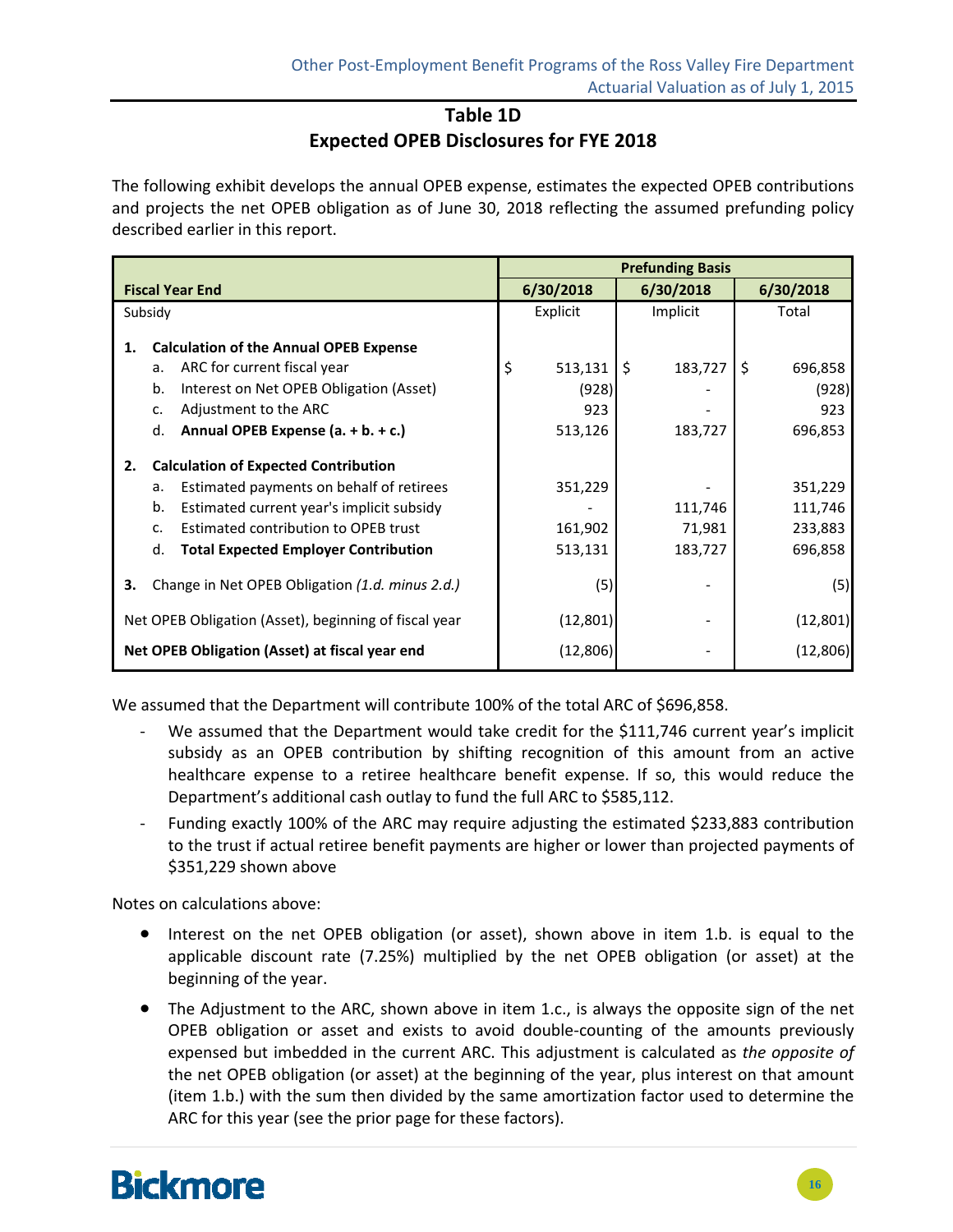### **Table 1D Expected OPEB Disclosures for FYE 2018**

The following exhibit develops the annual OPEB expense, estimates the expected OPEB contributions and projects the net OPEB obligation as of June 30, 2018 reflecting the assumed prefunding policy described earlier in this report.

|                                                                                                         |                                                                                                                                                                                                                                                                 | <b>Prefunding Basis</b> |                               |    |                              |    |                                          |
|---------------------------------------------------------------------------------------------------------|-----------------------------------------------------------------------------------------------------------------------------------------------------------------------------------------------------------------------------------------------------------------|-------------------------|-------------------------------|----|------------------------------|----|------------------------------------------|
|                                                                                                         | <b>Fiscal Year End</b>                                                                                                                                                                                                                                          |                         | 6/30/2018                     |    | 6/30/2018                    |    | 6/30/2018                                |
|                                                                                                         | Subsidy                                                                                                                                                                                                                                                         |                         | Explicit                      |    | Implicit                     |    | Total                                    |
| 1.                                                                                                      | <b>Calculation of the Annual OPEB Expense</b><br>ARC for current fiscal year<br>a.<br>Interest on Net OPEB Obligation (Asset)<br>b.<br>Adjustment to the ARC<br>c.                                                                                              | \$                      | 513,131<br>(928)<br>923       | Ŝ. | 183,727                      | Ŝ. | 696,858<br>(928)<br>923                  |
|                                                                                                         | Annual OPEB Expense (a. + b. + c.)<br>d.                                                                                                                                                                                                                        |                         | 513,126                       |    | 183,727                      |    | 696,853                                  |
| 2.                                                                                                      | <b>Calculation of Expected Contribution</b><br>Estimated payments on behalf of retirees<br>a.<br>b.<br>Estimated current year's implicit subsidy<br>Estimated contribution to OPEB trust<br>$\mathsf{C}$ .<br>d.<br><b>Total Expected Employer Contribution</b> |                         | 351,229<br>161,902<br>513,131 |    | 111,746<br>71,981<br>183,727 |    | 351,229<br>111,746<br>233,883<br>696,858 |
| Change in Net OPEB Obligation (1.d. minus 2.d.)<br>З.                                                   |                                                                                                                                                                                                                                                                 |                         | (5)                           |    |                              |    | (5)                                      |
| Net OPEB Obligation (Asset), beginning of fiscal year<br>Net OPEB Obligation (Asset) at fiscal year end |                                                                                                                                                                                                                                                                 |                         | (12, 801)<br>(12, 806)        |    |                              |    | (12, 801)<br>(12, 806)                   |

We assumed that the Department will contribute 100% of the total ARC of \$696,858.

- ‐ We assumed that the Department would take credit for the \$111,746 current year's implicit subsidy as an OPEB contribution by shifting recognition of this amount from an active healthcare expense to a retiree healthcare benefit expense. If so, this would reduce the Department's additional cash outlay to fund the full ARC to \$585,112.
- ‐ Funding exactly 100% of the ARC may require adjusting the estimated \$233,883 contribution to the trust if actual retiree benefit payments are higher or lower than projected payments of \$351,229 shown above

Notes on calculations above:

- Interest on the net OPEB obligation (or asset), shown above in item 1.b. is equal to the applicable discount rate (7.25%) multiplied by the net OPEB obligation (or asset) at the beginning of the year.
- The Adjustment to the ARC, shown above in item 1.c., is always the opposite sign of the net OPEB obligation or asset and exists to avoid double‐counting of the amounts previously expensed but imbedded in the current ARC. This adjustment is calculated as *the opposite of* the net OPEB obligation (or asset) at the beginning of the year, plus interest on that amount (item 1.b.) with the sum then divided by the same amortization factor used to determine the ARC for this year (see the prior page for these factors).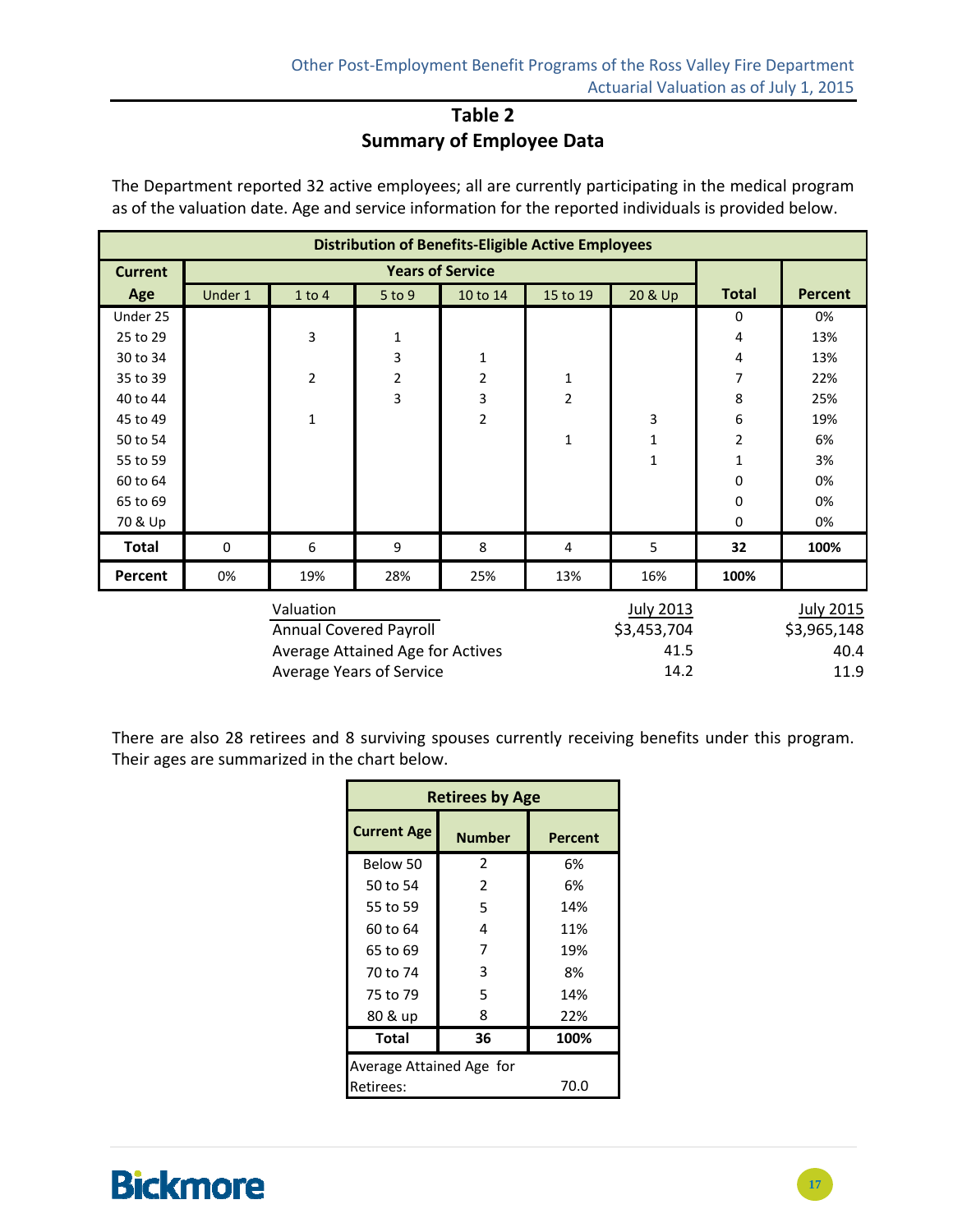### **Table 2 Summary of Employee Data**

The Department reported 32 active employees; all are currently participating in the medical program as of the valuation date. Age and service information for the reported individuals is provided below.

|                | <b>Distribution of Benefits-Eligible Active Employees</b> |                |            |                |                |                  |                |                  |  |  |  |  |
|----------------|-----------------------------------------------------------|----------------|------------|----------------|----------------|------------------|----------------|------------------|--|--|--|--|
| <b>Current</b> |                                                           |                |            |                |                |                  |                |                  |  |  |  |  |
| Age            | Under 1                                                   | $1$ to $4$     | $5$ to $9$ | 10 to 14       | 15 to 19       | 20 & Up          | <b>Total</b>   | <b>Percent</b>   |  |  |  |  |
| Under 25       |                                                           |                |            |                |                |                  | 0              | 0%               |  |  |  |  |
| 25 to 29       |                                                           | 3              | 1          |                |                |                  | 4              | 13%              |  |  |  |  |
| 30 to 34       |                                                           |                | 3          | $\mathbf 1$    |                |                  | 4              | 13%              |  |  |  |  |
| 35 to 39       |                                                           | $\overline{2}$ | 2          | $\overline{2}$ | $\mathbf 1$    |                  | 7              | 22%              |  |  |  |  |
| 40 to 44       |                                                           |                | 3          | 3              | $\overline{2}$ |                  | 8              | 25%              |  |  |  |  |
| 45 to 49       |                                                           | $\mathbf{1}$   |            | $\overline{2}$ |                | 3                | 6              | 19%              |  |  |  |  |
| 50 to 54       |                                                           |                |            |                | $\mathbf{1}$   | $\mathbf{1}$     | $\overline{2}$ | 6%               |  |  |  |  |
| 55 to 59       |                                                           |                |            |                |                | $\mathbf{1}$     | 1              | 3%               |  |  |  |  |
| 60 to 64       |                                                           |                |            |                |                |                  | 0              | 0%               |  |  |  |  |
| 65 to 69       |                                                           |                |            |                |                |                  | 0              | 0%               |  |  |  |  |
| 70 & Up        |                                                           |                |            |                |                |                  | 0              | 0%               |  |  |  |  |
| <b>Total</b>   | $\mathbf 0$                                               | 6              | 9          | 8              | 4              | 5                | 32             | 100%             |  |  |  |  |
| Percent        | 0%                                                        | 19%            | 28%        | 25%            | 13%            | 16%              | 100%           |                  |  |  |  |  |
|                |                                                           | Valuation      |            |                |                | <b>July 2013</b> |                | <b>July 2015</b> |  |  |  |  |

| <b>JUIV ZULS</b> | <b>CTOZ AINL</b> |
|------------------|------------------|
| \$3,453,704      | \$3,965,148      |
| 41.5             | 40.4             |
| 14.2             | 11.9             |
|                  |                  |

There are also 28 retirees and 8 surviving spouses currently receiving benefits under this program. Their ages are summarized in the chart below.

| <b>Retirees by Age</b>   |                |      |  |  |  |  |  |  |
|--------------------------|----------------|------|--|--|--|--|--|--|
| <b>Current Age</b>       | Percent        |      |  |  |  |  |  |  |
| Below 50                 | 2              | 6%   |  |  |  |  |  |  |
| 50 to 54                 | $\mathfrak{p}$ | 6%   |  |  |  |  |  |  |
| 55 to 59                 | 5              | 14%  |  |  |  |  |  |  |
| 60 to 64                 | 4              | 11%  |  |  |  |  |  |  |
| 65 to 69                 | 7              | 19%  |  |  |  |  |  |  |
| 70 to 74                 | 3              | 8%   |  |  |  |  |  |  |
| 75 to 79                 | 5              | 14%  |  |  |  |  |  |  |
| 80 & up                  | 8              | 22%  |  |  |  |  |  |  |
| <b>Total</b>             | 36             | 100% |  |  |  |  |  |  |
| Average Attained Age for |                |      |  |  |  |  |  |  |
| Retirees:                |                | 70.0 |  |  |  |  |  |  |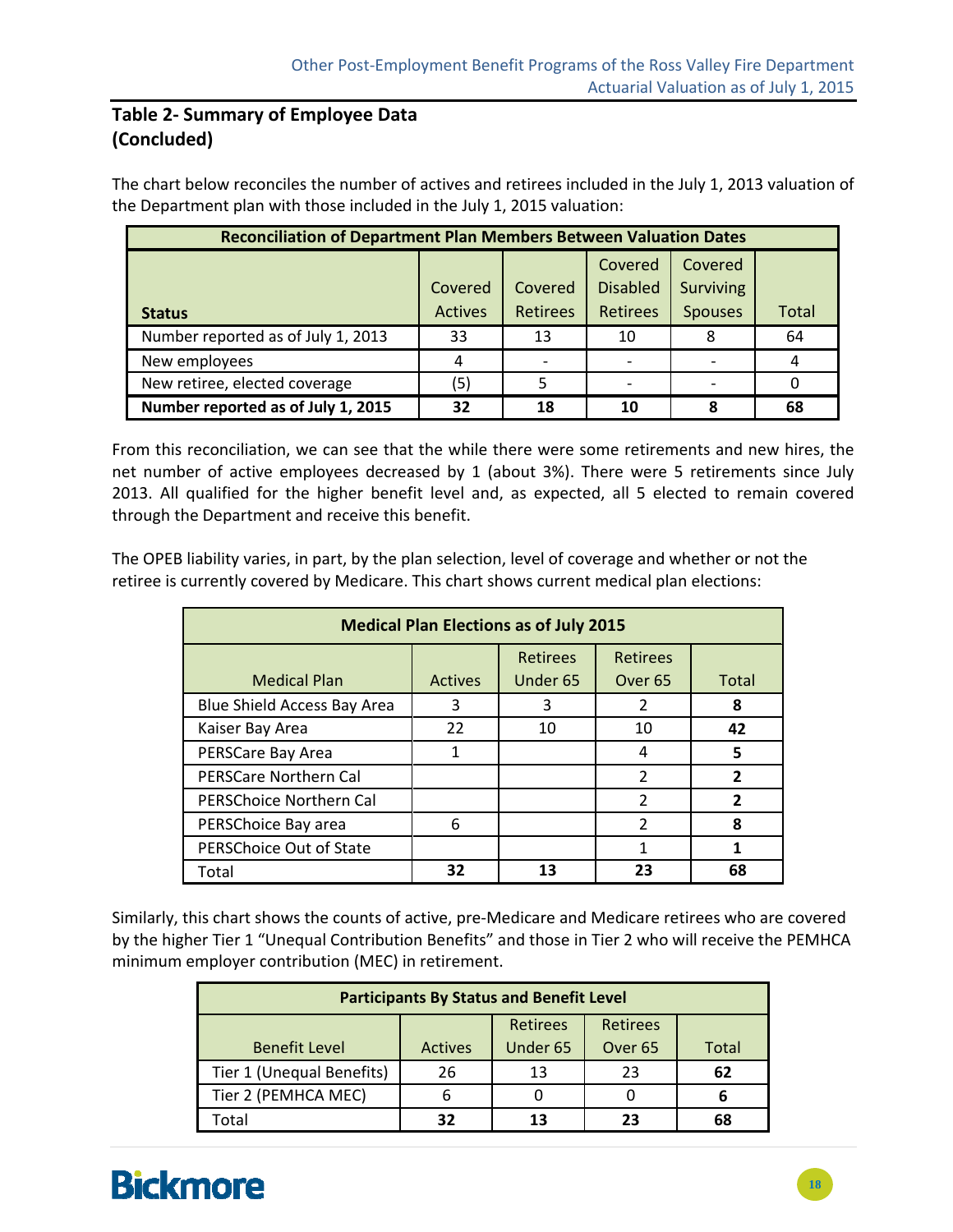### **Table 2‐ Summary of Employee Data (Concluded)**

The chart below reconciles the number of actives and retirees included in the July 1, 2013 valuation of the Department plan with those included in the July 1, 2015 valuation:

| <b>Reconciliation of Department Plan Members Between Valuation Dates</b> |                           |                            |                                               |                                               |              |  |  |  |  |  |
|--------------------------------------------------------------------------|---------------------------|----------------------------|-----------------------------------------------|-----------------------------------------------|--------------|--|--|--|--|--|
| <b>Status</b>                                                            | Covered<br><b>Actives</b> | Covered<br><b>Retirees</b> | Covered<br><b>Disabled</b><br><b>Retirees</b> | Covered<br><b>Surviving</b><br><b>Spouses</b> | <b>Total</b> |  |  |  |  |  |
| Number reported as of July 1, 2013                                       | 33                        | 13                         | 10                                            |                                               | 64           |  |  |  |  |  |
| New employees                                                            | 4                         |                            |                                               |                                               | 4            |  |  |  |  |  |
| New retiree, elected coverage                                            | (5)                       |                            |                                               |                                               |              |  |  |  |  |  |
| Number reported as of July 1, 2015                                       | 32                        | 18                         | 10                                            | ጸ                                             | 68           |  |  |  |  |  |

From this reconciliation, we can see that the while there were some retirements and new hires, the net number of active employees decreased by 1 (about 3%). There were 5 retirements since July 2013. All qualified for the higher benefit level and, as expected, all 5 elected to remain covered through the Department and receive this benefit.

The OPEB liability varies, in part, by the plan selection, level of coverage and whether or not the retiree is currently covered by Medicare. This chart shows current medical plan elections:

| <b>Medical Plan Elections as of July 2015</b> |                |                             |                                       |       |  |  |  |  |  |
|-----------------------------------------------|----------------|-----------------------------|---------------------------------------|-------|--|--|--|--|--|
| <b>Medical Plan</b>                           | <b>Actives</b> | <b>Retirees</b><br>Under 65 | <b>Retirees</b><br>Over <sub>65</sub> | Total |  |  |  |  |  |
| Blue Shield Access Bay Area                   | 3              | ξ                           |                                       | 8     |  |  |  |  |  |
| Kaiser Bay Area                               | 22             | 10                          | 10                                    | 42    |  |  |  |  |  |
| PERSCare Bay Area                             |                |                             | 4                                     | 5     |  |  |  |  |  |
| <b>PERSCare Northern Cal</b>                  |                |                             | 2                                     |       |  |  |  |  |  |
| <b>PERSChoice Northern Cal</b>                |                |                             | $\mathcal{P}$                         |       |  |  |  |  |  |
| PERSChoice Bay area                           | 6              |                             | 2                                     | я     |  |  |  |  |  |
| PERSChoice Out of State                       |                |                             |                                       |       |  |  |  |  |  |
| Total                                         | 32             |                             | 23                                    | 68    |  |  |  |  |  |

Similarly, this chart shows the counts of active, pre‐Medicare and Medicare retirees who are covered by the higher Tier 1 "Unequal Contribution Benefits" and those in Tier 2 who will receive the PEMHCA minimum employer contribution (MEC) in retirement.

| <b>Participants By Status and Benefit Level</b> |                |          |                    |       |  |  |  |  |  |
|-------------------------------------------------|----------------|----------|--------------------|-------|--|--|--|--|--|
| <b>Retirees</b><br><b>Retirees</b>              |                |          |                    |       |  |  |  |  |  |
| <b>Benefit Level</b>                            | <b>Actives</b> | Under 65 | Over <sub>65</sub> | Total |  |  |  |  |  |
| Tier 1 (Unequal Benefits)                       | 26             | 13       | 23                 | 62    |  |  |  |  |  |
| Tier 2 (PEMHCA MEC)                             | 6              |          |                    |       |  |  |  |  |  |
| Total                                           | 32             | 13       | 23                 | 68    |  |  |  |  |  |

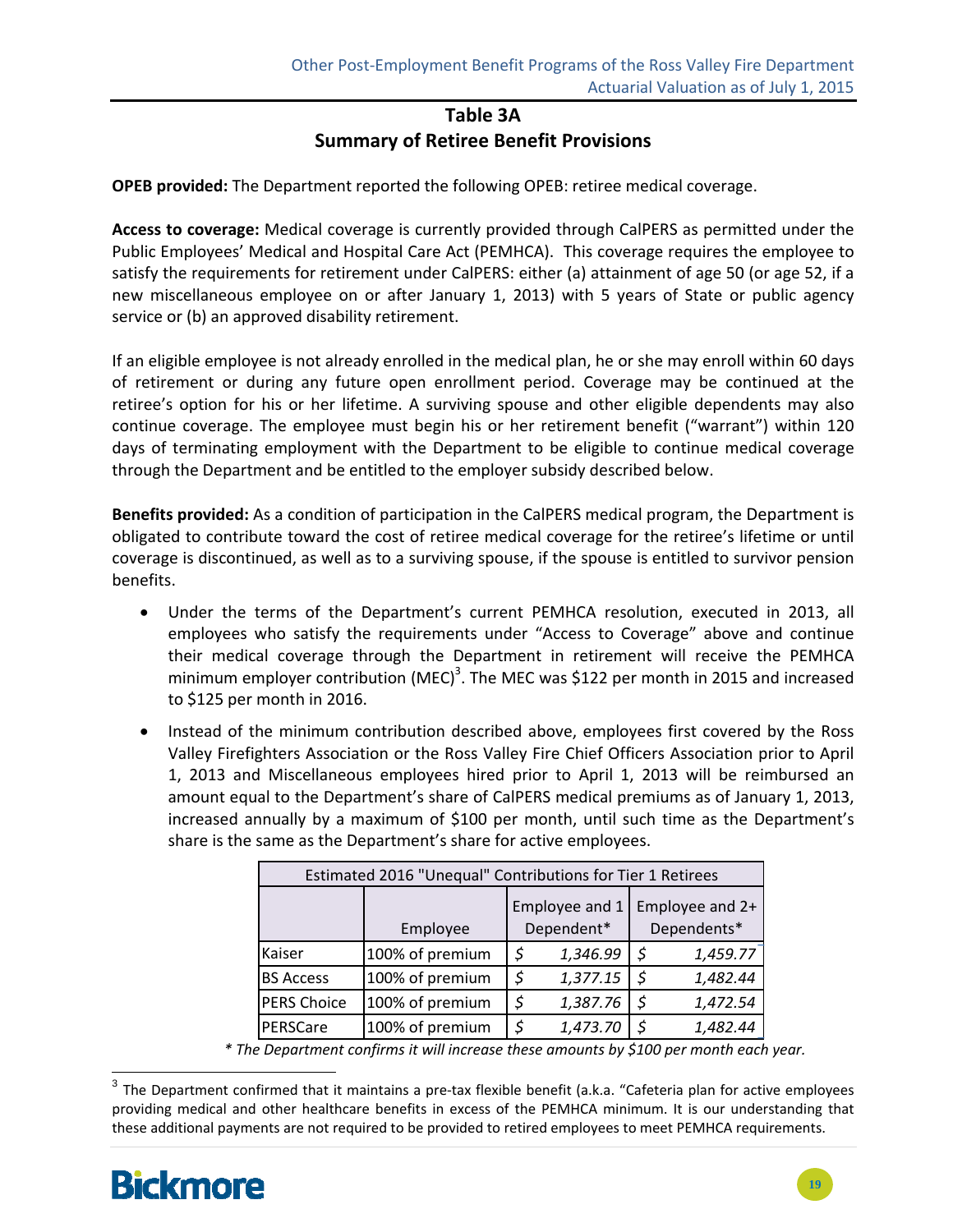### **Table 3A Summary of Retiree Benefit Provisions**

**OPEB provided:** The Department reported the following OPEB: retiree medical coverage.

**Access to coverage:** Medical coverage is currently provided through CalPERS as permitted under the Public Employees' Medical and Hospital Care Act (PEMHCA). This coverage requires the employee to satisfy the requirements for retirement under CalPERS: either (a) attainment of age 50 (or age 52, if a new miscellaneous employee on or after January 1, 2013) with 5 years of State or public agency service or (b) an approved disability retirement.

If an eligible employee is not already enrolled in the medical plan, he or she may enroll within 60 days of retirement or during any future open enrollment period. Coverage may be continued at the retiree's option for his or her lifetime. A surviving spouse and other eligible dependents may also continue coverage. The employee must begin his or her retirement benefit ("warrant") within 120 days of terminating employment with the Department to be eligible to continue medical coverage through the Department and be entitled to the employer subsidy described below.

**Benefits provided:** As a condition of participation in the CalPERS medical program, the Department is obligated to contribute toward the cost of retiree medical coverage for the retiree's lifetime or until coverage is discontinued, as well as to a surviving spouse, if the spouse is entitled to survivor pension benefits.

- Under the terms of the Department's current PEMHCA resolution, executed in 2013, all employees who satisfy the requirements under "Access to Coverage" above and continue their medical coverage through the Department in retirement will receive the PEMHCA minimum employer contribution (MEC)<sup>3</sup>. The MEC was \$122 per month in 2015 and increased to \$125 per month in 2016.
- Instead of the minimum contribution described above, employees first covered by the Ross Valley Firefighters Association or the Ross Valley Fire Chief Officers Association prior to April 1, 2013 and Miscellaneous employees hired prior to April 1, 2013 will be reimbursed an amount equal to the Department's share of CalPERS medical premiums as of January 1, 2013, increased annually by a maximum of \$100 per month, until such time as the Department's share is the same as the Department's share for active employees.

| Estimated 2016 "Unequal" Contributions for Tier 1 Retirees |                 |    |                              |    |                                |  |  |  |  |
|------------------------------------------------------------|-----------------|----|------------------------------|----|--------------------------------|--|--|--|--|
|                                                            | Employee        |    | Employee and 1<br>Dependent* |    | Employee and 2+<br>Dependents* |  |  |  |  |
| Kaiser                                                     | 100% of premium | \$ | 1,346.99                     | \$ | 1,459.77                       |  |  |  |  |
| <b>BS Access</b>                                           | 100% of premium | \$ | 1,377.15                     | -S | 1,482.44                       |  |  |  |  |
| <b>PERS Choice</b>                                         | 100% of premium | \$ | 1,387.76                     | \$ | 1,472.54                       |  |  |  |  |
| PERSCare                                                   | 100% of premium | \$ | 1,473.70                     |    | 1,482.44                       |  |  |  |  |

*\* The Department confirms it will increase these amounts by \$100 per month each year.*

 $3$  The Department confirmed that it maintains a pre-tax flexible benefit (a.k.a. "Cafeteria plan for active employees providing medical and other healthcare benefits in excess of the PEMHCA minimum. It is our understanding that these additional payments are not required to be provided to retired employees to meet PEMHCA requirements.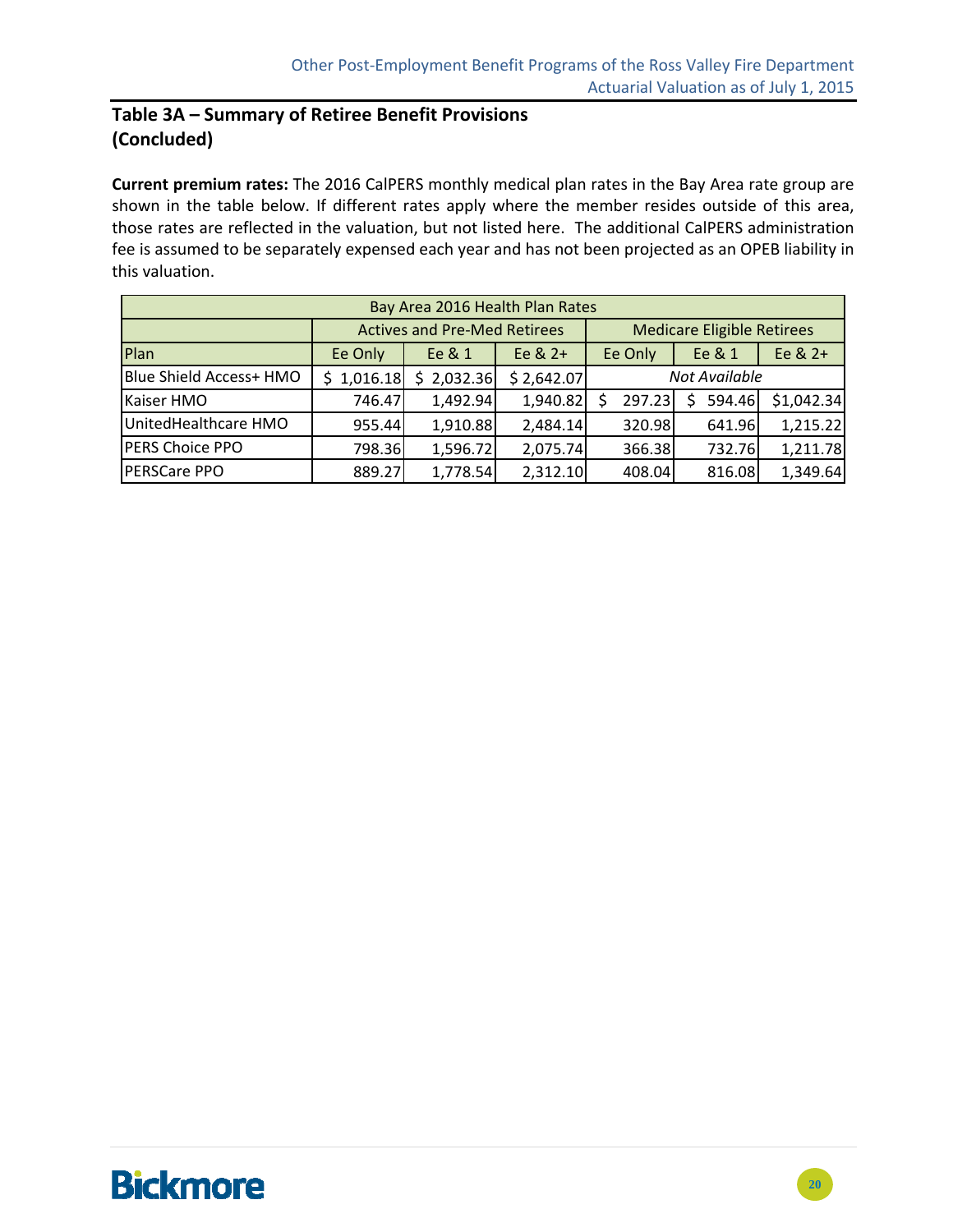### **Table 3A – Summary of Retiree Benefit Provisions (Concluded)**

**Current premium rates:** The 2016 CalPERS monthly medical plan rates in the Bay Area rate group are shown in the table below. If different rates apply where the member resides outside of this area, those rates are reflected in the valuation, but not listed here. The additional CalPERS administration fee is assumed to be separately expensed each year and has not been projected as an OPEB liability in this valuation.

| Bay Area 2016 Health Plan Rates |          |                                     |            |               |                                   |            |  |  |  |  |
|---------------------------------|----------|-------------------------------------|------------|---------------|-----------------------------------|------------|--|--|--|--|
|                                 |          | <b>Actives and Pre-Med Retirees</b> |            |               | <b>Medicare Eligible Retirees</b> |            |  |  |  |  |
| Plan                            | Ee Only  | Ee & 1                              | Ee $& 2+$  | Ee Only       | Ee & 1                            | Ee & 2+    |  |  |  |  |
| Blue Shield Access+ HMO         | 1,016.18 | 2,032.36                            | \$2,642.07 | Not Available |                                   |            |  |  |  |  |
| Kaiser HMO                      | 746.47   | 1,492.94                            | 1,940.82   | 297.23        | 594.46                            | \$1,042.34 |  |  |  |  |
| UnitedHealthcare HMO            | 955.44   | 1,910.88                            | 2,484.14   | 320.98        | 641.96                            | 1,215.22   |  |  |  |  |
| <b>PERS Choice PPO</b>          | 798.36   | 1,596.72                            | 2,075.74   | 366.38        | 732.76                            | 1,211.78   |  |  |  |  |
| <b>PERSCare PPO</b>             | 889.27   | 1,778.54                            | 2,312.10   | 408.04        | 816.08                            | 1,349.64   |  |  |  |  |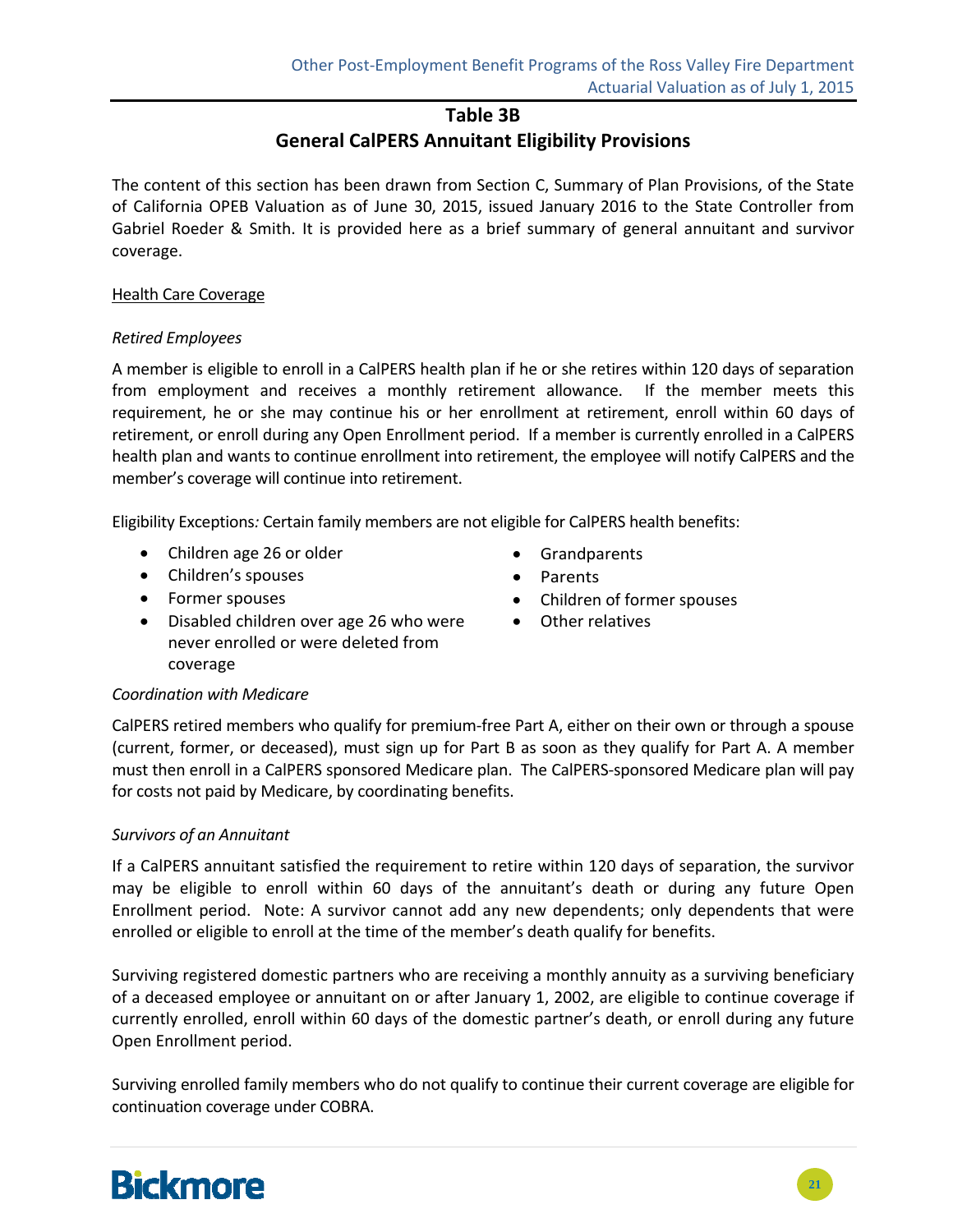### **Table 3B**

### **General CalPERS Annuitant Eligibility Provisions**

The content of this section has been drawn from Section C, Summary of Plan Provisions, of the State of California OPEB Valuation as of June 30, 2015, issued January 2016 to the State Controller from Gabriel Roeder & Smith. It is provided here as a brief summary of general annuitant and survivor coverage.

#### Health Care Coverage

#### *Retired Employees*

A member is eligible to enroll in a CalPERS health plan if he or she retires within 120 days of separation from employment and receives a monthly retirement allowance. If the member meets this requirement, he or she may continue his or her enrollment at retirement, enroll within 60 days of retirement, or enroll during any Open Enrollment period. If a member is currently enrolled in a CalPERS health plan and wants to continue enrollment into retirement, the employee will notify CalPERS and the member's coverage will continue into retirement.

Eligibility Exceptions*:* Certain family members are not eligible for CalPERS health benefits:

- Children age 26 or older
- Children's spouses
- Former spouses
- Disabled children over age 26 who were never enrolled or were deleted from coverage
- Grandparents
- Parents
- Children of former spouses
- Other relatives

#### *Coordination with Medicare*

CalPERS retired members who qualify for premium‐free Part A, either on their own or through a spouse (current, former, or deceased), must sign up for Part B as soon as they qualify for Part A. A member must then enroll in a CalPERS sponsored Medicare plan. The CalPERS‐sponsored Medicare plan will pay for costs not paid by Medicare, by coordinating benefits.

#### *Survivors of an Annuitant*

If a CalPERS annuitant satisfied the requirement to retire within 120 days of separation, the survivor may be eligible to enroll within 60 days of the annuitant's death or during any future Open Enrollment period. Note: A survivor cannot add any new dependents; only dependents that were enrolled or eligible to enroll at the time of the member's death qualify for benefits.

Surviving registered domestic partners who are receiving a monthly annuity as a surviving beneficiary of a deceased employee or annuitant on or after January 1, 2002, are eligible to continue coverage if currently enrolled, enroll within 60 days of the domestic partner's death, or enroll during any future Open Enrollment period.

Surviving enrolled family members who do not qualify to continue their current coverage are eligible for continuation coverage under COBRA.

# **Bickmore**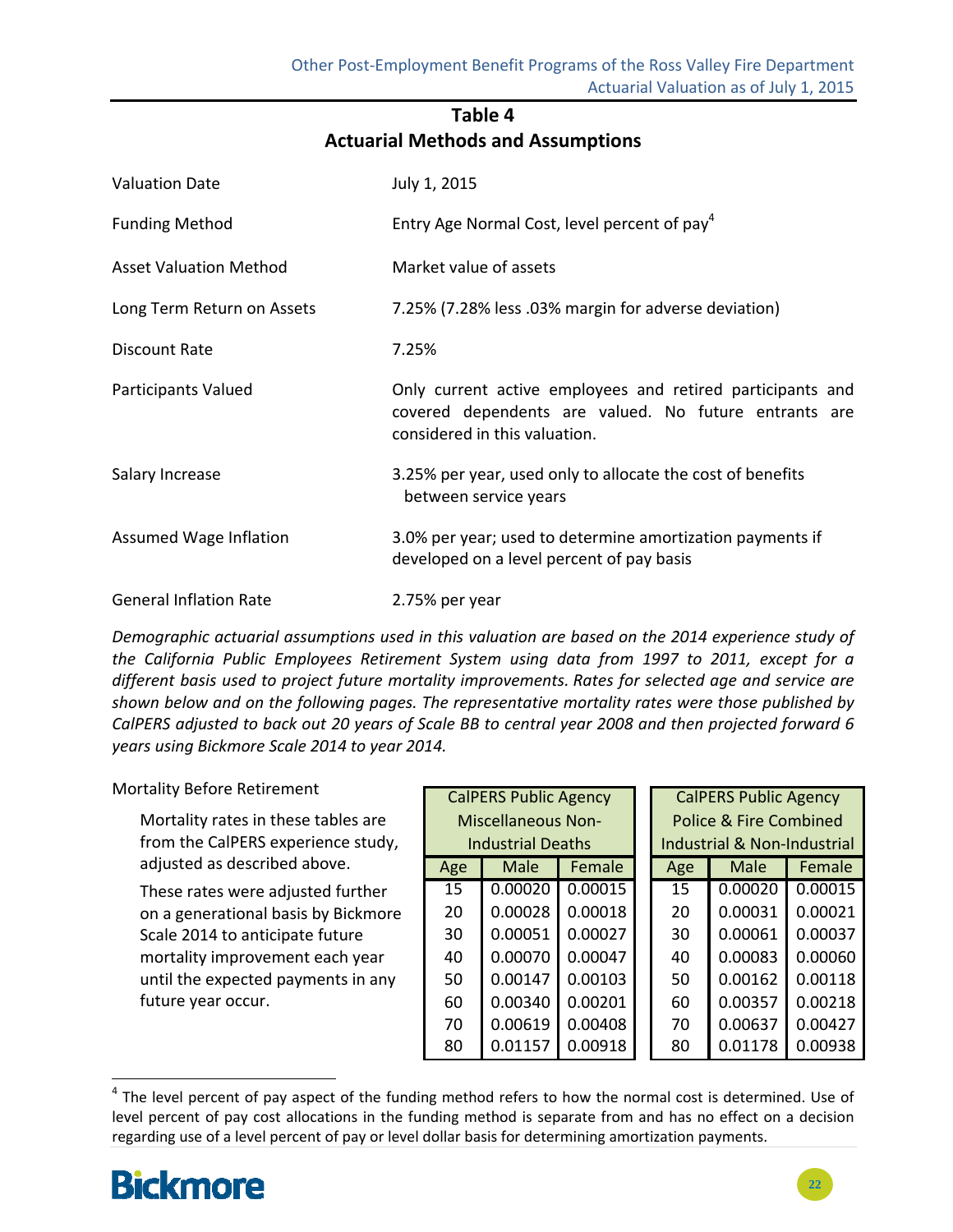## **Table 4 Actuarial Methods and Assumptions**

| <b>Valuation Date</b>         | July 1, 2015                                                                                                                                         |
|-------------------------------|------------------------------------------------------------------------------------------------------------------------------------------------------|
| <b>Funding Method</b>         | Entry Age Normal Cost, level percent of pay <sup>4</sup>                                                                                             |
| <b>Asset Valuation Method</b> | Market value of assets                                                                                                                               |
| Long Term Return on Assets    | 7.25% (7.28% less .03% margin for adverse deviation)                                                                                                 |
| Discount Rate                 | 7.25%                                                                                                                                                |
| Participants Valued           | Only current active employees and retired participants and<br>covered dependents are valued. No future entrants are<br>considered in this valuation. |
| Salary Increase               | 3.25% per year, used only to allocate the cost of benefits<br>between service years                                                                  |
| Assumed Wage Inflation        | 3.0% per year; used to determine amortization payments if<br>developed on a level percent of pay basis                                               |
| <b>General Inflation Rate</b> | 2.75% per year                                                                                                                                       |

*Demographic actuarial assumptions used in this valuation are based on the 2014 experience study of the California Public Employees Retirement System using data from 1997 to 2011, except for a different basis used to project future mortality improvements. Rates for selected age and service are shown below and on the following pages. The representative mortality rates were those published by* CalPERS adjusted to back out 20 years of Scale BB to central year 2008 and then projected forward 6 *years using Bickmore Scale 2014 to year 2014.*

Mortality Before Retirement

Mortality rates in these tables are from the CalPERS experience study, adjusted as described above.

These rates were adjusted further on a generational basis by Bickmore Scale 2014 to anticipate future mortality improvement each year until the expected payments in any future year occur.

|     |                           | <b>CalPERS Public Agency</b><br><b>CalPERS Public Agency</b> |  |                                   |                             |         |  |
|-----|---------------------------|--------------------------------------------------------------|--|-----------------------------------|-----------------------------|---------|--|
|     | <b>Miscellaneous Non-</b> |                                                              |  | <b>Police &amp; Fire Combined</b> |                             |         |  |
|     | Industrial Deaths         |                                                              |  |                                   | Industrial & Non-Industrial |         |  |
| Age | Male                      | Female                                                       |  | Age                               | Male                        | Female  |  |
| 15  | 0.00020                   | 0.00015                                                      |  | 15                                | 0.00020                     | 0.00015 |  |
| 20  | 0.00028                   | 0.00018                                                      |  | 20                                | 0.00031                     | 0.00021 |  |
| 30  | 0.00051                   | 0.00027                                                      |  | 30                                | 0.00061                     | 0.00037 |  |
| 40  | 0.00070                   | 0.00047                                                      |  | 40                                | 0.00083                     | 0.00060 |  |
| 50  | 0.00147                   | 0.00103                                                      |  | 50                                | 0.00162                     | 0.00118 |  |
| 60  | 0.00340                   | 0.00201                                                      |  | 60                                | 0.00357                     | 0.00218 |  |
| 70  | 0.00619                   | 0.00408                                                      |  | 70                                | 0.00637                     | 0.00427 |  |
| 80  | 0.01157                   | 0.00918                                                      |  | 80                                | 0.01178                     | 0.00938 |  |

 $4$  The level percent of pay aspect of the funding method refers to how the normal cost is determined. Use of level percent of pay cost allocations in the funding method is separate from and has no effect on a decision regarding use of a level percent of pay or level dollar basis for determining amortization payments.

# **Bickmore**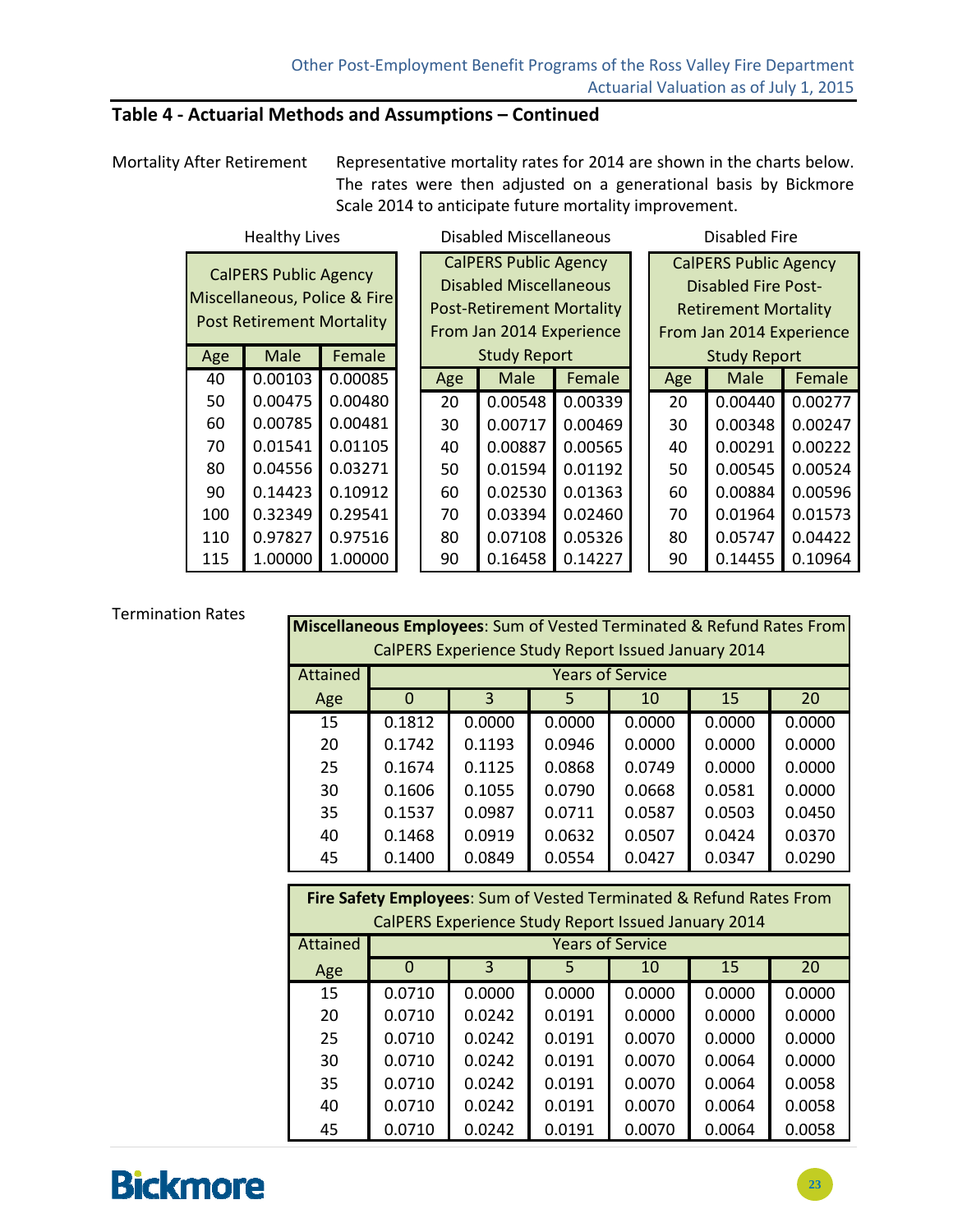### **Table 4 ‐ Actuarial Methods and Assumptions – Continued**

Mortality After Retirement Representative mortality rates for 2014 are shown in the charts below. The rates were then adjusted on a generational basis by Bickmore Scale 2014 to anticipate future mortality improvement.

| <b>Healthy Lives</b>                                                                             |             |         |                                                                                                                               | <b>Disabled Miscellaneous</b> |         |     | <b>Disabled Fire</b>                                                                                                  |         |
|--------------------------------------------------------------------------------------------------|-------------|---------|-------------------------------------------------------------------------------------------------------------------------------|-------------------------------|---------|-----|-----------------------------------------------------------------------------------------------------------------------|---------|
| <b>CalPERS Public Agency</b><br>Miscellaneous, Police & Fire<br><b>Post Retirement Mortality</b> |             |         | <b>CalPERS Public Agency</b><br><b>Disabled Miscellaneous</b><br><b>Post-Retirement Mortality</b><br>From Jan 2014 Experience |                               |         |     | <b>CalPERS Public Agency</b><br><b>Disabled Fire Post-</b><br><b>Retirement Mortality</b><br>From Jan 2014 Experience |         |
| Age                                                                                              | <b>Male</b> | Female  |                                                                                                                               | <b>Study Report</b>           |         |     | <b>Study Report</b>                                                                                                   |         |
| 40                                                                                               | 0.00103     | 0.00085 | Age                                                                                                                           | <b>Male</b>                   | Female  | Age | <b>Male</b>                                                                                                           | Female  |
| 50                                                                                               | 0.00475     | 0.00480 | 20                                                                                                                            | 0.00548                       | 0.00339 | 20  | 0.00440                                                                                                               | 0.00277 |
| 60                                                                                               | 0.00785     | 0.00481 | 30                                                                                                                            | 0.00717                       | 0.00469 | 30  | 0.00348                                                                                                               | 0.00247 |
| 70                                                                                               | 0.01541     | 0.01105 | 40                                                                                                                            | 0.00887                       | 0.00565 | 40  | 0.00291                                                                                                               | 0.00222 |
| 80                                                                                               | 0.04556     | 0.03271 | 50                                                                                                                            | 0.01594                       | 0.01192 | 50  | 0.00545                                                                                                               | 0.00524 |
| 90                                                                                               | 0.14423     | 0.10912 | 60                                                                                                                            | 0.02530                       | 0.01363 | 60  | 0.00884                                                                                                               | 0.00596 |
| 100                                                                                              | 0.32349     | 0.29541 | 70                                                                                                                            | 0.03394                       | 0.02460 | 70  | 0.01964                                                                                                               | 0.01573 |
| 110                                                                                              | 0.97827     | 0.97516 | 80                                                                                                                            | 0.07108                       | 0.05326 | 80  | 0.05747                                                                                                               | 0.04422 |
| 115                                                                                              | 1.00000     | 1.00000 | 90                                                                                                                            | 0.16458                       | 0.14227 | 90  | 0.14455                                                                                                               | 0.10964 |

#### Termination Rates

| Termination Rates |          | <b>Miscellaneous Employees:</b> Sum of Vested Terminated & Refund Rates From |                                                     |        |                         |        |        |  |  |  |  |
|-------------------|----------|------------------------------------------------------------------------------|-----------------------------------------------------|--------|-------------------------|--------|--------|--|--|--|--|
|                   |          |                                                                              | CalPERS Experience Study Report Issued January 2014 |        |                         |        |        |  |  |  |  |
|                   | Attained |                                                                              |                                                     |        | <b>Years of Service</b> |        |        |  |  |  |  |
|                   | Age      | 0                                                                            | 3                                                   | 5      | 10                      | 15     | 20     |  |  |  |  |
|                   | 15       | 0.1812                                                                       | 0.0000                                              | 0.0000 | 0.0000                  | 0.0000 | 0.0000 |  |  |  |  |
|                   | 20       | 0.1742                                                                       | 0.1193                                              | 0.0946 | 0.0000                  | 0.0000 | 0.0000 |  |  |  |  |
|                   | 25       | 0.1674                                                                       | 0.1125                                              | 0.0868 | 0.0749                  | 0.0000 | 0.0000 |  |  |  |  |
|                   | 30       | 0.1606                                                                       | 0.1055                                              | 0.0790 | 0.0668                  | 0.0581 | 0.0000 |  |  |  |  |
|                   | 35       | 0.1537                                                                       | 0.0987                                              | 0.0711 | 0.0587                  | 0.0503 | 0.0450 |  |  |  |  |
|                   | 40       | 0.1468                                                                       | 0.0919                                              | 0.0632 | 0.0507                  | 0.0424 | 0.0370 |  |  |  |  |
|                   | 45       | 0.1400                                                                       | 0.0849                                              | 0.0554 | 0.0427                  | 0.0347 | 0.0290 |  |  |  |  |

| Fire Safety Employees: Sum of Vested Terminated & Refund Rates From |        |                         |        |                         |        |        |  |  |  |  |  |
|---------------------------------------------------------------------|--------|-------------------------|--------|-------------------------|--------|--------|--|--|--|--|--|
| CalPERS Experience Study Report Issued January 2014                 |        |                         |        |                         |        |        |  |  |  |  |  |
| Attained                                                            |        |                         |        | <b>Years of Service</b> |        |        |  |  |  |  |  |
| Age                                                                 | 0      | $\overline{\mathbf{3}}$ | 5      | 10                      | 15     | 20     |  |  |  |  |  |
| 15                                                                  | 0.0710 | 0.0000                  | 0.0000 | 0.0000                  | 0.0000 | 0.0000 |  |  |  |  |  |
| 20                                                                  | 0.0710 | 0.0242                  | 0.0191 | 0.0000                  | 0.0000 | 0.0000 |  |  |  |  |  |
| 25                                                                  | 0.0710 | 0.0242                  | 0.0191 | 0.0070                  | 0.0000 | 0.0000 |  |  |  |  |  |
| 30                                                                  | 0.0710 | 0.0242                  | 0.0191 | 0.0070                  | 0.0064 | 0.0000 |  |  |  |  |  |
| 35                                                                  | 0.0710 | 0.0242                  | 0.0191 | 0.0070                  | 0.0064 | 0.0058 |  |  |  |  |  |
| 40                                                                  | 0.0710 | 0.0242                  | 0.0191 | 0.0070                  | 0.0064 | 0.0058 |  |  |  |  |  |
| 45                                                                  | 0.0710 | 0.0242                  | 0.0191 | 0.0070                  | 0.0064 | 0.0058 |  |  |  |  |  |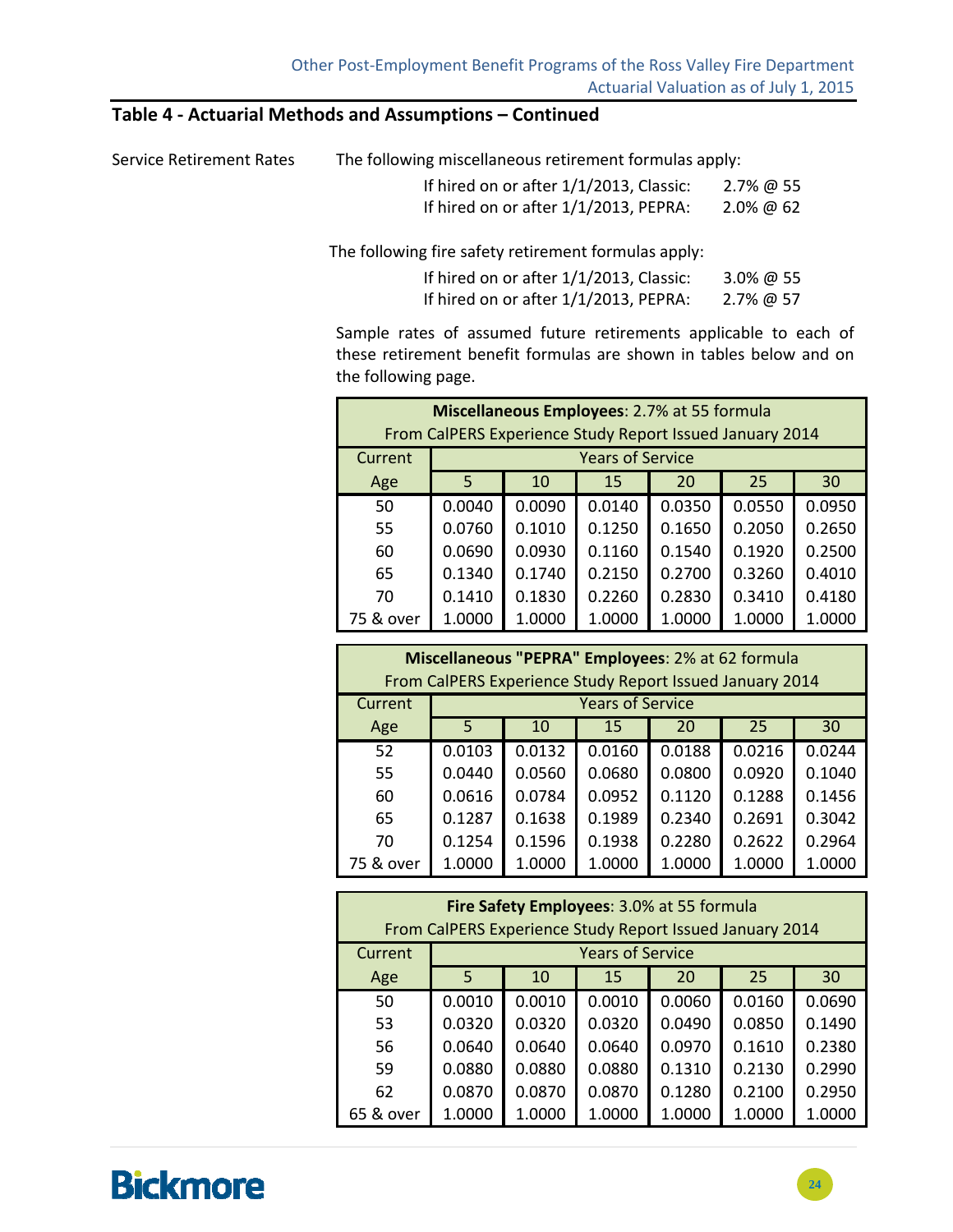### **Table 4 ‐ Actuarial Methods and Assumptions – Continued**

| The following miscellaneous retirement formulas apply: |
|--------------------------------------------------------|
|                                                        |

| If hired on or after 1/1/2013, Classic: | $2.7\%$ @ 55 |
|-----------------------------------------|--------------|
| If hired on or after 1/1/2013, PEPRA:   | $2.0\%$ @ 62 |

The following fire safety retirement formulas apply:

| If hired on or after 1/1/2013, Classic: | 3.0% @ 55 |
|-----------------------------------------|-----------|
| If hired on or after 1/1/2013, PEPRA:   | 2.7% @ 57 |

Sample rates of assumed future retirements applicable to each of these retirement benefit formulas are shown in tables below and on the following page.

| Miscellaneous Employees: 2.7% at 55 formula<br>From CalPERS Experience Study Report Issued January 2014 |        |        |        |        |        |        |
|---------------------------------------------------------------------------------------------------------|--------|--------|--------|--------|--------|--------|
| <b>Years of Service</b><br>Current                                                                      |        |        |        |        |        |        |
| Age                                                                                                     | 5      | 10     | 15     | 20     | 25     | 30     |
| 50                                                                                                      | 0.0040 | 0.0090 | 0.0140 | 0.0350 | 0.0550 | 0.0950 |
| 55                                                                                                      | 0.0760 | 0.1010 | 0.1250 | 0.1650 | 0.2050 | 0.2650 |
| 60                                                                                                      | 0.0690 | 0.0930 | 0.1160 | 0.1540 | 0.1920 | 0.2500 |
| 65                                                                                                      | 0.1340 | 0.1740 | 0.2150 | 0.2700 | 0.3260 | 0.4010 |
| 70                                                                                                      | 0.1410 | 0.1830 | 0.2260 | 0.2830 | 0.3410 | 0.4180 |
| 75 & over                                                                                               | 1.0000 | 1.0000 | 1.0000 | 1.0000 | 1.0000 | 1.0000 |

|           | Miscellaneous "PEPRA" Employees: 2% at 62 formula |                                                          |                         |        |        |        |
|-----------|---------------------------------------------------|----------------------------------------------------------|-------------------------|--------|--------|--------|
|           |                                                   | From CalPERS Experience Study Report Issued January 2014 |                         |        |        |        |
| Current   |                                                   |                                                          | <b>Years of Service</b> |        |        |        |
| Age       | 5                                                 | 10                                                       | 15                      | 20     | 25     | 30     |
| 52        | 0.0103                                            | 0.0132                                                   | 0.0160                  | 0.0188 | 0.0216 | 0.0244 |
| 55        | 0.0440                                            | 0.0560                                                   | 0.0680                  | 0.0800 | 0.0920 | 0.1040 |
| 60        | 0.0616                                            | 0.0784                                                   | 0.0952                  | 0.1120 | 0.1288 | 0.1456 |
| 65        | 0.1287                                            | 0.1638                                                   | 0.1989                  | 0.2340 | 0.2691 | 0.3042 |
| 70        | 0.1254                                            | 0.1596                                                   | 0.1938                  | 0.2280 | 0.2622 | 0.2964 |
| 75 & over | 1.0000                                            | 1.0000                                                   | 1.0000                  | 1.0000 | 1.0000 | 1.0000 |

| Fire Safety Employees: 3.0% at 55 formula<br>From CalPERS Experience Study Report Issued January 2014 |        |        |        |        |        |        |
|-------------------------------------------------------------------------------------------------------|--------|--------|--------|--------|--------|--------|
| <b>Years of Service</b><br>Current                                                                    |        |        |        |        |        |        |
| Age                                                                                                   | 5      | 10     | 15     | 20     | 25     | 30     |
| 50                                                                                                    | 0.0010 | 0.0010 | 0.0010 | 0.0060 | 0.0160 | 0.0690 |
| 53                                                                                                    | 0.0320 | 0.0320 | 0.0320 | 0.0490 | 0.0850 | 0.1490 |
| 56                                                                                                    | 0.0640 | 0.0640 | 0.0640 | 0.0970 | 0.1610 | 0.2380 |
| 59                                                                                                    | 0.0880 | 0.0880 | 0.0880 | 0.1310 | 0.2130 | 0.2990 |
| 62                                                                                                    | 0.0870 | 0.0870 | 0.0870 | 0.1280 | 0.2100 | 0.2950 |
| 65 & over                                                                                             | 1.0000 | 1.0000 | 1.0000 | 1.0000 | 1.0000 | 1.0000 |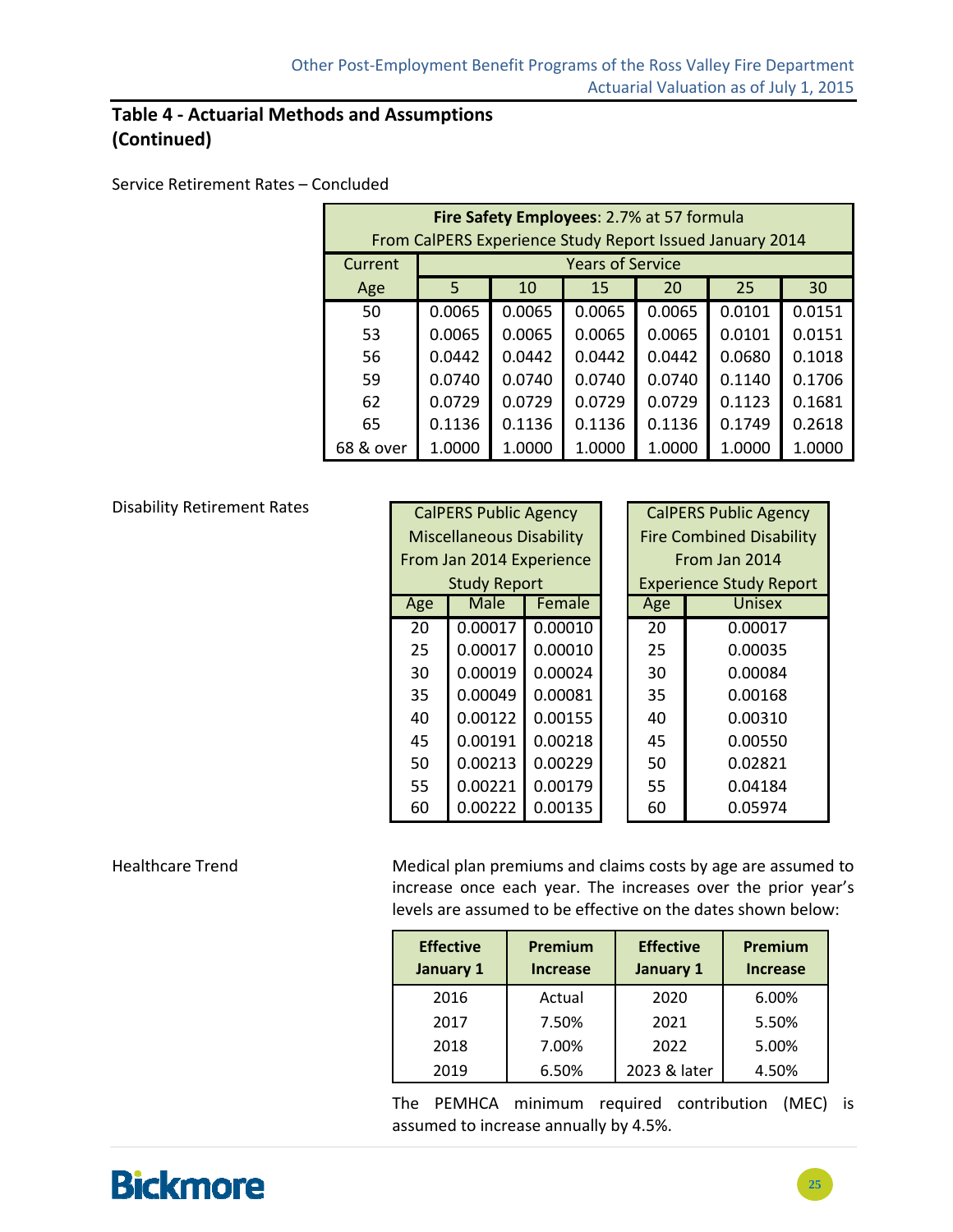### **Table 4 ‐ Actuarial Methods and Assumptions (Continued)**

#### Service Retirement Rates – Concluded

| Fire Safety Employees: 2.7% at 57 formula<br>From CalPERS Experience Study Report Issued January 2014 |        |        |                         |        |        |        |
|-------------------------------------------------------------------------------------------------------|--------|--------|-------------------------|--------|--------|--------|
| Current                                                                                               |        |        | <b>Years of Service</b> |        |        |        |
| Age                                                                                                   | 5      | 10     | 15                      | 20     | 25     | 30     |
| 50                                                                                                    | 0.0065 | 0.0065 | 0.0065                  | 0.0065 | 0.0101 | 0.0151 |
| 53                                                                                                    | 0.0065 | 0.0065 | 0.0065                  | 0.0065 | 0.0101 | 0.0151 |
| 56                                                                                                    | 0.0442 | 0.0442 | 0.0442                  | 0.0442 | 0.0680 | 0.1018 |
| 59                                                                                                    | 0.0740 | 0.0740 | 0.0740                  | 0.0740 | 0.1140 | 0.1706 |
| 62                                                                                                    | 0.0729 | 0.0729 | 0.0729                  | 0.0729 | 0.1123 | 0.1681 |
| 65                                                                                                    | 0.1136 | 0.1136 | 0.1136                  | 0.1136 | 0.1749 | 0.2618 |
| 68 & over                                                                                             | 1.0000 | 1.0000 | 1.0000                  | 1.0000 | 1.0000 | 1.0000 |

#### Disability Retirement Rates

| Disability Retirement Rates<br><b>CalPERS Public Agency</b> |         |         |                                 |                                 | <b>CalPERS Public Agency</b>   |
|-------------------------------------------------------------|---------|---------|---------------------------------|---------------------------------|--------------------------------|
|                                                             |         |         |                                 | <b>Fire Combined Disability</b> |                                |
| From Jan 2014 Experience<br><b>Study Report</b>             |         |         |                                 |                                 | From Jan 2014                  |
|                                                             |         |         |                                 |                                 | <b>Experience Study Report</b> |
| Age                                                         | Male    | Female  |                                 | Age                             | <b>Unisex</b>                  |
| 20                                                          | 0.00017 | 0.00010 |                                 | 20                              | 0.00017                        |
| 25                                                          | 0.00017 | 0.00010 |                                 | 25                              | 0.00035                        |
| 30                                                          | 0.00019 | 0.00024 |                                 | 30                              | 0.00084                        |
| 35                                                          | 0.00049 | 0.00081 |                                 | 35                              | 0.00168                        |
| 40                                                          | 0.00122 | 0.00155 |                                 | 40                              | 0.00310                        |
| 45                                                          | 0.00191 | 0.00218 |                                 | 45                              | 0.00550                        |
| 50                                                          | 0.00213 | 0.00229 |                                 | 50                              | 0.02821                        |
| 55                                                          | 0.00221 | 0.00179 |                                 | 55                              | 0.04184                        |
| 60                                                          | 0.00222 | 0.00135 |                                 | 60                              | 0.05974                        |
|                                                             |         |         | <b>Miscellaneous Disability</b> |                                 |                                |

Healthcare Trend Medical plan premiums and claims costs by age are assumed to increase once each year. The increases over the prior year's levels are assumed to be effective on the dates shown below:

| <b>Effective</b><br>January 1 | Premium<br><b>Increase</b> | <b>Effective</b><br>January 1 | Premium<br><b>Increase</b> |
|-------------------------------|----------------------------|-------------------------------|----------------------------|
| 2016                          | Actual                     | 2020                          | 6.00%                      |
| 2017                          | 7.50%                      | 2021                          | 5.50%                      |
| 2018                          | 7.00%                      | 2022                          | 5.00%                      |
| 2019                          | 6.50%                      | 2023 & later                  | 4.50%                      |

The PEMHCA minimum required contribution (MEC) is assumed to increase annually by 4.5%.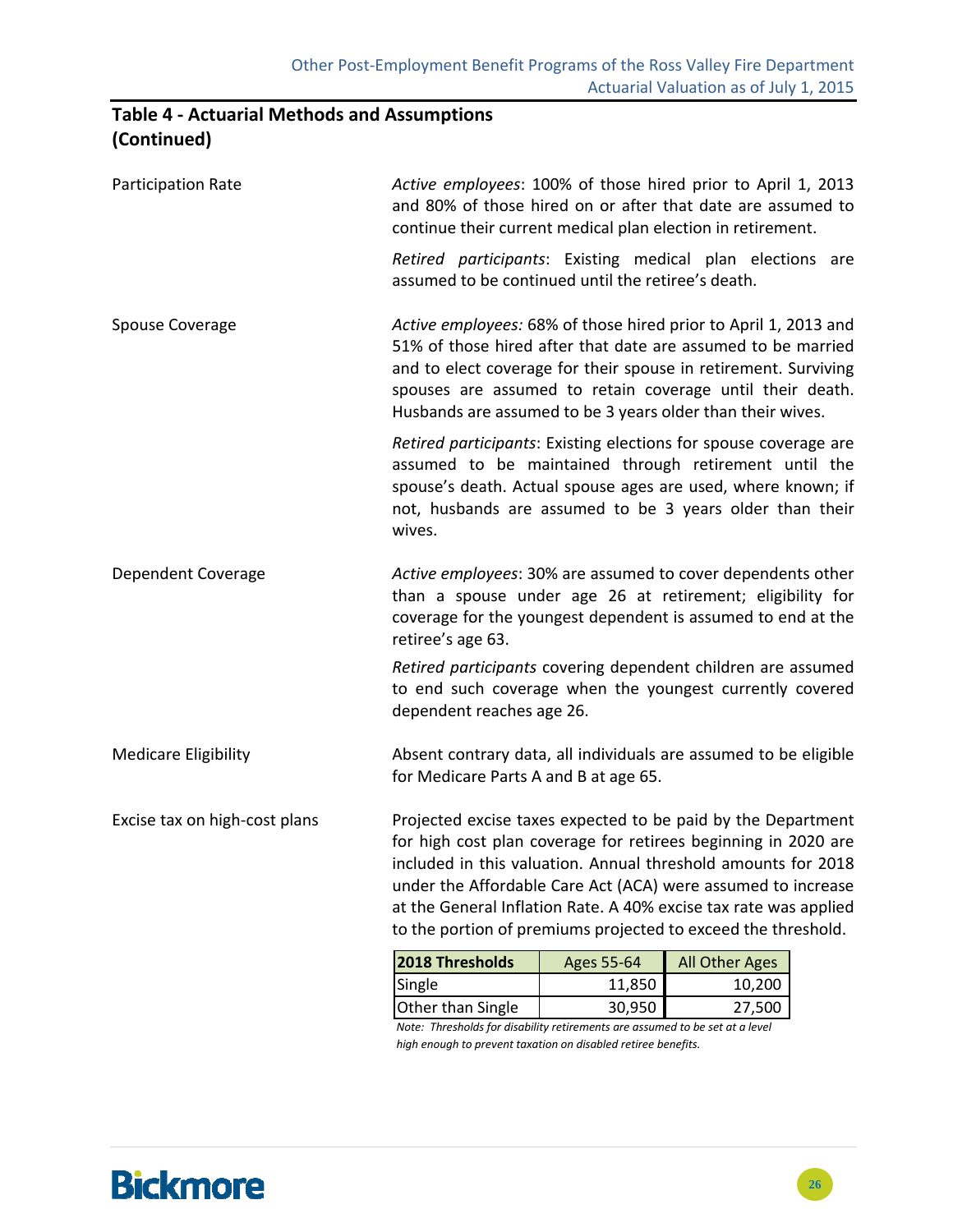## **Table 4 ‐ Actuarial Methods and Assumptions (Continued)**

| Participation Rate            | Active employees: 100% of those hired prior to April 1, 2013<br>and 80% of those hired on or after that date are assumed to<br>continue their current medical plan election in retirement.                                                                                                                                                                                                           |            |                |  |
|-------------------------------|------------------------------------------------------------------------------------------------------------------------------------------------------------------------------------------------------------------------------------------------------------------------------------------------------------------------------------------------------------------------------------------------------|------------|----------------|--|
|                               | Retired participants: Existing medical plan elections are<br>assumed to be continued until the retiree's death.                                                                                                                                                                                                                                                                                      |            |                |  |
| Spouse Coverage               | Active employees: 68% of those hired prior to April 1, 2013 and<br>51% of those hired after that date are assumed to be married<br>and to elect coverage for their spouse in retirement. Surviving<br>spouses are assumed to retain coverage until their death.<br>Husbands are assumed to be 3 years older than their wives.                                                                        |            |                |  |
|                               | Retired participants: Existing elections for spouse coverage are<br>assumed to be maintained through retirement until the<br>spouse's death. Actual spouse ages are used, where known; if<br>not, husbands are assumed to be 3 years older than their<br>wives.                                                                                                                                      |            |                |  |
| Dependent Coverage            | Active employees: 30% are assumed to cover dependents other<br>than a spouse under age 26 at retirement; eligibility for<br>coverage for the youngest dependent is assumed to end at the<br>retiree's age 63.                                                                                                                                                                                        |            |                |  |
|                               | Retired participants covering dependent children are assumed<br>to end such coverage when the youngest currently covered<br>dependent reaches age 26.                                                                                                                                                                                                                                                |            |                |  |
| <b>Medicare Eligibility</b>   | Absent contrary data, all individuals are assumed to be eligible<br>for Medicare Parts A and B at age 65.                                                                                                                                                                                                                                                                                            |            |                |  |
| Excise tax on high-cost plans | Projected excise taxes expected to be paid by the Department<br>for high cost plan coverage for retirees beginning in 2020 are<br>included in this valuation. Annual threshold amounts for 2018<br>under the Affordable Care Act (ACA) were assumed to increase<br>at the General Inflation Rate. A 40% excise tax rate was applied<br>to the portion of premiums projected to exceed the threshold. |            |                |  |
|                               | 2018 Thresholds                                                                                                                                                                                                                                                                                                                                                                                      | Ages 55-64 | All Other Ages |  |
|                               | Single                                                                                                                                                                                                                                                                                                                                                                                               | 11,850     | 10,200         |  |
|                               | Other than Single                                                                                                                                                                                                                                                                                                                                                                                    | 30,950     | 27,500         |  |

*Note: Thresholds for disability retirements are assumed to be set at a level high enough to prevent taxation on disabled retiree benefits.*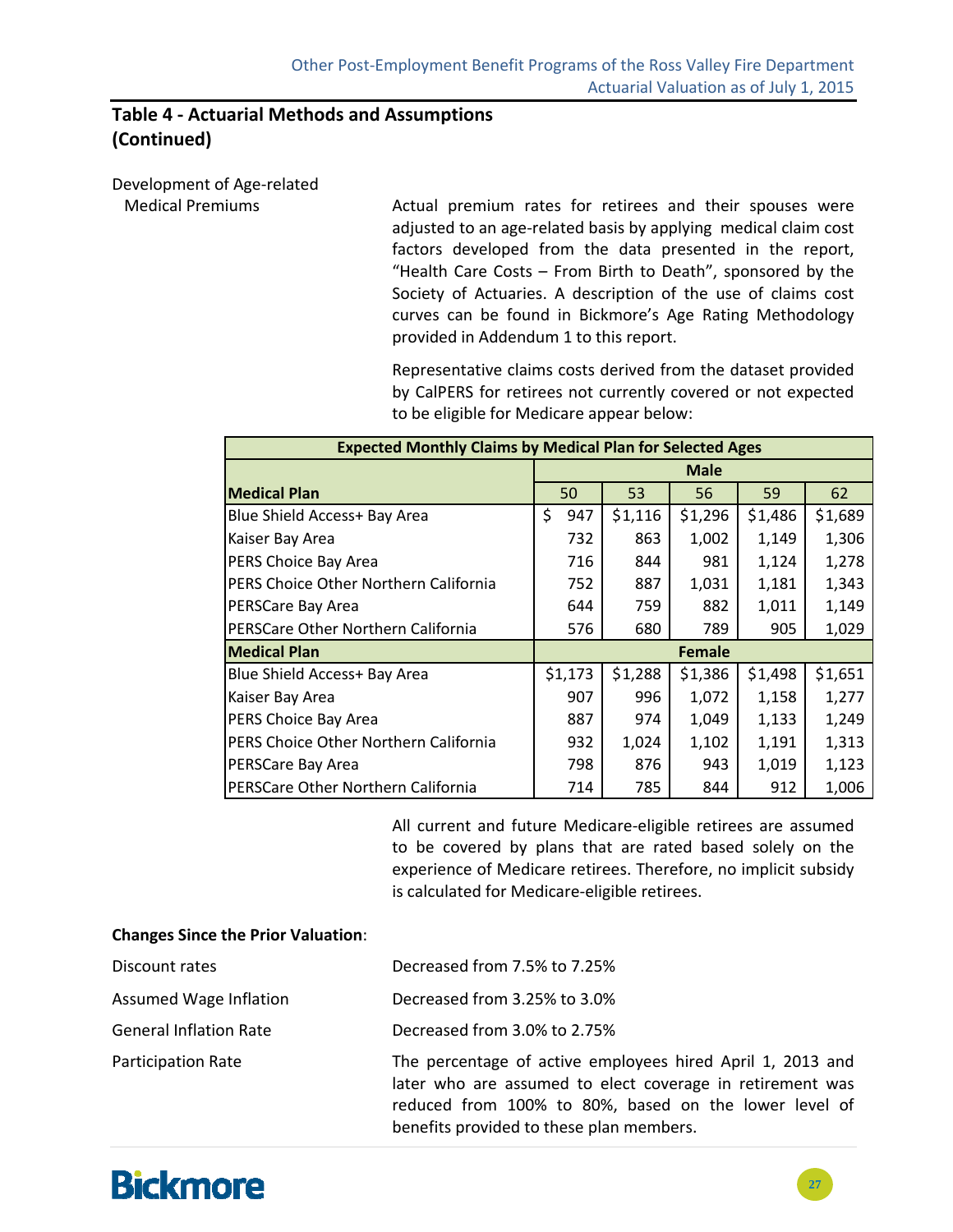### **Table 4 ‐ Actuarial Methods and Assumptions (Continued)**

Development of Age‐related

 Medical Premiums Actual premium rates for retirees and their spouses were adjusted to an age‐related basis by applying medical claim cost factors developed from the data presented in the report, "Health Care Costs – From Birth to Death", sponsored by the Society of Actuaries. A description of the use of claims cost curves can be found in Bickmore's Age Rating Methodology provided in Addendum 1 to this report.

> Representative claims costs derived from the dataset provided by CalPERS for retirees not currently covered or not expected to be eligible for Medicare appear below:

| <b>Expected Monthly Claims by Medical Plan for Selected Ages</b> |           |         |             |         |         |
|------------------------------------------------------------------|-----------|---------|-------------|---------|---------|
|                                                                  |           |         | <b>Male</b> |         |         |
| <b>Medical Plan</b>                                              | 50        | 53      | 56          | 59      | 62      |
| Blue Shield Access+ Bay Area                                     | \$<br>947 | \$1,116 | \$1,296     | \$1,486 | \$1,689 |
| Kaiser Bay Area                                                  | 732       | 863     | 1,002       | 1,149   | 1,306   |
| PERS Choice Bay Area                                             | 716       | 844     | 981         | 1,124   | 1,278   |
| PERS Choice Other Northern California                            | 752       | 887     | 1,031       | 1,181   | 1,343   |
| PERSCare Bay Area                                                | 644       | 759     | 882         | 1,011   | 1,149   |
| PERSCare Other Northern California                               | 576       | 680     | 789         | 905     | 1,029   |
| <b>Medical Plan</b>                                              |           |         | Female      |         |         |
| Blue Shield Access+ Bay Area                                     | \$1,173   | \$1,288 | \$1,386     | \$1,498 | \$1,651 |
| Kaiser Bay Area                                                  | 907       | 996     | 1,072       | 1,158   | 1,277   |
| PERS Choice Bay Area                                             | 887       | 974     | 1,049       | 1,133   | 1,249   |
| PERS Choice Other Northern California                            | 932       | 1,024   | 1,102       | 1,191   | 1,313   |
| PERSCare Bay Area                                                | 798       | 876     | 943         | 1,019   | 1,123   |
| PERSCare Other Northern California                               | 714       | 785     | 844         | 912     | 1,006   |

All current and future Medicare‐eligible retirees are assumed to be covered by plans that are rated based solely on the experience of Medicare retirees. Therefore, no implicit subsidy is calculated for Medicare‐eligible retirees.

#### **Changes Since the Prior Valuation**:

| Discount rates                | Decreased from 7.5% to 7.25%                                                                                                                                                     |
|-------------------------------|----------------------------------------------------------------------------------------------------------------------------------------------------------------------------------|
| Assumed Wage Inflation        | Decreased from 3.25% to 3.0%                                                                                                                                                     |
| <b>General Inflation Rate</b> | Decreased from 3.0% to 2.75%                                                                                                                                                     |
| <b>Participation Rate</b>     | The percentage of active employees hired April 1, 2013 and<br>later who are assumed to elect coverage in retirement was<br>reduced from 100% to 80%, based on the lower level of |

benefits provided to these plan members.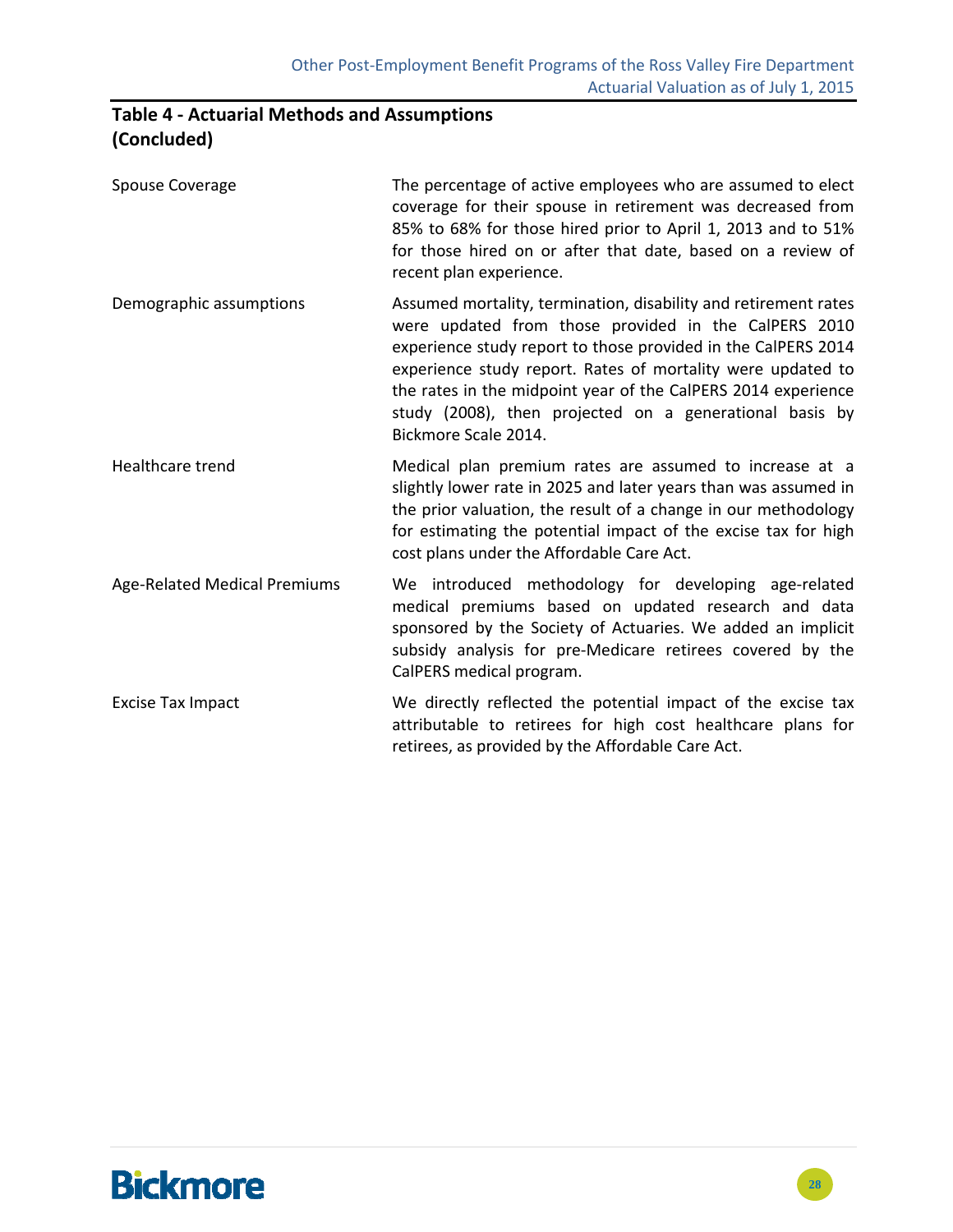# **Table 4 ‐ Actuarial Methods and Assumptions (Concluded)**

| Spouse Coverage                     | The percentage of active employees who are assumed to elect<br>coverage for their spouse in retirement was decreased from<br>85% to 68% for those hired prior to April 1, 2013 and to 51%<br>for those hired on or after that date, based on a review of<br>recent plan experience.                                                                                                                         |
|-------------------------------------|-------------------------------------------------------------------------------------------------------------------------------------------------------------------------------------------------------------------------------------------------------------------------------------------------------------------------------------------------------------------------------------------------------------|
| Demographic assumptions             | Assumed mortality, termination, disability and retirement rates<br>were updated from those provided in the CalPERS 2010<br>experience study report to those provided in the CalPERS 2014<br>experience study report. Rates of mortality were updated to<br>the rates in the midpoint year of the CalPERS 2014 experience<br>study (2008), then projected on a generational basis by<br>Bickmore Scale 2014. |
| <b>Healthcare trend</b>             | Medical plan premium rates are assumed to increase at a<br>slightly lower rate in 2025 and later years than was assumed in<br>the prior valuation, the result of a change in our methodology<br>for estimating the potential impact of the excise tax for high<br>cost plans under the Affordable Care Act.                                                                                                 |
| <b>Age-Related Medical Premiums</b> | We introduced methodology for developing age-related<br>medical premiums based on updated research and data<br>sponsored by the Society of Actuaries. We added an implicit<br>subsidy analysis for pre-Medicare retirees covered by the<br>CalPERS medical program.                                                                                                                                         |
| <b>Excise Tax Impact</b>            | We directly reflected the potential impact of the excise tax<br>attributable to retirees for high cost healthcare plans for<br>retirees, as provided by the Affordable Care Act.                                                                                                                                                                                                                            |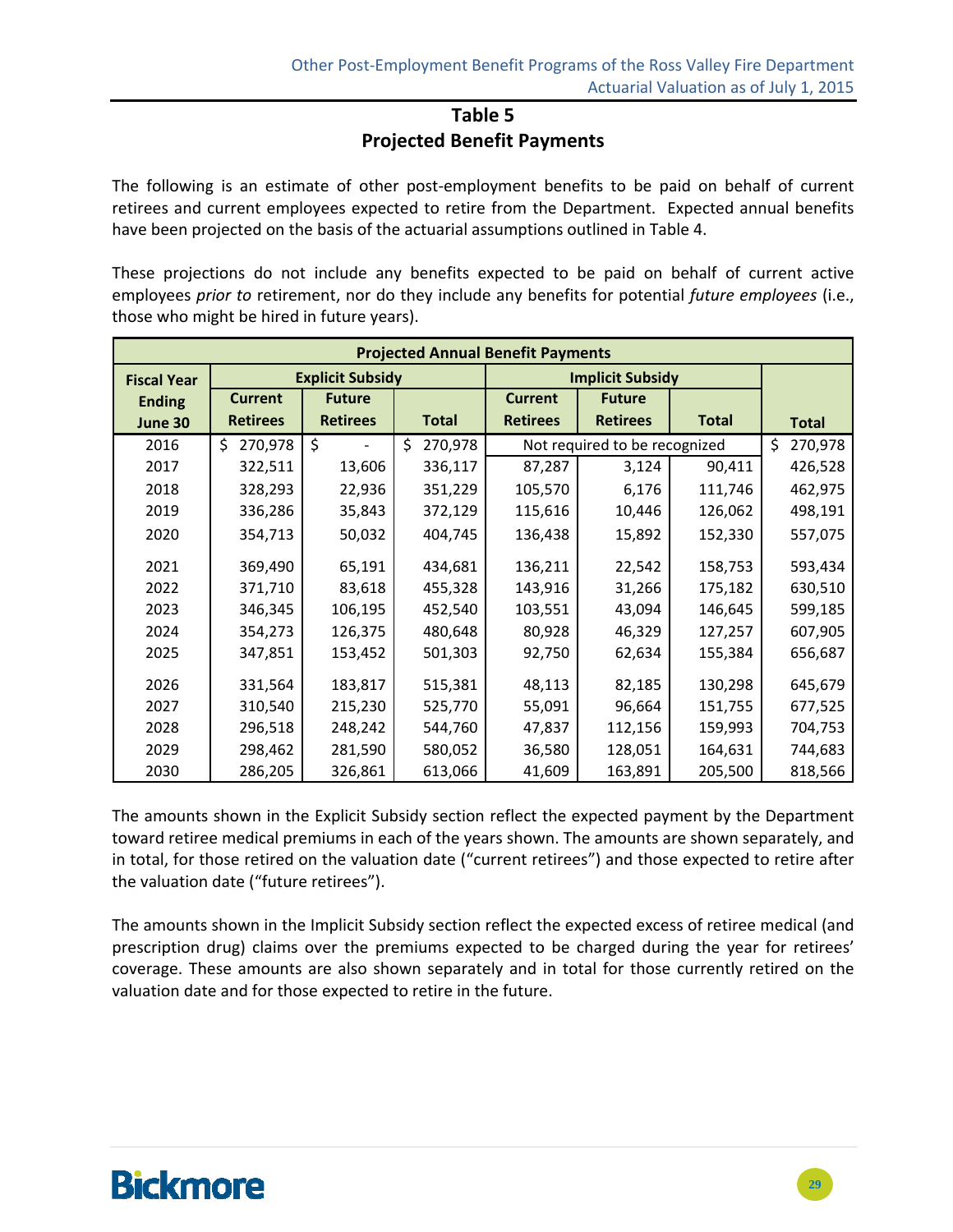### **Table 5 Projected Benefit Payments**

The following is an estimate of other post-employment benefits to be paid on behalf of current retirees and current employees expected to retire from the Department. Expected annual benefits have been projected on the basis of the actuarial assumptions outlined in Table 4.

These projections do not include any benefits expected to be paid on behalf of current active employees *prior to* retirement, nor do they include any benefits for potential *future employees* (i.e., those who might be hired in future years).

| <b>Projected Annual Benefit Payments</b> |                 |                         |                |                         |                               |              |               |  |  |
|------------------------------------------|-----------------|-------------------------|----------------|-------------------------|-------------------------------|--------------|---------------|--|--|
| <b>Fiscal Year</b>                       |                 | <b>Explicit Subsidy</b> |                | <b>Implicit Subsidy</b> |                               |              |               |  |  |
| <b>Ending</b>                            | <b>Current</b>  | <b>Future</b>           |                | <b>Current</b>          | <b>Future</b>                 |              |               |  |  |
| June 30                                  | <b>Retirees</b> | <b>Retirees</b>         | <b>Total</b>   | <b>Retirees</b>         | <b>Retirees</b>               | <b>Total</b> | <b>Total</b>  |  |  |
| 2016                                     | 270,978<br>Ś.   | \$                      | 270,978<br>\$. |                         | Not required to be recognized |              | 270,978<br>Ŝ. |  |  |
| 2017                                     | 322,511         | 13,606                  | 336,117        | 87,287                  | 3,124                         | 90,411       | 426,528       |  |  |
| 2018                                     | 328,293         | 22,936                  | 351,229        | 105,570                 | 6,176                         | 111,746      | 462,975       |  |  |
| 2019                                     | 336,286         | 35,843                  | 372,129        | 115,616                 | 10,446                        | 126,062      | 498,191       |  |  |
| 2020                                     | 354,713         | 50,032                  | 404,745        | 136,438                 | 15,892                        | 152,330      | 557,075       |  |  |
| 2021                                     | 369,490         | 65,191                  | 434,681        | 136,211                 | 22,542                        | 158,753      | 593,434       |  |  |
| 2022                                     | 371,710         | 83,618                  | 455,328        | 143,916                 | 31,266                        | 175,182      | 630,510       |  |  |
| 2023                                     | 346,345         | 106,195                 | 452,540        | 103,551                 | 43,094                        | 146,645      | 599,185       |  |  |
| 2024                                     | 354,273         | 126,375                 | 480,648        | 80,928                  | 46,329                        | 127,257      | 607,905       |  |  |
| 2025                                     | 347,851         | 153,452                 | 501,303        | 92,750                  | 62,634                        | 155,384      | 656,687       |  |  |
| 2026                                     | 331,564         | 183,817                 | 515,381        | 48,113                  | 82,185                        | 130,298      | 645,679       |  |  |
| 2027                                     | 310,540         | 215,230                 | 525,770        | 55,091                  | 96,664                        | 151,755      | 677,525       |  |  |
| 2028                                     | 296,518         | 248,242                 | 544,760        | 47,837                  | 112,156                       | 159,993      | 704,753       |  |  |
| 2029                                     | 298,462         | 281,590                 | 580,052        | 36,580                  | 128,051                       | 164,631      | 744,683       |  |  |
| 2030                                     | 286,205         | 326,861                 | 613,066        | 41,609                  | 163,891                       | 205,500      | 818,566       |  |  |

The amounts shown in the Explicit Subsidy section reflect the expected payment by the Department toward retiree medical premiums in each of the years shown. The amounts are shown separately, and in total, for those retired on the valuation date ("current retirees") and those expected to retire after the valuation date ("future retirees").

The amounts shown in the Implicit Subsidy section reflect the expected excess of retiree medical (and prescription drug) claims over the premiums expected to be charged during the year for retirees' coverage. These amounts are also shown separately and in total for those currently retired on the valuation date and for those expected to retire in the future.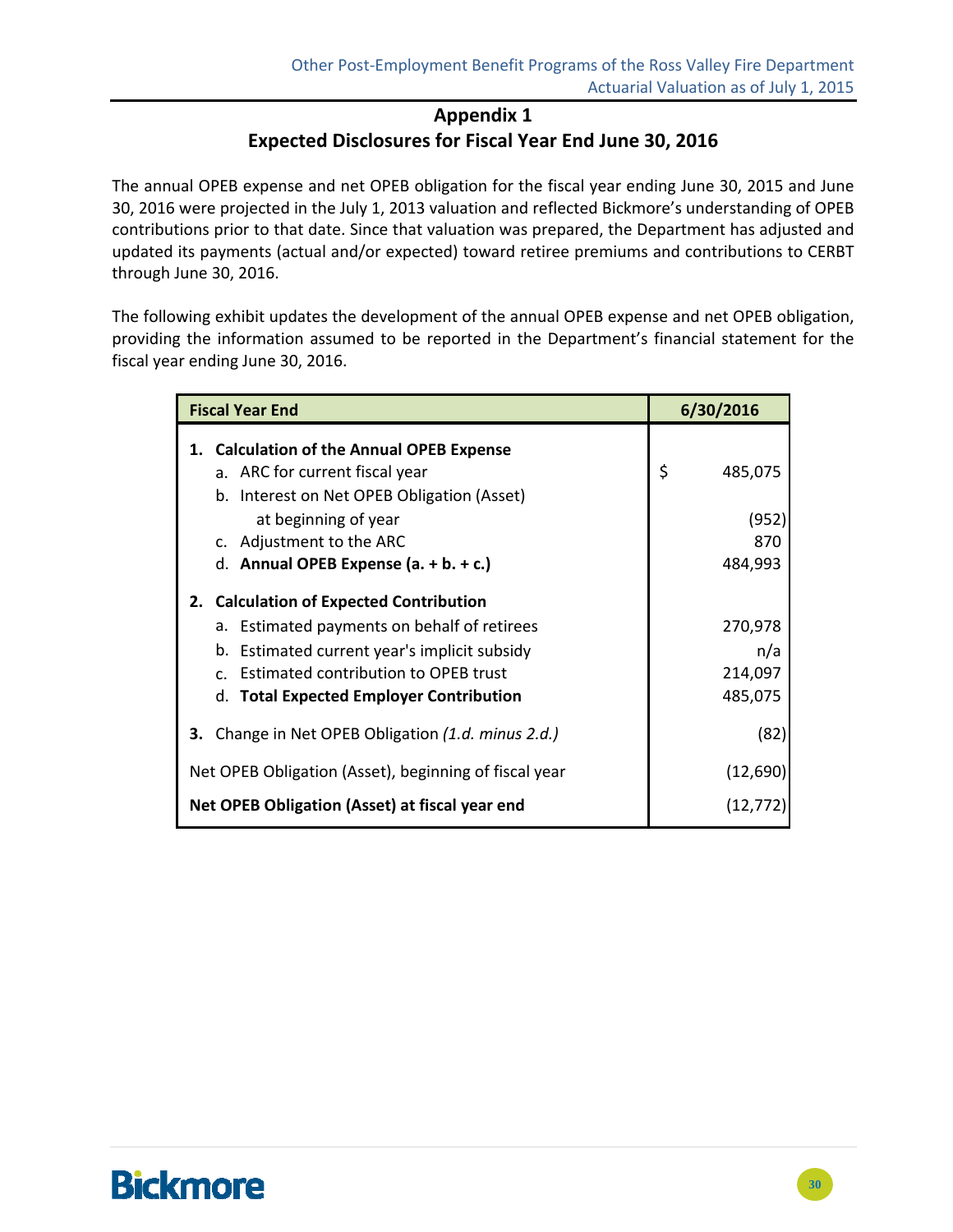# **Appendix 1 Expected Disclosures for Fiscal Year End June 30, 2016**

The annual OPEB expense and net OPEB obligation for the fiscal year ending June 30, 2015 and June 30, 2016 were projected in the July 1, 2013 valuation and reflected Bickmore's understanding of OPEB contributions prior to that date. Since that valuation was prepared, the Department has adjusted and updated its payments (actual and/or expected) toward retiree premiums and contributions to CERBT through June 30, 2016.

The following exhibit updates the development of the annual OPEB expense and net OPEB obligation, providing the information assumed to be reported in the Department's financial statement for the fiscal year ending June 30, 2016.

| <b>Fiscal Year End</b>                                    | 6/30/2016     |  |  |
|-----------------------------------------------------------|---------------|--|--|
| 1. Calculation of the Annual OPEB Expense                 |               |  |  |
| a. ARC for current fiscal year                            | \$<br>485,075 |  |  |
| b. Interest on Net OPEB Obligation (Asset)                |               |  |  |
| at beginning of year                                      | (952)         |  |  |
| c. Adjustment to the ARC                                  | 870           |  |  |
| d. Annual OPEB Expense $(a. + b. + c.)$                   | 484,993       |  |  |
| 2. Calculation of Expected Contribution                   |               |  |  |
| a. Estimated payments on behalf of retirees               | 270,978       |  |  |
| b. Estimated current year's implicit subsidy              | n/a           |  |  |
| c. Estimated contribution to OPEB trust                   | 214,097       |  |  |
| d. Total Expected Employer Contribution                   | 485,075       |  |  |
| <b>3.</b> Change in Net OPEB Obligation (1.d. minus 2.d.) | (82)          |  |  |
| Net OPEB Obligation (Asset), beginning of fiscal year     | (12,690)      |  |  |
| Net OPEB Obligation (Asset) at fiscal year end            | (12,772)      |  |  |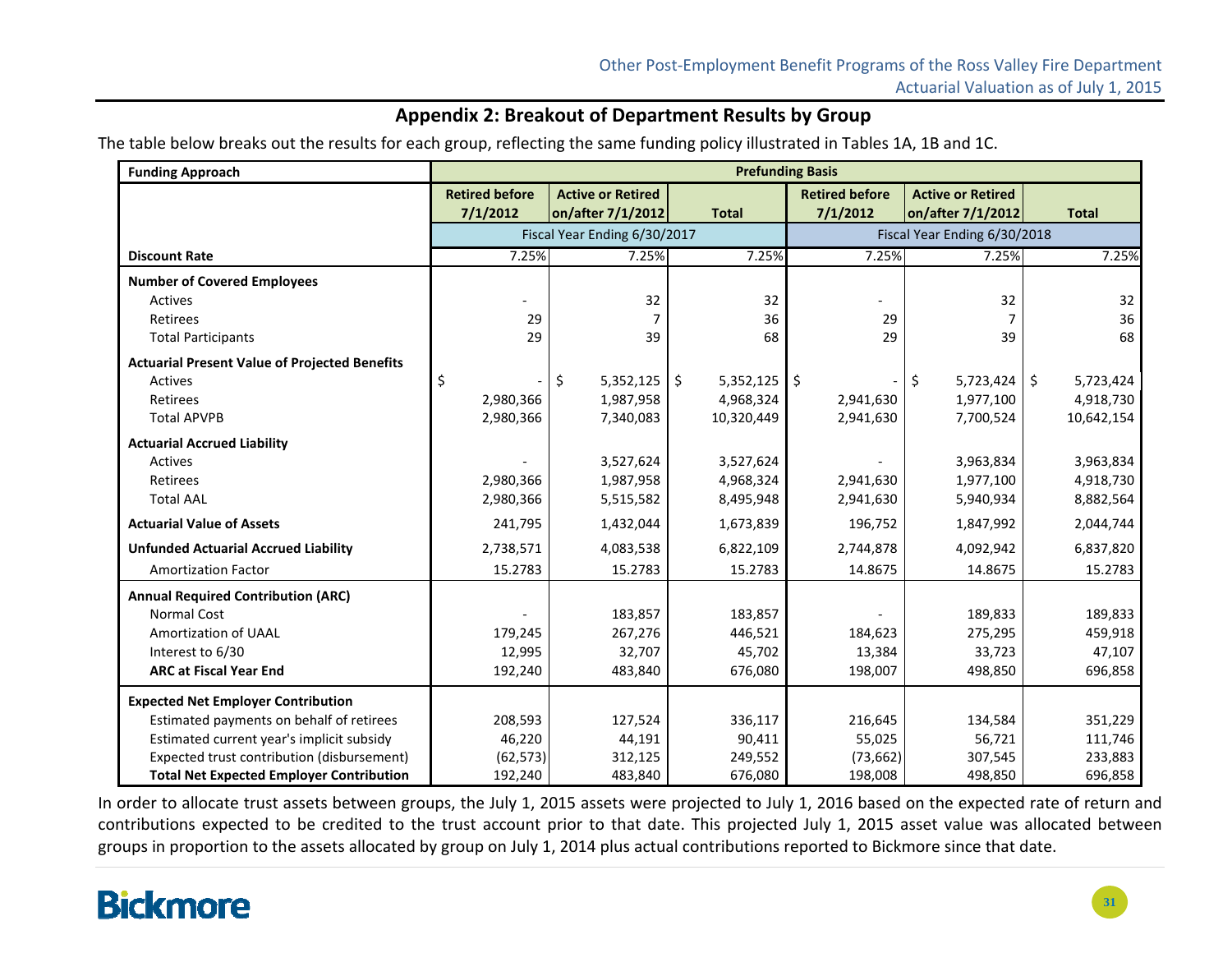### **Appendix 2: Breakout of Department Results by Group**

The table below breaks out the results for each group, reflecting the same funding policy illustrated in Tables 1A, 1B and 1C.

| <b>Funding Approach</b>                              | <b>Prefunding Basis</b> |                              |                      |                              |                          |                                 |  |
|------------------------------------------------------|-------------------------|------------------------------|----------------------|------------------------------|--------------------------|---------------------------------|--|
|                                                      | <b>Retired before</b>   | <b>Active or Retired</b>     |                      | <b>Retired before</b>        | <b>Active or Retired</b> |                                 |  |
|                                                      | 7/1/2012                | on/after 7/1/2012            | <b>Total</b>         | 7/1/2012                     | on/after 7/1/2012        | <b>Total</b>                    |  |
|                                                      |                         | Fiscal Year Ending 6/30/2017 |                      | Fiscal Year Ending 6/30/2018 |                          |                                 |  |
| <b>Discount Rate</b>                                 | 7.25%                   | 7.25%                        | 7.25%                | 7.25%                        | 7.25%                    | 7.25%                           |  |
| <b>Number of Covered Employees</b>                   |                         |                              |                      |                              |                          |                                 |  |
| <b>Actives</b>                                       |                         | 32                           | 32                   |                              | 32                       | 32                              |  |
| Retirees                                             | 29                      | 7                            | 36                   | 29                           | 7                        | 36                              |  |
| <b>Total Participants</b>                            | 29                      | 39                           | 68                   | 29                           | 39                       | 68                              |  |
| <b>Actuarial Present Value of Projected Benefits</b> |                         |                              |                      |                              |                          |                                 |  |
| <b>Actives</b>                                       | \$                      | \$<br>5,352,125              | $5,352,125$ \$<br>\$ |                              | \$<br>5,723,424          | $\ddot{\varsigma}$<br>5,723,424 |  |
| Retirees                                             | 2,980,366               | 1,987,958                    | 4,968,324            | 2,941,630                    | 1,977,100                | 4,918,730                       |  |
| <b>Total APVPB</b>                                   | 2,980,366               | 7,340,083                    | 10,320,449           | 2,941,630                    | 7,700,524                | 10,642,154                      |  |
| <b>Actuarial Accrued Liability</b>                   |                         |                              |                      |                              |                          |                                 |  |
| <b>Actives</b>                                       |                         | 3,527,624                    | 3,527,624            |                              | 3,963,834                | 3,963,834                       |  |
| Retirees                                             | 2,980,366               | 1,987,958                    | 4,968,324            | 2,941,630                    | 1,977,100                | 4,918,730                       |  |
| <b>Total AAL</b>                                     | 2,980,366               | 5,515,582                    | 8,495,948            | 2,941,630                    | 5,940,934                | 8,882,564                       |  |
| <b>Actuarial Value of Assets</b>                     | 241,795                 | 1,432,044                    | 1,673,839            | 196,752                      | 1,847,992                | 2,044,744                       |  |
| <b>Unfunded Actuarial Accrued Liability</b>          | 2,738,571               | 4,083,538                    | 6,822,109            | 2,744,878                    | 4,092,942                | 6,837,820                       |  |
| <b>Amortization Factor</b>                           | 15.2783                 | 15.2783                      | 15.2783              | 14.8675                      | 14.8675                  | 15.2783                         |  |
| <b>Annual Required Contribution (ARC)</b>            |                         |                              |                      |                              |                          |                                 |  |
| <b>Normal Cost</b>                                   |                         | 183,857                      | 183,857              |                              | 189,833                  | 189,833                         |  |
| Amortization of UAAL                                 | 179,245                 | 267,276                      | 446,521              | 184,623                      | 275,295                  | 459,918                         |  |
| Interest to 6/30                                     | 12,995                  | 32,707                       | 45,702               | 13,384                       | 33,723                   | 47,107                          |  |
| <b>ARC at Fiscal Year End</b>                        | 192,240                 | 483,840                      | 676,080              | 198,007                      | 498,850                  | 696,858                         |  |
| <b>Expected Net Employer Contribution</b>            |                         |                              |                      |                              |                          |                                 |  |
| Estimated payments on behalf of retirees             | 208,593                 | 127,524                      | 336,117              | 216,645                      | 134,584                  | 351,229                         |  |
| Estimated current year's implicit subsidy            | 46,220                  | 44,191                       | 90,411               | 55,025                       | 56,721                   | 111,746                         |  |
| Expected trust contribution (disbursement)           | (62, 573)               | 312,125                      | 249,552              | (73, 662)                    | 307,545                  | 233,883                         |  |
| <b>Total Net Expected Employer Contribution</b>      | 192,240                 | 483,840                      | 676,080              | 198,008                      | 498,850                  | 696,858                         |  |

In order to allocate trust assets between groups, the July 1, 2015 assets were projected to July 1, 2016 based on the expected rate of return and contributions expected to be credited to the trust account prior to that date. This projected July 1, 2015 asset value was allocated between groups in proportion to the assets allocated by group on July 1, 2014 plus actual contributions reported to Bickmore since that date.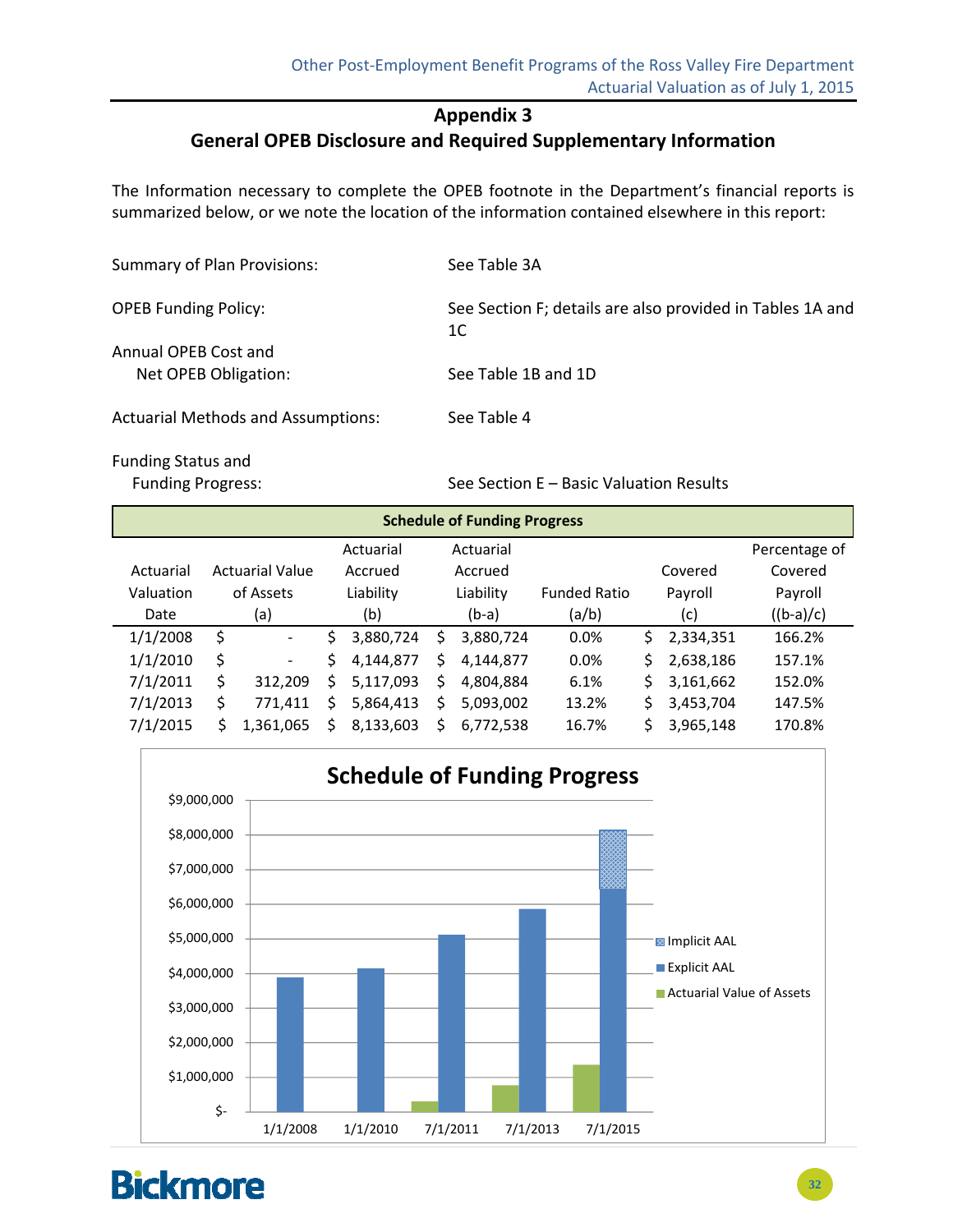### **Appendix 3**

### **General OPEB Disclosure and Required Supplementary Information**

The Information necessary to complete the OPEB footnote in the Department's financial reports is summarized below, or we note the location of the information contained elsewhere in this report:

| <b>Summary of Plan Provisions:</b>           | See Table 3A                                                    |
|----------------------------------------------|-----------------------------------------------------------------|
| <b>OPEB Funding Policy:</b>                  | See Section F; details are also provided in Tables 1A and<br>1C |
| Annual OPEB Cost and<br>Net OPEB Obligation: | See Table 1B and 1D                                             |
| <b>Actuarial Methods and Assumptions:</b>    | See Table 4                                                     |

Funding Status and

Funding Progress: See Section E – Basic Valuation Results

| <b>Schedule of Funding Progress</b> |                        |                          |         |           |    |           |                     |    |           |               |
|-------------------------------------|------------------------|--------------------------|---------|-----------|----|-----------|---------------------|----|-----------|---------------|
|                                     |                        |                          |         | Actuarial |    | Actuarial |                     |    |           | Percentage of |
| Actuarial                           | <b>Actuarial Value</b> |                          | Accrued | Accrued   |    |           | Covered             |    | Covered   |               |
| Valuation                           |                        | of Assets                |         | Liability |    | Liability | <b>Funded Ratio</b> |    | Payroll   | Payroll       |
| Date                                |                        | (a)                      |         | (b)       |    | $(b-a)$   | (a/b)               |    | (c)       | $((b-a)/c)$   |
| 1/1/2008                            | \$                     | $\overline{\phantom{a}}$ | Ś       | 3,880,724 | Ś  | 3,880,724 | 0.0%                | S. | 2,334,351 | 166.2%        |
| 1/1/2010                            | \$                     | $\overline{\phantom{a}}$ | \$      | 4,144,877 | Ś. | 4,144,877 | 0.0%                | \$ | 2,638,186 | 157.1%        |
| 7/1/2011                            | \$                     | 312,209                  | \$      | 5,117,093 | \$ | 4,804,884 | 6.1%                | \$ | 3,161,662 | 152.0%        |
| 7/1/2013                            | Ś                      | 771,411                  | \$      | 5,864,413 | Ś  | 5,093,002 | 13.2%               | \$ | 3,453,704 | 147.5%        |
| 7/1/2015                            |                        | 1.361.065                | Ś       | 8,133,603 | Ś  | 6,772,538 | 16.7%               | Ś. | 3,965,148 | 170.8%        |

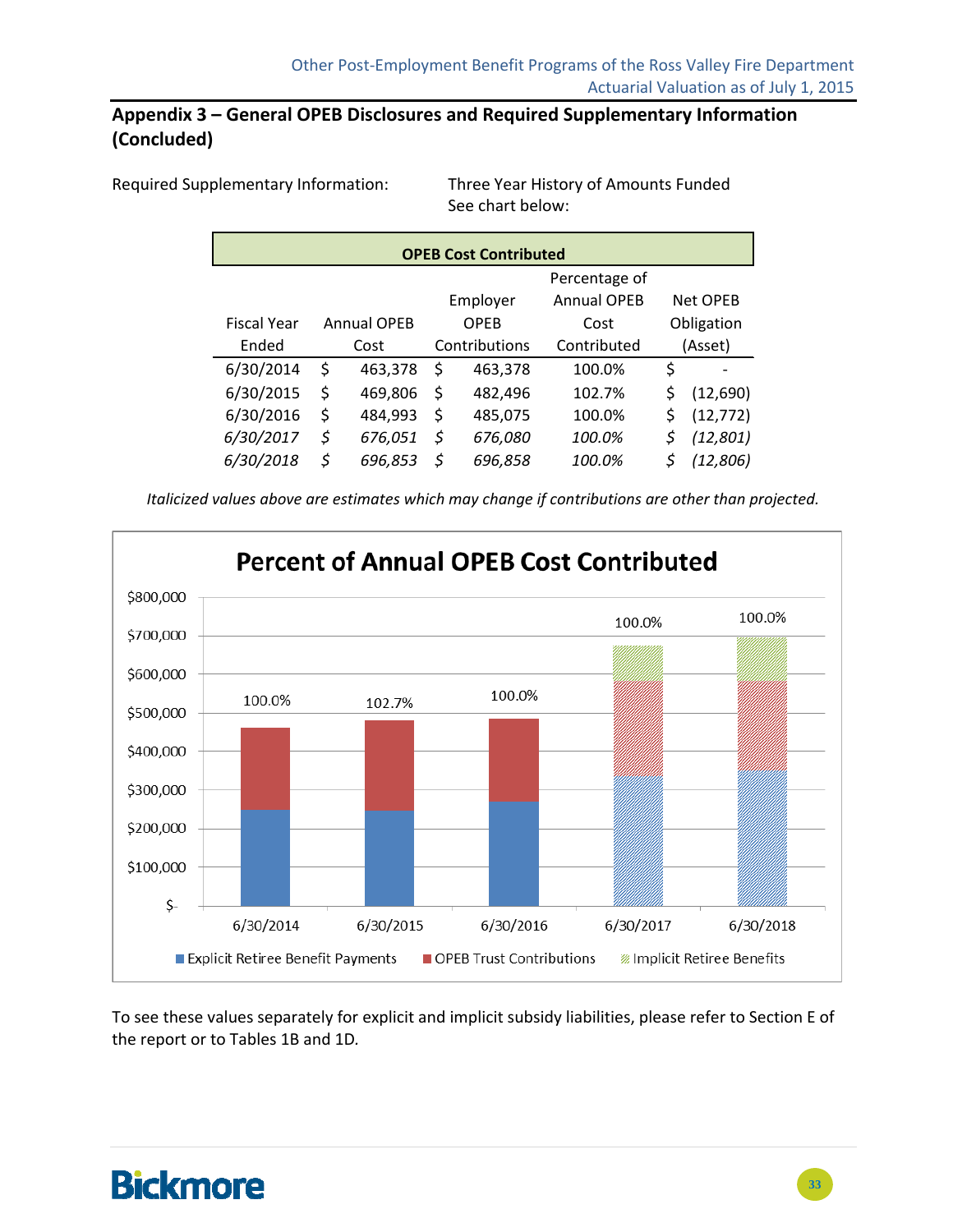### **Appendix 3 – General OPEB Disclosures and Required Supplementary Information (Concluded)**

Required Supplementary Information: Three Year History of Amounts Funded

See chart below:

| <b>OPEB Cost Contributed</b> |    |                    |                                            |         |             |    |            |  |  |  |
|------------------------------|----|--------------------|--------------------------------------------|---------|-------------|----|------------|--|--|--|
|                              |    |                    | Percentage of                              |         |             |    |            |  |  |  |
|                              |    |                    | <b>Annual OPEB</b><br>Net OPEB<br>Employer |         |             |    |            |  |  |  |
| <b>Fiscal Year</b>           |    | <b>Annual OPEB</b> |                                            | OPFB    | Cost        |    | Obligation |  |  |  |
| Ended                        |    | Cost               | Contributions                              |         | Contributed |    | (Asset)    |  |  |  |
| 6/30/2014                    | \$ | 463,378            | \$<br>463,378                              |         | 100.0%      | \$ |            |  |  |  |
| 6/30/2015                    | \$ | 469,806            | \$                                         | 482,496 | 102.7%      | \$ | (12,690)   |  |  |  |
| 6/30/2016                    | \$ | 484,993            | \$                                         | 485,075 | 100.0%      | \$ | (12, 772)  |  |  |  |
| 6/30/2017                    | \$ | 676,051            | \$                                         | 676,080 | 100.0%      | \$ | (12, 801)  |  |  |  |
| 6/30/2018                    | \$ | 696,853            | \$                                         | 696,858 | 100.0%      |    | (12, 806)  |  |  |  |

*Italicized values above are estimates which may change if contributions are other than projected.*



To see these values separately for explicit and implicit subsidy liabilities, please refer to Section E of the report or to Tables 1B and 1D*.*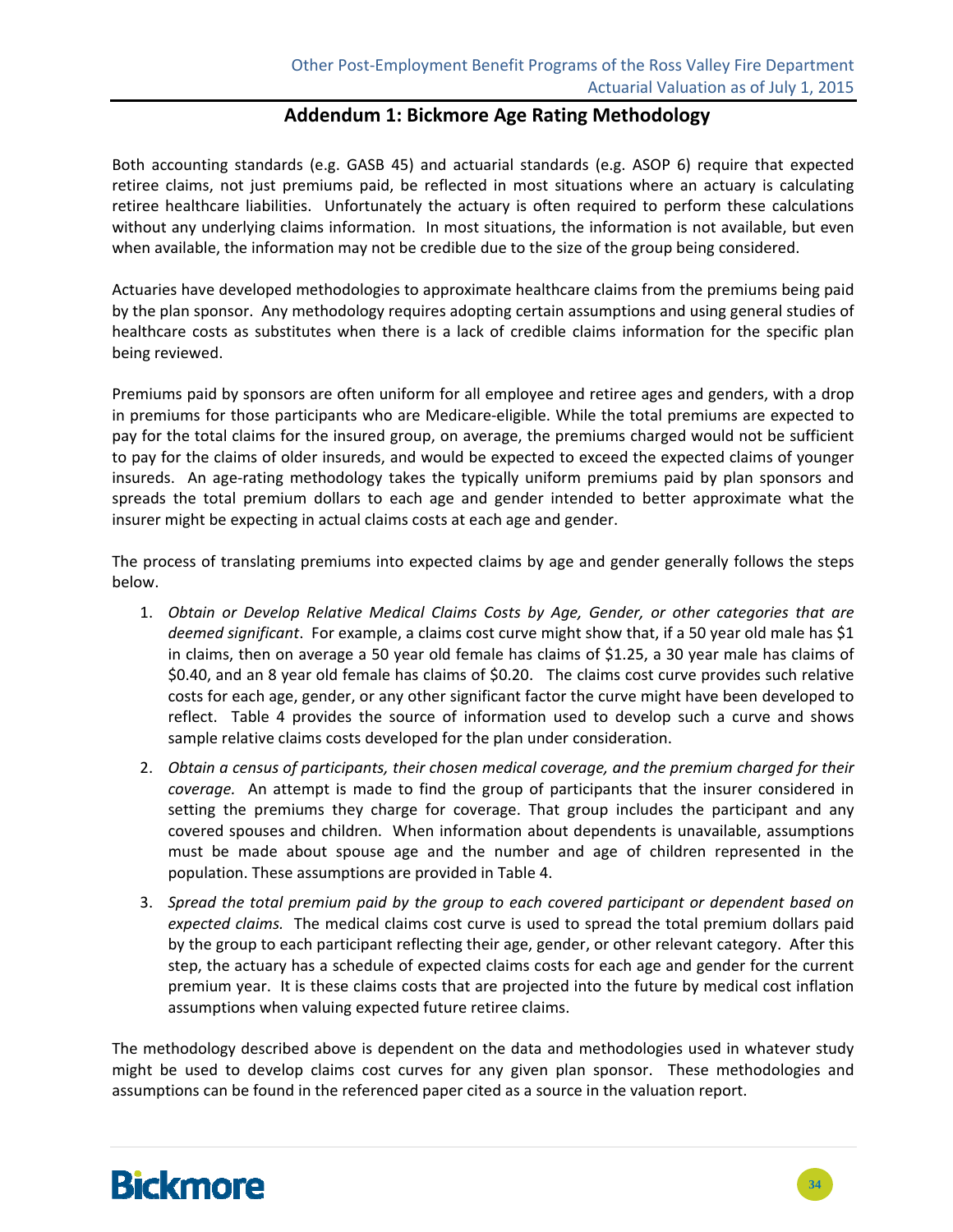#### **Addendum 1: Bickmore Age Rating Methodology**

Both accounting standards (e.g. GASB 45) and actuarial standards (e.g. ASOP 6) require that expected retiree claims, not just premiums paid, be reflected in most situations where an actuary is calculating retiree healthcare liabilities. Unfortunately the actuary is often required to perform these calculations without any underlying claims information. In most situations, the information is not available, but even when available, the information may not be credible due to the size of the group being considered.

Actuaries have developed methodologies to approximate healthcare claims from the premiums being paid by the plan sponsor. Any methodology requires adopting certain assumptions and using general studies of healthcare costs as substitutes when there is a lack of credible claims information for the specific plan being reviewed.

Premiums paid by sponsors are often uniform for all employee and retiree ages and genders, with a drop in premiums for those participants who are Medicare‐eligible. While the total premiums are expected to pay for the total claims for the insured group, on average, the premiums charged would not be sufficient to pay for the claims of older insureds, and would be expected to exceed the expected claims of younger insureds. An age-rating methodology takes the typically uniform premiums paid by plan sponsors and spreads the total premium dollars to each age and gender intended to better approximate what the insurer might be expecting in actual claims costs at each age and gender.

The process of translating premiums into expected claims by age and gender generally follows the steps below.

- 1. *Obtain or Develop Relative Medical Claims Costs by Age, Gender, or other categories that are deemed significant*. For example, a claims cost curve might show that, if a 50 year old male has \$1 in claims, then on average a 50 year old female has claims of \$1.25, a 30 year male has claims of \$0.40, and an 8 year old female has claims of \$0.20. The claims cost curve provides such relative costs for each age, gender, or any other significant factor the curve might have been developed to reflect. Table 4 provides the source of information used to develop such a curve and shows sample relative claims costs developed for the plan under consideration.
- 2. *Obtain a census of participants, their chosen medical coverage, and the premium charged for their coverage.* An attempt is made to find the group of participants that the insurer considered in setting the premiums they charge for coverage. That group includes the participant and any covered spouses and children. When information about dependents is unavailable, assumptions must be made about spouse age and the number and age of children represented in the population. These assumptions are provided in Table 4.
- 3. *Spread the total premium paid by the group to each covered participant or dependent based on expected claims.* The medical claims cost curve is used to spread the total premium dollars paid by the group to each participant reflecting their age, gender, or other relevant category. After this step, the actuary has a schedule of expected claims costs for each age and gender for the current premium year. It is these claims costs that are projected into the future by medical cost inflation assumptions when valuing expected future retiree claims.

The methodology described above is dependent on the data and methodologies used in whatever study might be used to develop claims cost curves for any given plan sponsor. These methodologies and assumptions can be found in the referenced paper cited as a source in the valuation report.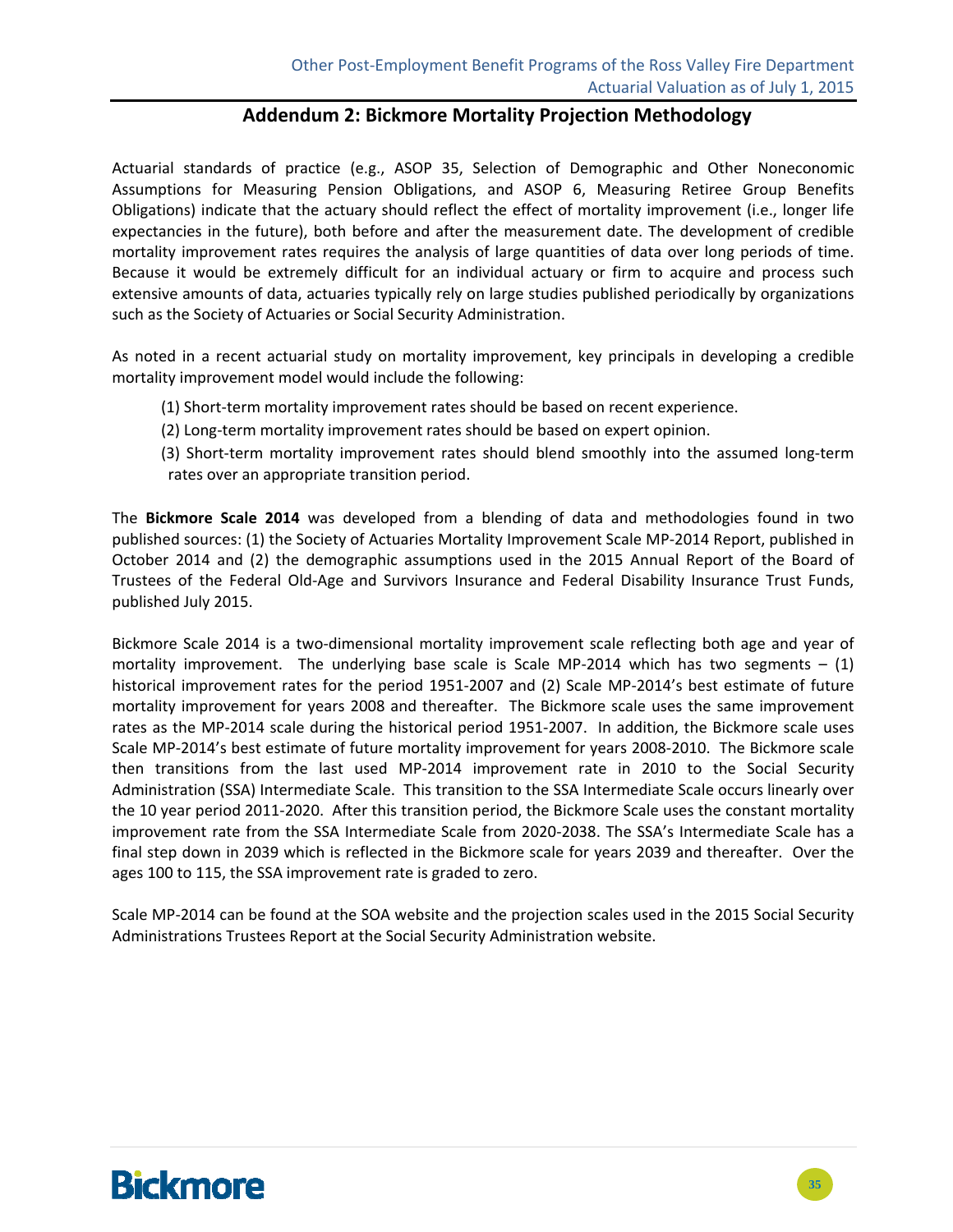#### **Addendum 2: Bickmore Mortality Projection Methodology**

Actuarial standards of practice (e.g., ASOP 35, Selection of Demographic and Other Noneconomic Assumptions for Measuring Pension Obligations, and ASOP 6, Measuring Retiree Group Benefits Obligations) indicate that the actuary should reflect the effect of mortality improvement (i.e., longer life expectancies in the future), both before and after the measurement date. The development of credible mortality improvement rates requires the analysis of large quantities of data over long periods of time. Because it would be extremely difficult for an individual actuary or firm to acquire and process such extensive amounts of data, actuaries typically rely on large studies published periodically by organizations such as the Society of Actuaries or Social Security Administration.

As noted in a recent actuarial study on mortality improvement, key principals in developing a credible mortality improvement model would include the following:

- (1) Short-term mortality improvement rates should be based on recent experience.
- (2) Long‐term mortality improvement rates should be based on expert opinion.
- (3) Short-term mortality improvement rates should blend smoothly into the assumed long-term rates over an appropriate transition period.

The **Bickmore Scale 2014** was developed from a blending of data and methodologies found in two published sources: (1) the Society of Actuaries Mortality Improvement Scale MP‐2014 Report, published in October 2014 and (2) the demographic assumptions used in the 2015 Annual Report of the Board of Trustees of the Federal Old‐Age and Survivors Insurance and Federal Disability Insurance Trust Funds, published July 2015.

Bickmore Scale 2014 is a two-dimensional mortality improvement scale reflecting both age and year of mortality improvement. The underlying base scale is Scale MP-2014 which has two segments  $- (1)$ historical improvement rates for the period 1951-2007 and (2) Scale MP-2014's best estimate of future mortality improvement for years 2008 and thereafter. The Bickmore scale uses the same improvement rates as the MP-2014 scale during the historical period 1951-2007. In addition, the Bickmore scale uses Scale MP‐2014's best estimate of future mortality improvement for years 2008‐2010. The Bickmore scale then transitions from the last used MP-2014 improvement rate in 2010 to the Social Security Administration (SSA) Intermediate Scale. This transition to the SSA Intermediate Scale occurs linearly over the 10 year period 2011‐2020. After this transition period, the Bickmore Scale uses the constant mortality improvement rate from the SSA Intermediate Scale from 2020-2038. The SSA's Intermediate Scale has a final step down in 2039 which is reflected in the Bickmore scale for years 2039 and thereafter. Over the ages 100 to 115, the SSA improvement rate is graded to zero.

Scale MP‐2014 can be found at the SOA website and the projection scales used in the 2015 Social Security Administrations Trustees Report at the Social Security Administration website.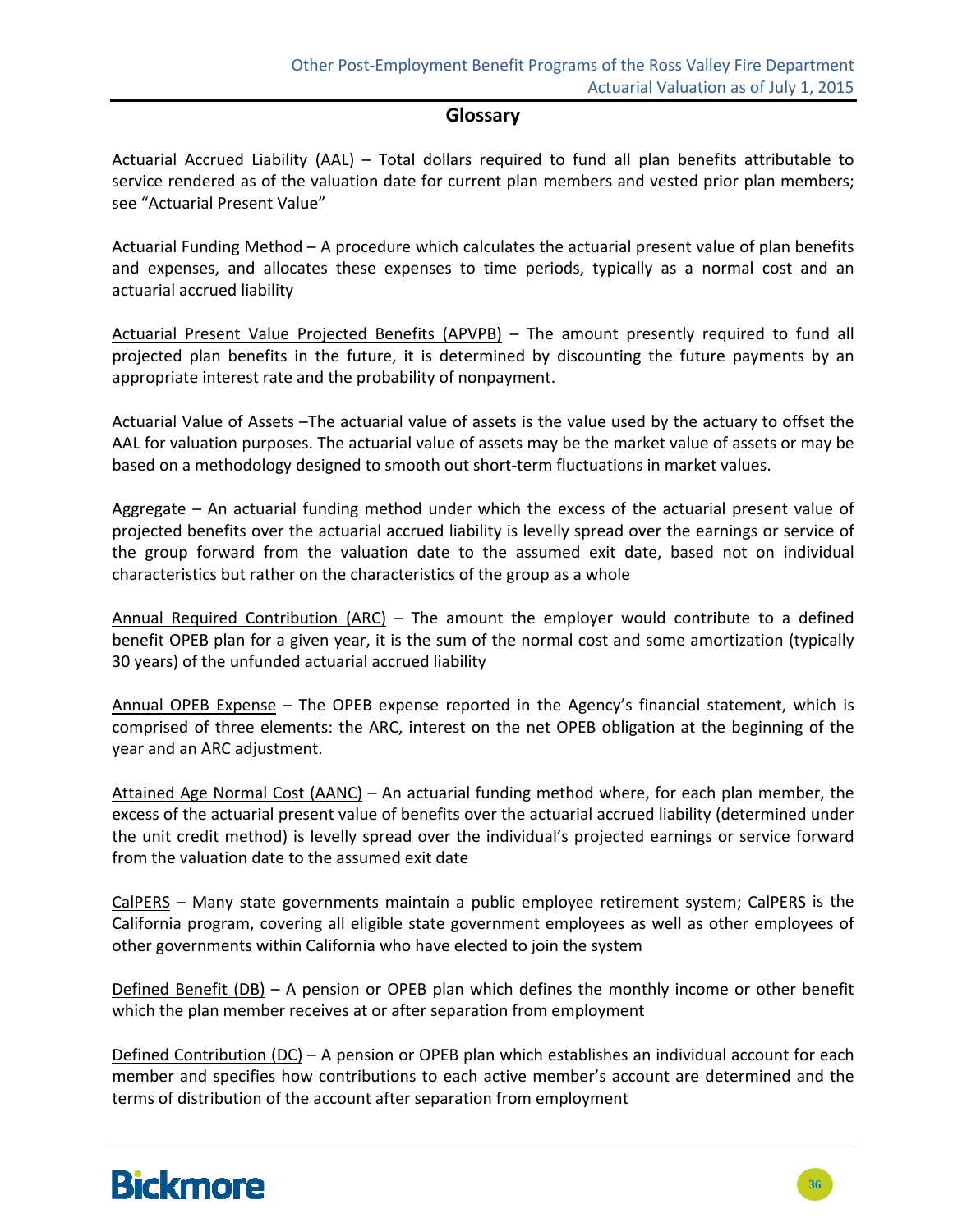#### **Glossary**

Actuarial Accrued Liability (AAL) – Total dollars required to fund all plan benefits attributable to service rendered as of the valuation date for current plan members and vested prior plan members; see "Actuarial Present Value"

Actuarial Funding Method - A procedure which calculates the actuarial present value of plan benefits and expenses, and allocates these expenses to time periods, typically as a normal cost and an actuarial accrued liability

Actuarial Present Value Projected Benefits (APVPB) – The amount presently required to fund all projected plan benefits in the future, it is determined by discounting the future payments by an appropriate interest rate and the probability of nonpayment.

Actuarial Value of Assets –The actuarial value of assets is the value used by the actuary to offset the AAL for valuation purposes. The actuarial value of assets may be the market value of assets or may be based on a methodology designed to smooth out short‐term fluctuations in market values.

Aggregate - An actuarial funding method under which the excess of the actuarial present value of projected benefits over the actuarial accrued liability is levelly spread over the earnings or service of the group forward from the valuation date to the assumed exit date, based not on individual characteristics but rather on the characteristics of the group as a whole

Annual Required Contribution (ARC) – The amount the employer would contribute to a defined benefit OPEB plan for a given year, it is the sum of the normal cost and some amortization (typically 30 years) of the unfunded actuarial accrued liability

Annual OPEB Expense - The OPEB expense reported in the Agency's financial statement, which is comprised of three elements: the ARC, interest on the net OPEB obligation at the beginning of the year and an ARC adjustment.

Attained Age Normal Cost (AANC) – An actuarial funding method where, for each plan member, the excess of the actuarial present value of benefits over the actuarial accrued liability (determined under the unit credit method) is levelly spread over the individual's projected earnings or service forward from the valuation date to the assumed exit date

CalPERS – Many state governments maintain a public employee retirement system; CalPERS is the California program, covering all eligible state government employees as well as other employees of other governments within California who have elected to join the system

Defined Benefit  $(DB)$  – A pension or OPEB plan which defines the monthly income or other benefit which the plan member receives at or after separation from employment

Defined Contribution (DC) – A pension or OPEB plan which establishes an individual account for each member and specifies how contributions to each active member's account are determined and the terms of distribution of the account after separation from employment

# **Bickmore**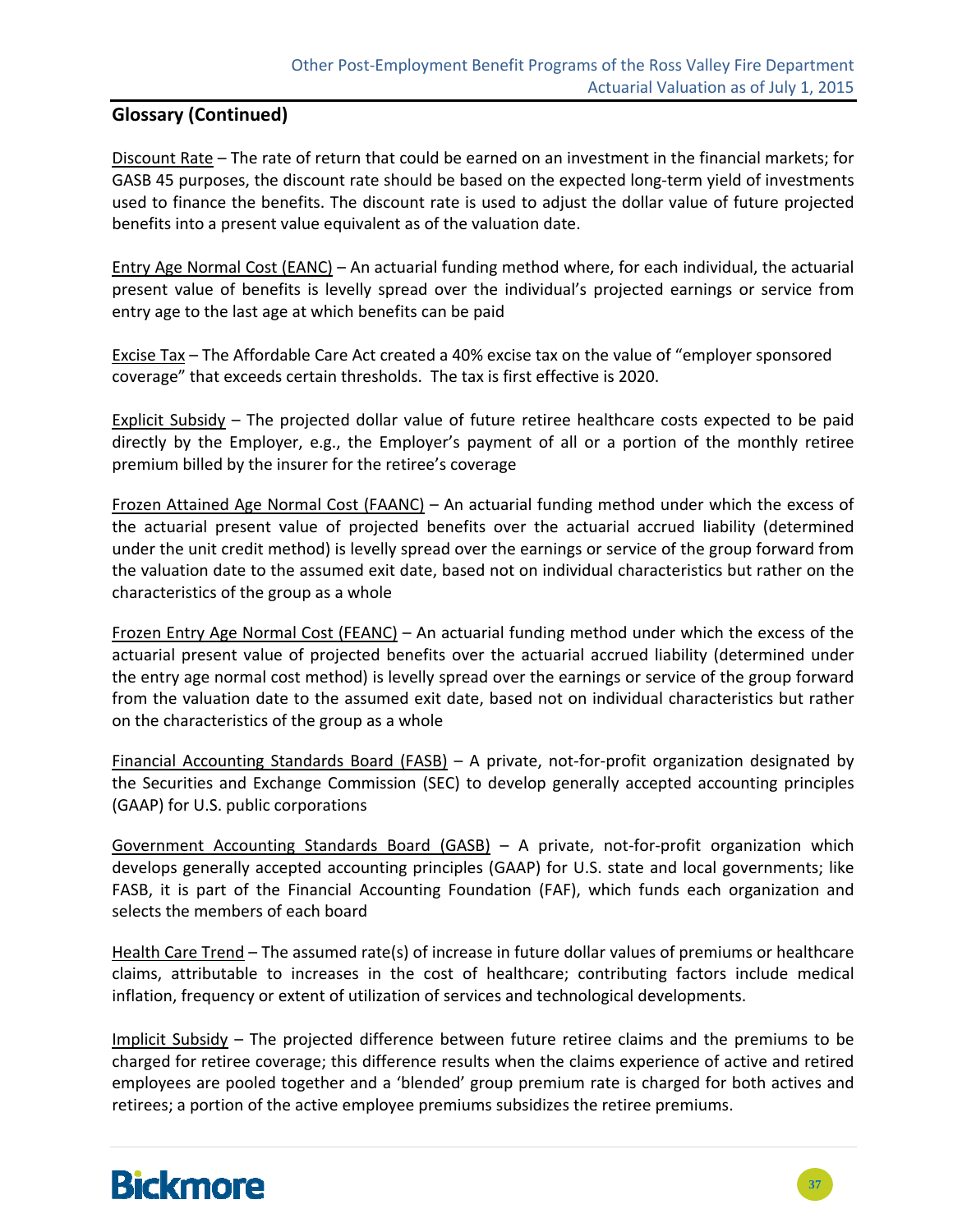### **Glossary (Continued)**

Discount Rate – The rate of return that could be earned on an investment in the financial markets; for GASB 45 purposes, the discount rate should be based on the expected long-term yield of investments used to finance the benefits. The discount rate is used to adjust the dollar value of future projected benefits into a present value equivalent as of the valuation date.

Entry Age Normal Cost (EANC) – An actuarial funding method where, for each individual, the actuarial present value of benefits is levelly spread over the individual's projected earnings or service from entry age to the last age at which benefits can be paid

Excise Tax – The Affordable Care Act created a 40% excise tax on the value of "employer sponsored coverage" that exceeds certain thresholds. The tax is first effective is 2020.

Explicit Subsidy – The projected dollar value of future retiree healthcare costs expected to be paid directly by the Employer, e.g., the Employer's payment of all or a portion of the monthly retiree premium billed by the insurer for the retiree's coverage

Frozen Attained Age Normal Cost (FAANC) – An actuarial funding method under which the excess of the actuarial present value of projected benefits over the actuarial accrued liability (determined under the unit credit method) is levelly spread over the earnings or service of the group forward from the valuation date to the assumed exit date, based not on individual characteristics but rather on the characteristics of the group as a whole

Frozen Entry Age Normal Cost (FEANC) – An actuarial funding method under which the excess of the actuarial present value of projected benefits over the actuarial accrued liability (determined under the entry age normal cost method) is levelly spread over the earnings or service of the group forward from the valuation date to the assumed exit date, based not on individual characteristics but rather on the characteristics of the group as a whole

Financial Accounting Standards Board (FASB) – A private, not-for-profit organization designated by the Securities and Exchange Commission (SEC) to develop generally accepted accounting principles (GAAP) for U.S. public corporations

Government Accounting Standards Board (GASB) – A private, not-for-profit organization which develops generally accepted accounting principles (GAAP) for U.S. state and local governments; like FASB, it is part of the Financial Accounting Foundation (FAF), which funds each organization and selects the members of each board

Health Care Trend – The assumed rate(s) of increase in future dollar values of premiums or healthcare claims, attributable to increases in the cost of healthcare; contributing factors include medical inflation, frequency or extent of utilization of services and technological developments.

Implicit Subsidy – The projected difference between future retiree claims and the premiums to be charged for retiree coverage; this difference results when the claims experience of active and retired employees are pooled together and a 'blended' group premium rate is charged for both actives and retirees; a portion of the active employee premiums subsidizes the retiree premiums.

# **Bickmore**